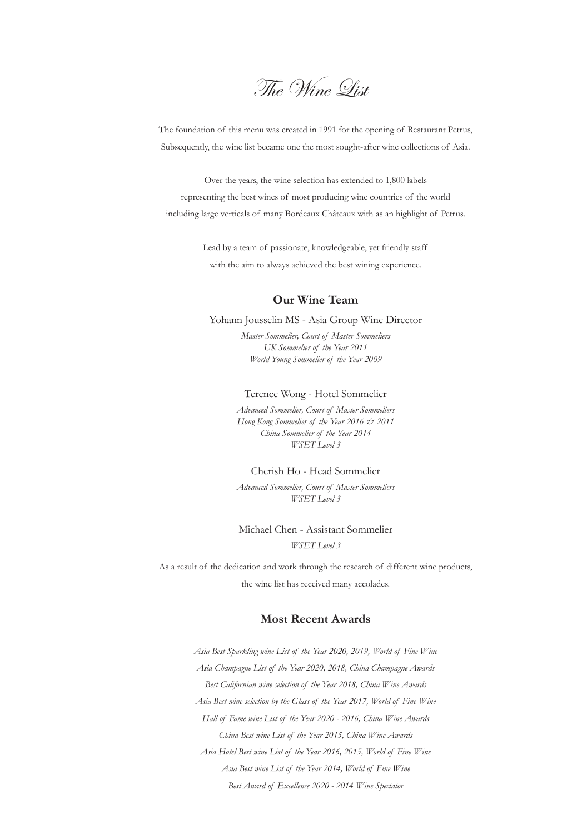The Wine List

The foundation of this menu was created in 1991 for the opening of Restaurant Petrus, Subsequently, the wine list became one the most sought-after wine collections of Asia.

Over the years, the wine selection has extended to 1,800 labels representing the best wines of most producing wine countries of the world including large verticals of many Bordeaux Châteaux with as an highlight of Petrus.

> Lead by a team of passionate, knowledgeable, yet friendly staff with the aim to always achieved the best wining experience.

#### **Our Wine Team**

Yohann Jousselin MS - Asia Group Wine Director

*Master Sommelier, Court of Master Sommeliers UK Sommelier of the Year 2011 World Young Sommelier of the Year 2009*

#### Terence Wong - Hotel Sommelier

*Advanced Sommelier, Court of Master Sommeliers Hong Kong Sommelier of the Year 2016 & 2011 China Sommelier of the Year 2014 WSET Level 3*

Cherish Ho - Head Sommelier

*Advanced Sommelier, Court of Master Sommeliers WSET Level 3*

Michael Chen - Assistant Sommelier *WSET Level 3*

As a result of the dedication and work through the research of different wine products, the wine list has received many accolades.

#### **Most Recent Awards**

*Asia Best Sparkling wine List of the Year 2020, 2019, World of Fine Wine Asia Champagne List of the Year 2020, 2018, China Champagne Awards Best Californian wine selection of the Year 2018, China Wine Awards Asia Best wine selection by the Glass of the Year 2017, World of Fine Wine Hall of Fame wine List of the Year 2020 - 2016, China Wine Awards China Best wine List of the Year 2015, China Wine Awards Asia Hotel Best wine List of the Year 2016, 2015, World of Fine Wine Asia Best wine List of the Year 2014, World of Fine Wine Best Award of Excellence 2020 - 2014 Wine Spectator*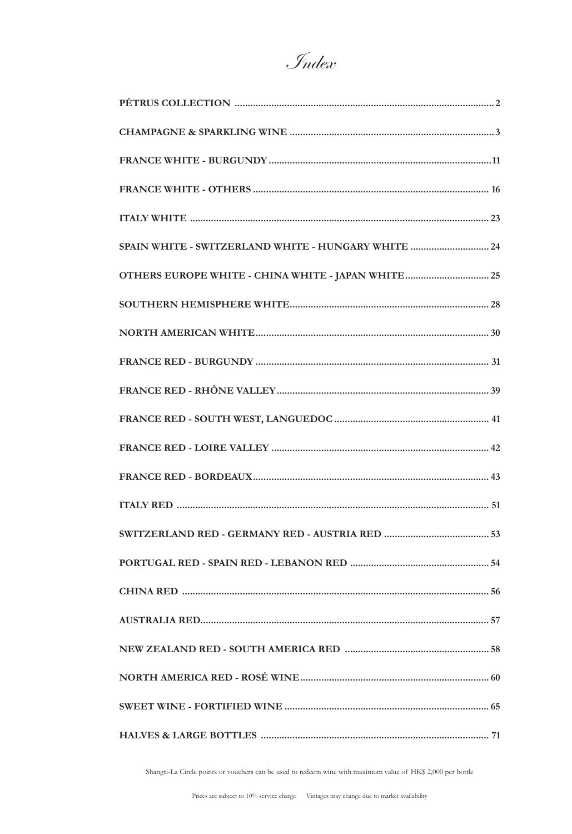Index

| SPAIN WHITE - SWITZERLAND WHITE - HUNGARY WHITE  24 |
|-----------------------------------------------------|
| OTHERS EUROPE WHITE - CHINA WHITE - JAPAN WHITE  25 |
|                                                     |
|                                                     |
|                                                     |
|                                                     |
|                                                     |
|                                                     |
|                                                     |
|                                                     |
|                                                     |
|                                                     |
|                                                     |
|                                                     |
|                                                     |
|                                                     |
|                                                     |
|                                                     |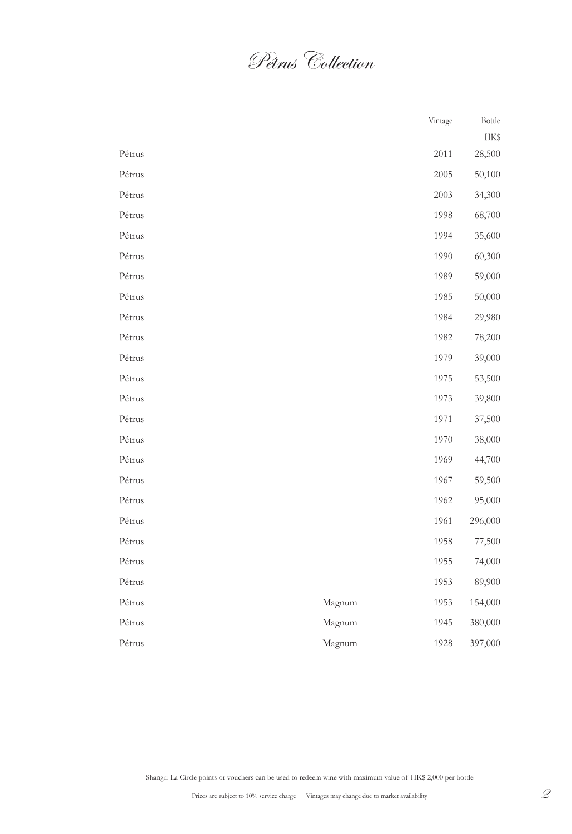Pétrus Collection

|        |        | Vintage | Bottle  |
|--------|--------|---------|---------|
|        |        |         | HK\$    |
| Pétrus |        | 2011    | 28,500  |
| Pétrus |        | 2005    | 50,100  |
| Pétrus |        | 2003    | 34,300  |
| Pétrus |        | 1998    | 68,700  |
| Pétrus |        | 1994    | 35,600  |
| Pétrus |        | 1990    | 60,300  |
| Pétrus |        | 1989    | 59,000  |
| Pétrus |        | 1985    | 50,000  |
| Pétrus |        | 1984    | 29,980  |
| Pétrus |        | 1982    | 78,200  |
| Pétrus |        | 1979    | 39,000  |
| Pétrus |        | 1975    | 53,500  |
| Pétrus |        | 1973    | 39,800  |
| Pétrus |        | 1971    | 37,500  |
| Pétrus |        | 1970    | 38,000  |
| Pétrus |        | 1969    | 44,700  |
| Pétrus |        | 1967    | 59,500  |
| Pétrus |        | 1962    | 95,000  |
| Pétrus |        | 1961    | 296,000 |
| Pétrus |        | 1958    | 77,500  |
| Pétrus |        | 1955    | 74,000  |
| Pétrus |        | 1953    | 89,900  |
| Pétrus | Magnum | 1953    | 154,000 |
| Pétrus | Magnum | 1945    | 380,000 |
| Pétrus | Magnum | 1928    | 397,000 |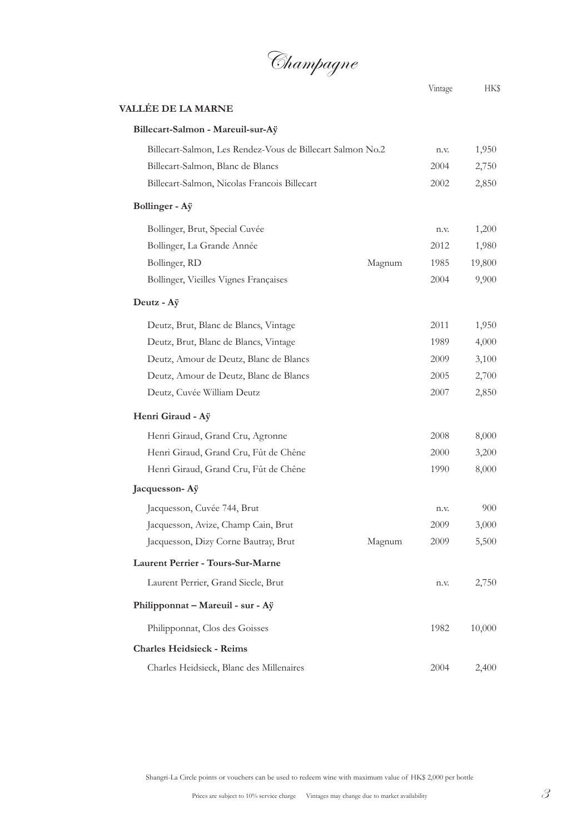Champagne

## **VALLÉE DE LA MARNE Billecart-Salmon - Mareuil-sur-Aÿ** Billecart-Salmon, Les Rendez-Vous de Billecart Salmon No.2 n.v. 1,950 Billecart-Salmon, Blanc de Blancs 2004 2,750 Billecart-Salmon, Nicolas Francois Billecart 2002 2,850 **Bollinger - Aÿ** Bollinger, Brut, Special Cuvée n.v. 1,200 Bollinger, La Grande Année 2012 1,980 Bollinger, RD Magnum 1985 19,800 Bollinger, Vieilles Vignes Françaises 2004 9,900 **Deutz - Aÿ** Deutz, Brut, Blanc de Blancs, Vintage 2011 1,950 Deutz, Brut, Blanc de Blancs, Vintage 1989 4,000 Deutz, Amour de Deutz, Blanc de Blancs 2009 3,100 Deutz, Amour de Deutz, Blanc de Blancs 2005 2,700 Deutz, Cuvée William Deutz 2007 2,850 **Henri Giraud - Aÿ** Henri Giraud, Grand Cru, Agronne 2008 8,000 Henri Giraud, Grand Cru, Fût de Chêne 2000 3,200 Henri Giraud, Grand Cru, Fût de Chêne 1990 8,000 **Jacquesson- Aÿ** Jacquesson, Cuvée 744, Brut n.v. 900 Jacquesson, Avize, Champ Cain, Brut 2009 3,000 Jacquesson, Dizy Corne Bautray, Brut Magnum 2009 5,500 **Laurent Perrier - Tours-Sur-Marne** Laurent Perrier, Grand Siecle, Brut n.v. 2,750 **Philipponnat – Mareuil - sur - Aÿ** Philipponnat, Clos des Goisses 1982 10,000 **Charles Heidsieck - Reims** Charles Heidsieck, Blanc des Millenaires 2004 2,400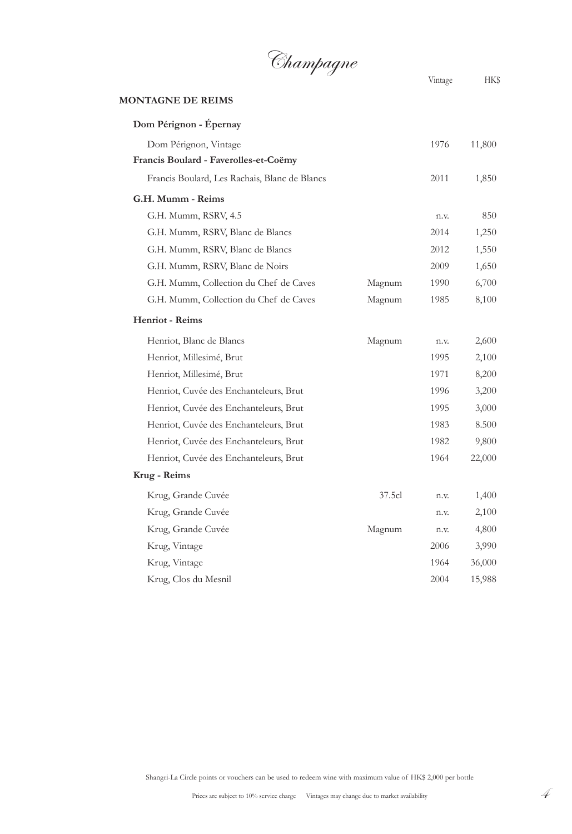Champagne

#### **MONTAGNE DE REIMS**

| Dom Pérignon - Épernay                        |        |      |        |
|-----------------------------------------------|--------|------|--------|
| Dom Pérignon, Vintage                         |        | 1976 | 11,800 |
| Francis Boulard - Faverolles-et-Coëmy         |        |      |        |
| Francis Boulard, Les Rachais, Blanc de Blancs |        | 2011 | 1,850  |
| G.H. Mumm - Reims                             |        |      |        |
| G.H. Mumm, RSRV, 4.5                          |        | n.v. | 850    |
| G.H. Mumm, RSRV, Blanc de Blancs              |        | 2014 | 1,250  |
| G.H. Mumm, RSRV, Blanc de Blancs              |        | 2012 | 1,550  |
| G.H. Mumm, RSRV, Blanc de Noirs               |        | 2009 | 1,650  |
| G.H. Mumm, Collection du Chef de Caves        | Magnum | 1990 | 6,700  |
| G.H. Mumm, Collection du Chef de Caves        | Magnum | 1985 | 8,100  |
| Henriot - Reims                               |        |      |        |
| Henriot, Blanc de Blancs                      | Magnum | n.v. | 2,600  |
| Henriot, Millesimé, Brut                      |        | 1995 | 2,100  |
| Henriot, Millesimé, Brut                      |        | 1971 | 8,200  |
| Henriot, Cuvée des Enchanteleurs, Brut        |        | 1996 | 3,200  |
| Henriot, Cuvée des Enchanteleurs, Brut        |        | 1995 | 3,000  |
| Henriot, Cuvée des Enchanteleurs, Brut        |        | 1983 | 8.500  |
| Henriot, Cuvée des Enchanteleurs, Brut        |        | 1982 | 9,800  |
| Henriot, Cuvée des Enchanteleurs, Brut        |        | 1964 | 22,000 |
| Krug - Reims                                  |        |      |        |
| Krug, Grande Cuvée                            | 37.5cl | n.v. | 1,400  |
| Krug, Grande Cuvée                            |        | n.v. | 2,100  |
| Krug, Grande Cuvée                            | Magnum | n.v. | 4,800  |
| Krug, Vintage                                 |        | 2006 | 3,990  |
| Krug, Vintage                                 |        | 1964 | 36,000 |
| Krug, Clos du Mesnil                          |        | 2004 | 15,988 |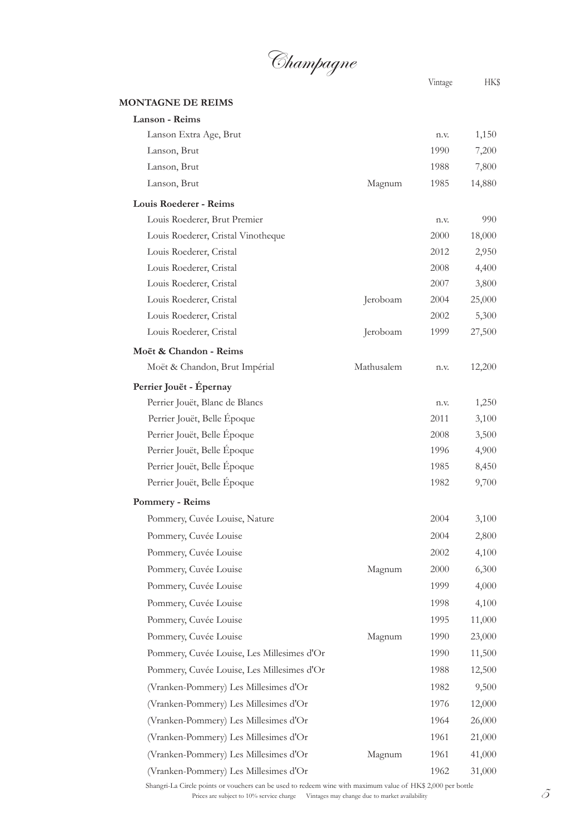

#### **MONTAGNE DE REIMS**

| <b>Lanson - Reims</b>                      |            |      |        |
|--------------------------------------------|------------|------|--------|
| Lanson Extra Age, Brut                     |            | n.v. | 1,150  |
| Lanson, Brut                               |            | 1990 | 7,200  |
| Lanson, Brut                               |            | 1988 | 7,800  |
| Lanson, Brut                               | Magnum     | 1985 | 14,880 |
| Louis Roederer - Reims                     |            |      |        |
| Louis Roederer, Brut Premier               |            | n.v. | 990    |
| Louis Roederer, Cristal Vinotheque         |            | 2000 | 18,000 |
| Louis Roederer, Cristal                    |            | 2012 | 2,950  |
| Louis Roederer, Cristal                    |            | 2008 | 4,400  |
| Louis Roederer, Cristal                    |            | 2007 | 3,800  |
| Louis Roederer, Cristal                    | Jeroboam   | 2004 | 25,000 |
| Louis Roederer, Cristal                    |            | 2002 | 5,300  |
| Louis Roederer, Cristal                    | Jeroboam   | 1999 | 27,500 |
| Moët & Chandon - Reims                     |            |      |        |
| Moët & Chandon, Brut Impérial              | Mathusalem | n.v. | 12,200 |
| Perrier Jouët - Épernay                    |            |      |        |
| Perrier Jouët, Blanc de Blancs             |            | n.v. | 1,250  |
| Perrier Jouët, Belle Époque                |            | 2011 | 3,100  |
| Perrier Jouët, Belle Époque                |            | 2008 | 3,500  |
| Perrier Jouët, Belle Époque                |            | 1996 | 4,900  |
| Perrier Jouët, Belle Époque                |            | 1985 | 8,450  |
| Perrier Jouët, Belle Époque                |            | 1982 | 9,700  |
| <b>Pommery - Reims</b>                     |            |      |        |
| Pommery, Cuvée Louise, Nature              |            | 2004 | 3,100  |
| Pommery, Cuvée Louise                      |            | 2004 | 2,800  |
| Pommery, Cuvée Louise                      |            | 2002 | 4,100  |
| Pommery, Cuvée Louise                      | Magnum     | 2000 | 6,300  |
| Pommery, Cuvée Louise                      |            | 1999 | 4,000  |
| Pommery, Cuvée Louise                      |            | 1998 | 4,100  |
| Pommery, Cuvée Louise                      |            | 1995 | 11,000 |
| Pommery, Cuvée Louise                      | Magnum     | 1990 | 23,000 |
| Pommery, Cuvée Louise, Les Millesimes d'Or |            | 1990 | 11,500 |
| Pommery, Cuvée Louise, Les Millesimes d'Or |            | 1988 | 12,500 |
| (Vranken-Pommery) Les Millesimes d'Or      |            | 1982 | 9,500  |
| (Vranken-Pommery) Les Millesimes d'Or      |            | 1976 | 12,000 |
| (Vranken-Pommery) Les Millesimes d'Or      |            | 1964 | 26,000 |
| (Vranken-Pommery) Les Millesimes d'Or      |            | 1961 | 21,000 |
| (Vranken-Pommery) Les Millesimes d'Or      | Magnum     | 1961 | 41,000 |
| (Vranken-Pommery) Les Millesimes d'Or      |            | 1962 | 31,000 |

Prices are subject to 10% service charge Vintages may change due to market availability  $\tilde{S}$ Shangri-La Circle points or vouchers can be used to redeem wine with maximum value of HK\$ 2,000 per bottle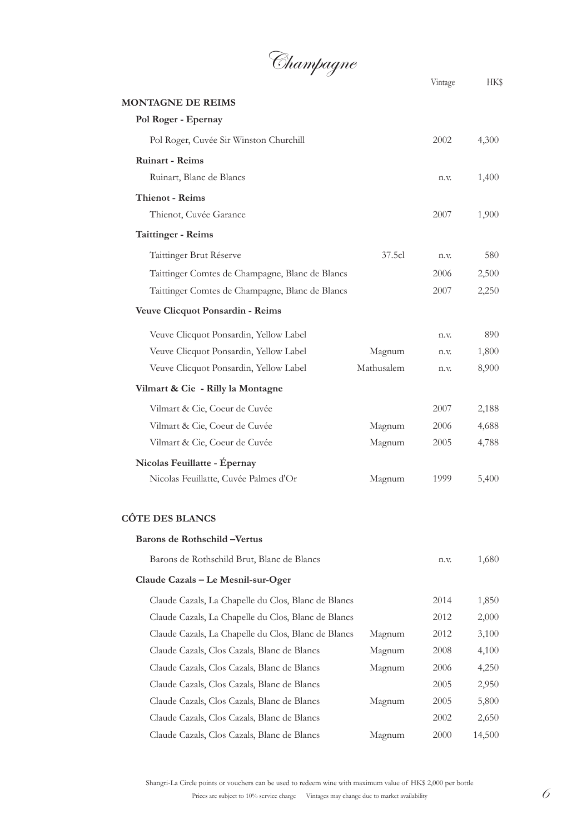Champagne

Vintage HK\$ **MONTAGNE DE REIMS Pol Roger - Epernay** Pol Roger, Cuvée Sir Winston Churchill 2002 4,300 **Ruinart - Reims** Ruinart, Blanc de Blancs n.v. 1,400 **Thienot - Reims** Thienot, Cuvée Garance 2007 1,900 **Taittinger - Reims** Taittinger Brut Réserve 580 Taittinger Comtes de Champagne, Blanc de Blancs 2006 2,500 Taittinger Comtes de Champagne, Blanc de Blancs 2007 2,250 **Veuve Clicquot Ponsardin - Reims** Veuve Clicquot Ponsardin, Yellow Label n.v. 890 Veuve Clicquot Ponsardin, Yellow Label Magnum n.v. 1,800 Veuve Clicquot Ponsardin, Yellow Label Mathusalem n.v. 8,900 **Vilmart & Cie - Rilly la Montagne** Vilmart & Cie, Coeur de Cuvée 2007 2,188 Vilmart & Cie, Coeur de Cuvée Magnum 2006 4,688 Vilmart & Cie, Coeur de Cuvée Magnum 2005 4,788 **Nicolas Feuillatte - Épernay** Nicolas Feuillatte, Cuvée Palmes d'Or Magnum 1999 5,400 **CÔTE DES BLANCS Barons de Rothschild –Vertus** Barons de Rothschild Brut, Blanc de Blancs n.v. 1,680 **Claude Cazals – Le Mesnil-sur-Oger** Claude Cazals, La Chapelle du Clos, Blanc de Blancs 2014 1,850 Claude Cazals, La Chapelle du Clos, Blanc de Blancs 2012 2,000 Claude Cazals, La Chapelle du Clos, Blanc de Blancs Magnum 2012 3,100 Claude Cazals, Clos Cazals, Blanc de Blancs Magnum 2008 4,100 Claude Cazals, Clos Cazals, Blanc de Blancs Magnum 2006 4,250 Claude Cazals, Clos Cazals, Blanc de Blancs 2005 2,950 Claude Cazals, Clos Cazals, Blanc de Blancs Magnum 2005 5,800 Claude Cazals, Clos Cazals, Blanc de Blancs 2002 2,650 Claude Cazals, Clos Cazals, Blanc de Blancs Magnum 2000 14,500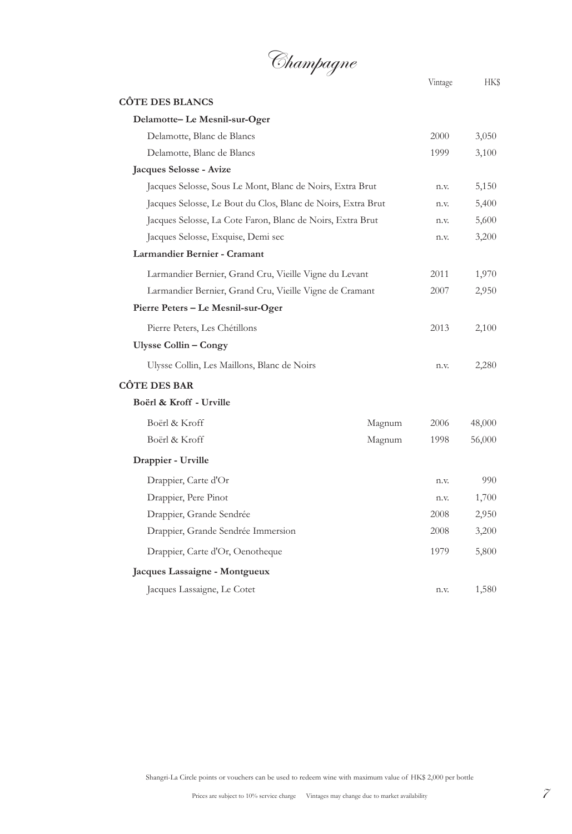

Vintage HK\$ **CÔTE DES BLANCS Delamotte– Le Mesnil-sur-Oger** Delamotte, Blanc de Blancs 2000 3,050 Delamotte, Blanc de Blancs 1999 3,100 **Jacques Selosse - Avize**  Jacques Selosse, Sous Le Mont, Blanc de Noirs, Extra Brut n.v. 5,150 Jacques Selosse, Le Bout du Clos, Blanc de Noirs, Extra Brut n.v. 5,400 Jacques Selosse, La Cote Faron, Blanc de Noirs, Extra Brut n.v. 5,600 Jacques Selosse, Exquise, Demi sec n.v. 3,200 **Larmandier Bernier - Cramant** Larmandier Bernier, Grand Cru, Vieille Vigne du Levant 2011 1,970 Larmandier Bernier, Grand Cru, Vieille Vigne de Cramant 2007 2,950 **Pierre Peters – Le Mesnil-sur-Oger** Pierre Peters, Les Chétillons 2013 2,100 **Ulysse Collin – Congy** Ulysse Collin, Les Maillons, Blanc de Noirs n.v. 2,280 **CÔTE DES BAR Boërl & Kroff - Urville** Boërl & Kroff Magnum 2006 48,000 Boërl & Kroff Magnum 1998 56,000 **Drappier - Urville** Drappier, Carte d'Or n.v. 990 Drappier, Pere Pinot n.v. 1,700 Drappier, Grande Sendrée 2008 2,950 Drappier, Grande Sendrée Immersion 2008 3,200 Drappier, Carte d'Or, Oenotheque 1979 5,800 **Jacques Lassaigne - Montgueux** Jacques Lassaigne, Le Cotet n.v. 1,580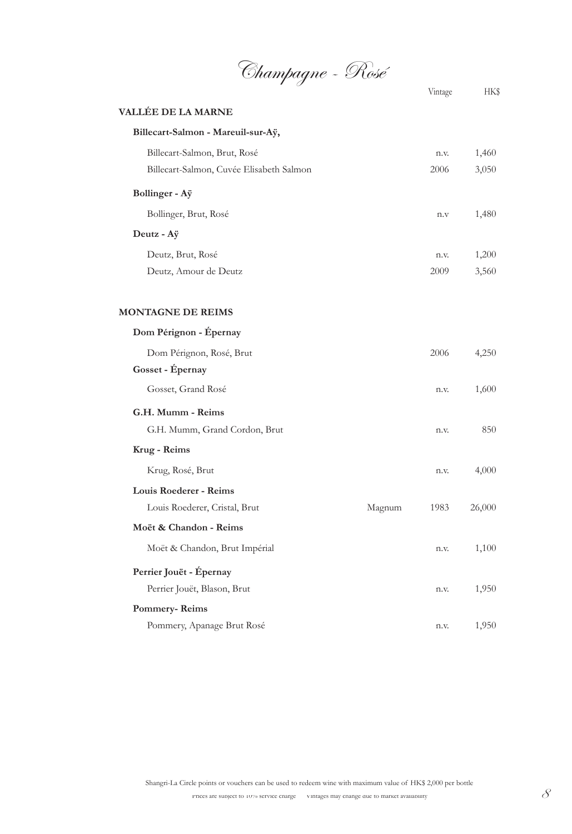Champagne - Rosé

|                                          |        | Vintage | <b>HKS</b> |
|------------------------------------------|--------|---------|------------|
| VALLÉE DE LA MARNE                       |        |         |            |
| Billecart-Salmon - Mareuil-sur-Aÿ,       |        |         |            |
| Billecart-Salmon, Brut, Rosé             |        | n.v.    | 1,460      |
| Billecart-Salmon, Cuvée Elisabeth Salmon |        | 2006    | 3,050      |
| Bollinger - Aÿ                           |        |         |            |
| Bollinger, Brut, Rosé                    |        | n.v     | 1,480      |
| Deutz - Aÿ                               |        |         |            |
| Deutz, Brut, Rosé                        |        | n.v.    | 1,200      |
| Deutz, Amour de Deutz                    |        | 2009    | 3,560      |
| <b>MONTAGNE DE REIMS</b>                 |        |         |            |
| Dom Pérignon - Épernay                   |        |         |            |
| Dom Pérignon, Rosé, Brut                 |        | 2006    | 4,250      |
| Gosset - Épernay                         |        |         |            |
| Gosset, Grand Rosé                       |        | n.v.    | 1,600      |
| G.H. Mumm - Reims                        |        |         |            |
| G.H. Mumm, Grand Cordon, Brut            |        | n.v.    | 850        |
| Krug - Reims                             |        |         |            |
| Krug, Rosé, Brut                         |        | n.v.    | 4,000      |
| Louis Roederer - Reims                   |        |         |            |
| Louis Roederer, Cristal, Brut            | Magnum | 1983    | 26,000     |
| Moët & Chandon - Reims                   |        |         |            |
| Moët & Chandon, Brut Impérial            |        | n.v.    | 1,100      |
| Perrier Jouët - Épernay                  |        |         |            |
| Perrier Jouët, Blason, Brut              |        | n.v.    | 1,950      |
| <b>Pommery-Reims</b>                     |        |         |            |
| Pommery, Apanage Brut Rosé               |        | n.v.    | 1,950      |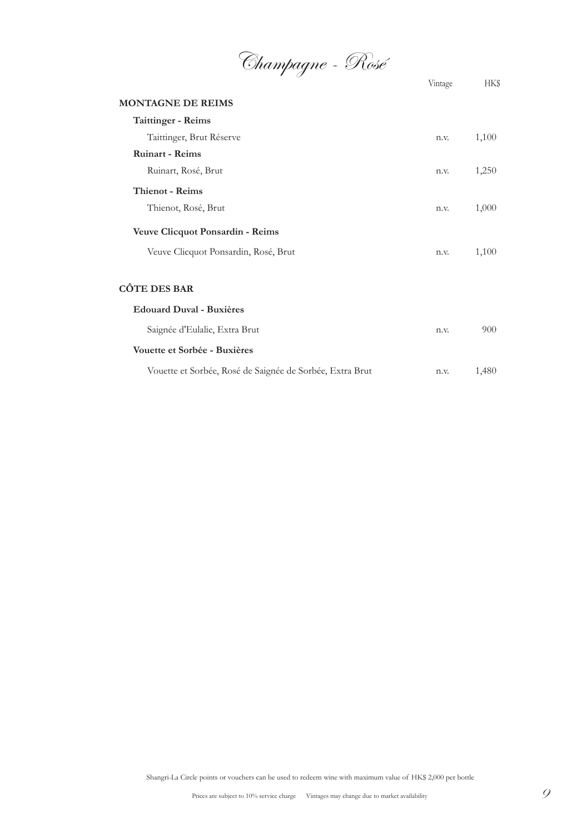Champagne - Rosé

|                                                          | Vintage | <b>HKS</b> |
|----------------------------------------------------------|---------|------------|
| <b>MONTAGNE DE REIMS</b>                                 |         |            |
| <b>Taittinger - Reims</b>                                |         |            |
| Taittinger, Brut Réserve                                 | n.v.    | 1,100      |
| <b>Ruinart - Reims</b>                                   |         |            |
| Ruinart, Rosé, Brut                                      | n.v.    | 1,250      |
| <b>Thienot - Reims</b>                                   |         |            |
| Thienot, Rosé, Brut                                      | n.v.    | 1,000      |
| <b>Veuve Clicquot Ponsardin - Reims</b>                  |         |            |
| Veuve Clicquot Ponsardin, Rosé, Brut                     | n.v.    | 1,100      |
|                                                          |         |            |
| <b>CÔTE DES BAR</b>                                      |         |            |
| <b>Edouard Duval - Buxières</b>                          |         |            |
| Saignée d'Eulalie, Extra Brut                            | n.v.    | 900        |
| Vouette et Sorbée - Buxières                             |         |            |
| Vouette et Sorbée, Rosé de Saignée de Sorbée, Extra Brut | n.v.    | 1,480      |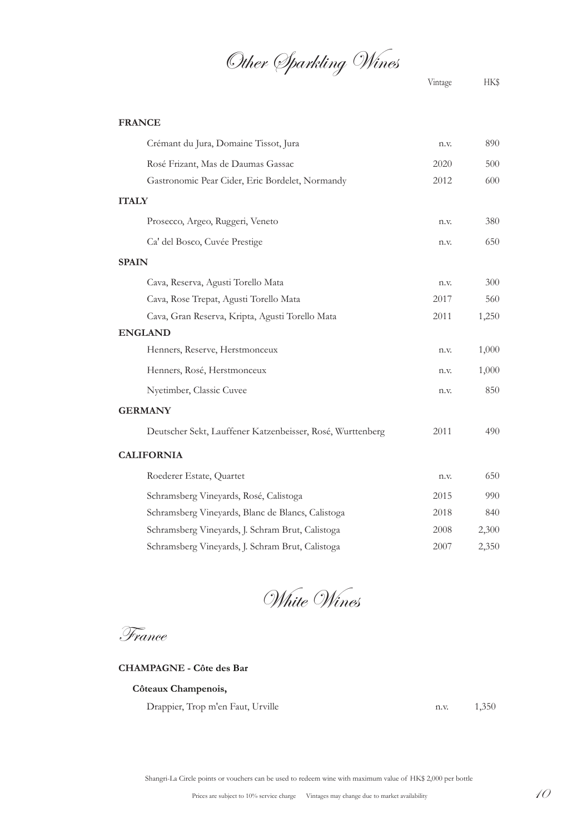Other Sparkling Wines

#### **FRANCE**

| Crémant du Jura, Domaine Tissot, Jura                      | n.v. | 890   |
|------------------------------------------------------------|------|-------|
| Rosé Frizant, Mas de Daumas Gassac                         | 2020 | 500   |
| Gastronomic Pear Cider, Eric Bordelet, Normandy            | 2012 | 600   |
| <b>ITALY</b>                                               |      |       |
| Prosecco, Argeo, Ruggeri, Veneto                           | n.v. | 380   |
| Ca' del Bosco, Cuvée Prestige                              | n.v. | 650   |
| <b>SPAIN</b>                                               |      |       |
| Cava, Reserva, Agusti Torello Mata                         | n.v. | 300   |
| Cava, Rose Trepat, Agusti Torello Mata                     | 2017 | 560   |
| Cava, Gran Reserva, Kripta, Agusti Torello Mata            | 2011 | 1,250 |
| <b>ENGLAND</b>                                             |      |       |
| Henners, Reserve, Herstmonceux                             | n.v. | 1,000 |
| Henners, Rosé, Herstmonceux                                | n.v. | 1,000 |
| Nyetimber, Classic Cuvee                                   | n.v. | 850   |
| <b>GERMANY</b>                                             |      |       |
| Deutscher Sekt, Lauffener Katzenbeisser, Rosé, Wurttenberg | 2011 | 490   |
| <b>CALIFORNIA</b>                                          |      |       |
| Roederer Estate, Quartet                                   | n.v. | 650   |
| Schramsberg Vineyards, Rosé, Calistoga                     | 2015 | 990   |
| Schramsberg Vineyards, Blanc de Blancs, Calistoga          | 2018 | 840   |
| Schramsberg Vineyards, J. Schram Brut, Calistoga           | 2008 | 2,300 |
| Schramsberg Vineyards, J. Schram Brut, Calistoga           | 2007 | 2,350 |

White Wines

France

#### **CHAMPAGNE - Côte des Bar**

### **Côteaux Champenois,**

Drappier, Trop m'en Faut, Urville n.v. 1,350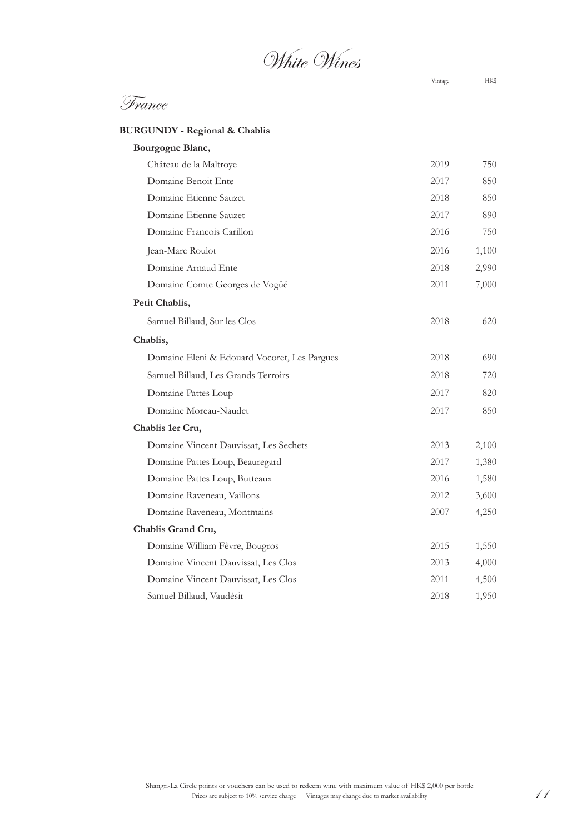# White Wines

Vintage HK\$

| <b>BURGUNDY - Regional &amp; Chablis</b> |  |
|------------------------------------------|--|
| <b>Bourgogne Blanc</b>                   |  |

| Dourgogne Diane,                             |      |       |
|----------------------------------------------|------|-------|
| Château de la Maltroye                       | 2019 | 750   |
| Domaine Benoit Ente                          | 2017 | 850   |
| Domaine Etienne Sauzet                       | 2018 | 850   |
| Domaine Etienne Sauzet                       | 2017 | 890   |
| Domaine Francois Carillon                    | 2016 | 750   |
| Jean-Marc Roulot                             | 2016 | 1,100 |
| Domaine Arnaud Ente                          | 2018 | 2,990 |
| Domaine Comte Georges de Vogüé               | 2011 | 7,000 |
| Petit Chablis,                               |      |       |
| Samuel Billaud, Sur les Clos                 | 2018 | 620   |
| Chablis,                                     |      |       |
| Domaine Eleni & Edouard Vocoret, Les Pargues | 2018 | 690   |
| Samuel Billaud, Les Grands Terroirs          | 2018 | 720   |
| Domaine Pattes Loup                          | 2017 | 820   |
| Domaine Moreau-Naudet                        | 2017 | 850   |
| Chablis 1er Cru,                             |      |       |
| Domaine Vincent Dauvissat, Les Sechets       | 2013 | 2,100 |
| Domaine Pattes Loup, Beauregard              | 2017 | 1,380 |
| Domaine Pattes Loup, Butteaux                | 2016 | 1,580 |
| Domaine Raveneau, Vaillons                   | 2012 | 3,600 |
| Domaine Raveneau, Montmains                  | 2007 | 4,250 |
| Chablis Grand Cru,                           |      |       |
| Domaine William Fèvre, Bougros               | 2015 | 1,550 |
| Domaine Vincent Dauvissat, Les Clos          | 2013 | 4,000 |
| Domaine Vincent Dauvissat, Les Clos          | 2011 | 4,500 |
| Samuel Billaud, Vaudésir                     | 2018 | 1,950 |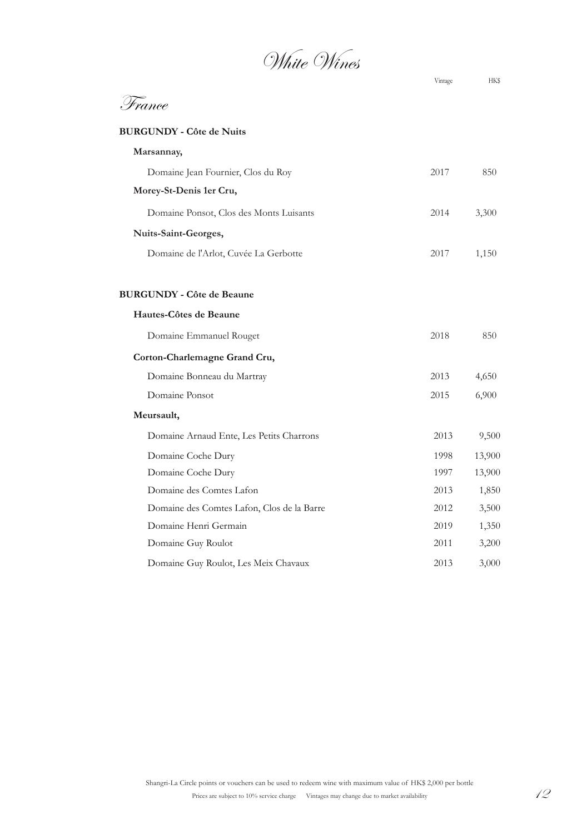White Wines

| France                                     |      |        |
|--------------------------------------------|------|--------|
| <b>BURGUNDY - Côte de Nuits</b>            |      |        |
| Marsannay,                                 |      |        |
| Domaine Jean Fournier, Clos du Roy         | 2017 | 850    |
| Morey-St-Denis 1er Cru,                    |      |        |
| Domaine Ponsot, Clos des Monts Luisants    | 2014 | 3,300  |
| Nuits-Saint-Georges,                       |      |        |
| Domaine de l'Arlot, Cuvée La Gerbotte      | 2017 | 1,150  |
| <b>BURGUNDY - Côte de Beaune</b>           |      |        |
| Hautes-Côtes de Beaune                     |      |        |
| Domaine Emmanuel Rouget                    | 2018 | 850    |
| Corton-Charlemagne Grand Cru,              |      |        |
| Domaine Bonneau du Martray                 | 2013 | 4,650  |
| Domaine Ponsot                             | 2015 | 6,900  |
| Meursault,                                 |      |        |
| Domaine Arnaud Ente, Les Petits Charrons   | 2013 | 9,500  |
| Domaine Coche Dury                         | 1998 | 13,900 |
| Domaine Coche Dury                         | 1997 | 13,900 |
| Domaine des Comtes Lafon                   | 2013 | 1,850  |
| Domaine des Comtes Lafon, Clos de la Barre | 2012 | 3,500  |
| Domaine Henri Germain                      | 2019 | 1,350  |
| Domaine Guy Roulot                         | 2011 | 3,200  |
| Domaine Guy Roulot, Les Meix Chavaux       | 2013 | 3,000  |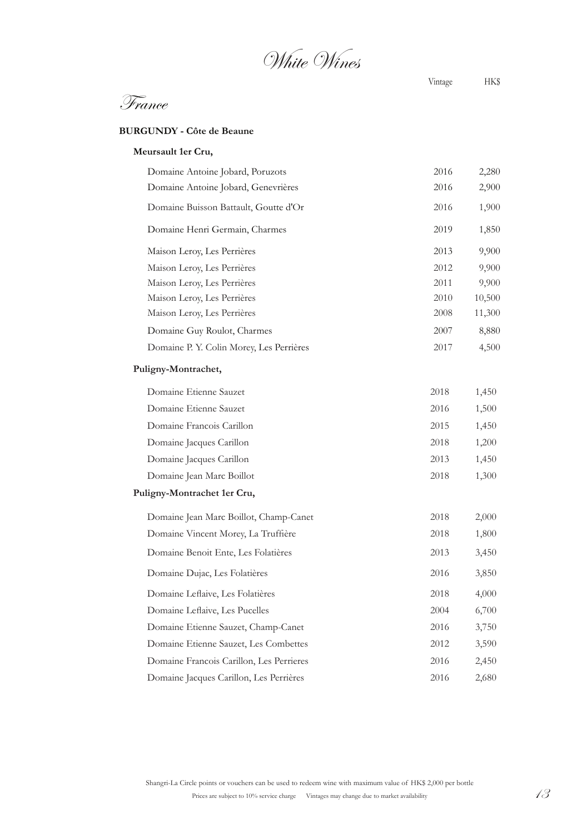White Wines

France

#### **BURGUNDY - Côte de Beaune**

#### **Meursault 1er Cru,**

| Domaine Antoine Jobard, Poruzots         | 2016 | 2,280  |
|------------------------------------------|------|--------|
| Domaine Antoine Jobard, Genevrières      | 2016 | 2,900  |
| Domaine Buisson Battault, Goutte d'Or    | 2016 | 1,900  |
| Domaine Henri Germain, Charmes           | 2019 | 1,850  |
| Maison Leroy, Les Perrières              | 2013 | 9,900  |
| Maison Leroy, Les Perrières              | 2012 | 9,900  |
| Maison Leroy, Les Perrières              | 2011 | 9,900  |
| Maison Leroy, Les Perrières              | 2010 | 10,500 |
| Maison Leroy, Les Perrières              | 2008 | 11,300 |
| Domaine Guy Roulot, Charmes              | 2007 | 8,880  |
| Domaine P. Y. Colin Morey, Les Perrières | 2017 | 4,500  |
| Puligny-Montrachet,                      |      |        |
| Domaine Etienne Sauzet                   | 2018 | 1,450  |
| Domaine Etienne Sauzet                   | 2016 | 1,500  |
| Domaine Francois Carillon                | 2015 | 1,450  |
| Domaine Jacques Carillon                 | 2018 | 1,200  |
| Domaine Jacques Carillon                 | 2013 | 1,450  |
| Domaine Jean Marc Boillot                | 2018 | 1,300  |
| Puligny-Montrachet 1er Cru,              |      |        |
| Domaine Jean Marc Boillot, Champ-Canet   | 2018 | 2,000  |
| Domaine Vincent Morey, La Truffière      | 2018 | 1,800  |
| Domaine Benoit Ente, Les Folatières      | 2013 | 3,450  |
| Domaine Dujac, Les Folatières            | 2016 | 3,850  |
| Domaine Leflaive, Les Folatières         | 2018 | 4,000  |
| Domaine Leflaive, Les Pucelles           | 2004 | 6,700  |
| Domaine Etienne Sauzet, Champ-Canet      | 2016 | 3,750  |
| Domaine Etienne Sauzet, Les Combettes    | 2012 | 3,590  |
| Domaine Francois Carillon, Les Perrieres | 2016 | 2,450  |
| Domaine Jacques Carillon, Les Perrières  | 2016 | 2,680  |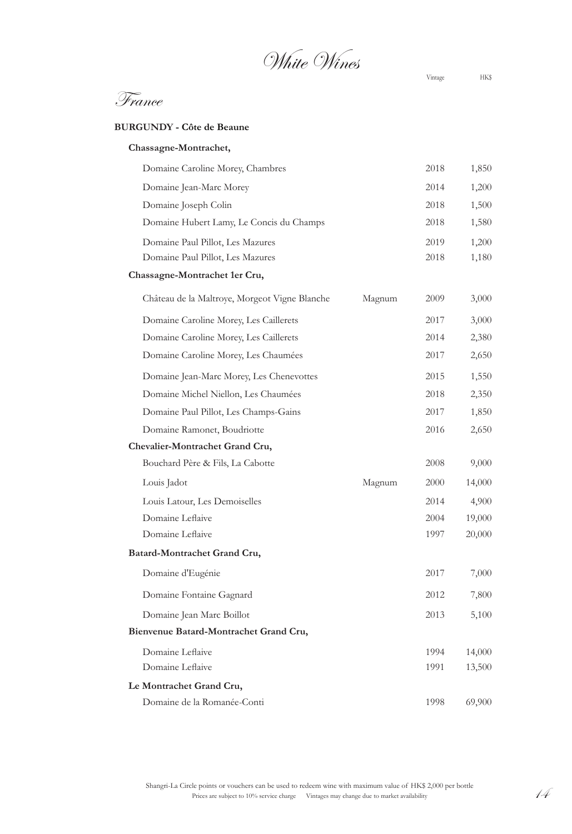White Wines

France

#### **BURGUNDY - Côte de Beaune**

| Chassagne-Montrachet,                         |        |      |        |
|-----------------------------------------------|--------|------|--------|
| Domaine Caroline Morey, Chambres              |        | 2018 | 1,850  |
| Domaine Jean-Marc Morey                       |        | 2014 | 1,200  |
| Domaine Joseph Colin                          |        | 2018 | 1,500  |
| Domaine Hubert Lamy, Le Concis du Champs      |        | 2018 | 1,580  |
| Domaine Paul Pillot, Les Mazures              |        | 2019 | 1,200  |
| Domaine Paul Pillot, Les Mazures              |        | 2018 | 1,180  |
| Chassagne-Montrachet 1er Cru,                 |        |      |        |
| Château de la Maltroye, Morgeot Vigne Blanche | Magnum | 2009 | 3,000  |
| Domaine Caroline Morey, Les Caillerets        |        | 2017 | 3,000  |
| Domaine Caroline Morey, Les Caillerets        |        | 2014 | 2,380  |
| Domaine Caroline Morey, Les Chaumées          |        | 2017 | 2,650  |
| Domaine Jean-Marc Morey, Les Chenevottes      |        | 2015 | 1,550  |
| Domaine Michel Niellon, Les Chaumées          |        | 2018 | 2,350  |
| Domaine Paul Pillot, Les Champs-Gains         |        | 2017 | 1,850  |
| Domaine Ramonet, Boudriotte                   |        | 2016 | 2,650  |
| Chevalier-Montrachet Grand Cru,               |        |      |        |
| Bouchard Père & Fils, La Cabotte              |        | 2008 | 9,000  |
| Louis Jadot                                   | Magnum | 2000 | 14,000 |
| Louis Latour, Les Demoiselles                 |        | 2014 | 4,900  |
| Domaine Leflaive                              |        | 2004 | 19,000 |
| Domaine Leflaive                              |        | 1997 | 20,000 |
| Batard-Montrachet Grand Cru,                  |        |      |        |
| Domaine d'Eugénie                             |        | 2017 | 7,000  |
| Domaine Fontaine Gagnard                      |        | 2012 | 7,800  |
| Domaine Jean Marc Boillot                     |        | 2013 | 5,100  |
| Bienvenue Batard-Montrachet Grand Cru,        |        |      |        |
| Domaine Leflaive                              |        | 1994 | 14,000 |
| Domaine Leflaive                              |        | 1991 | 13,500 |
| Le Montrachet Grand Cru,                      |        |      |        |
| Domaine de la Romanée-Conti                   |        | 1998 | 69,900 |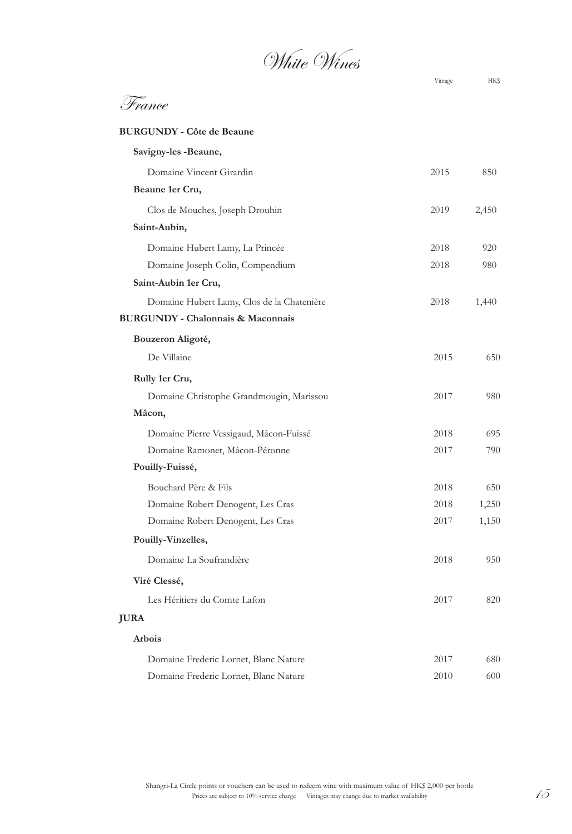White Wines

| France |
|--------|
|        |

#### **BURGUNDY - Côte de Beaune**

| Savigny-les -Beaune,                         |      |       |
|----------------------------------------------|------|-------|
| Domaine Vincent Girardin                     | 2015 | 850   |
| Beaune 1er Cru,                              |      |       |
| Clos de Mouches, Joseph Drouhin              | 2019 | 2,450 |
| Saint-Aubin,                                 |      |       |
| Domaine Hubert Lamy, La Princée              | 2018 | 920   |
| Domaine Joseph Colin, Compendium             | 2018 | 980   |
| Saint-Aubin 1er Cru,                         |      |       |
| Domaine Hubert Lamy, Clos de la Chatenière   | 2018 | 1,440 |
| <b>BURGUNDY - Chalonnais &amp; Maconnais</b> |      |       |
| Bouzeron Aligoté,                            |      |       |
| De Villaine                                  | 2015 | 650   |
| Rully 1er Cru,                               |      |       |
| Domaine Christophe Grandmougin, Marissou     | 2017 | 980   |
| Mâcon,                                       |      |       |
| Domaine Pierre Vessigaud, Mâcon-Fuissé       | 2018 | 695   |
| Domaine Ramonet, Mâcon-Péronne               | 2017 | 790   |
| Pouilly-Fuissé,                              |      |       |
| Bouchard Père & Fils                         | 2018 | 650   |
| Domaine Robert Denogent, Les Cras            | 2018 | 1,250 |
| Domaine Robert Denogent, Les Cras            | 2017 | 1,150 |
| Pouilly-Vinzelles,                           |      |       |
| Domaine La Soufrandière                      | 2018 | 950   |
| Viré Clessé,                                 |      |       |
| Les Héritiers du Comte Lafon                 | 2017 | 820   |
| <b>JURA</b>                                  |      |       |
| Arbois                                       |      |       |
| Domaine Frederic Lornet, Blanc Nature        | 2017 | 680   |
| Domaine Frederic Lornet, Blanc Nature        | 2010 | 600   |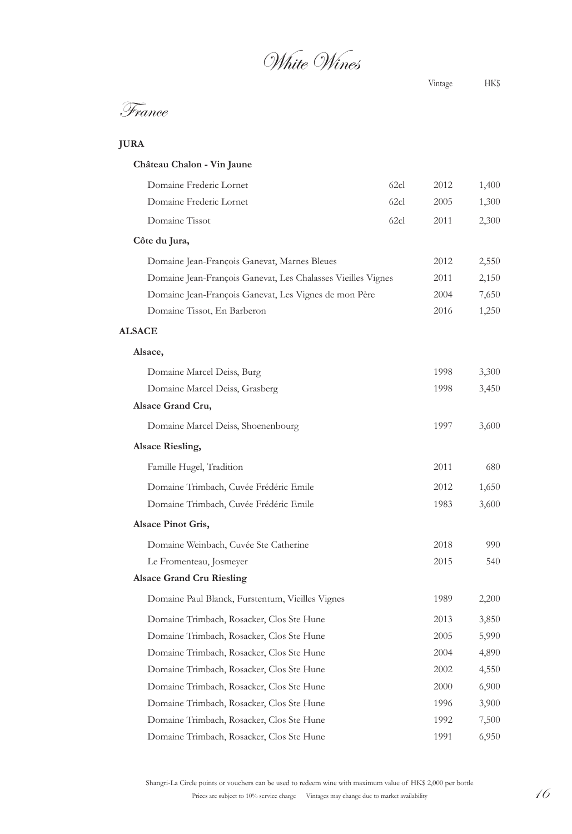White Wines

## France

| <b>JURA</b> |
|-------------|
|-------------|

| Château Chalon - Vin Jaune                                   |      |      |       |
|--------------------------------------------------------------|------|------|-------|
| Domaine Frederic Lornet                                      | 62cl | 2012 | 1,400 |
| Domaine Frederic Lornet                                      | 62cl | 2005 | 1,300 |
| Domaine Tissot                                               | 62cl | 2011 | 2,300 |
| Côte du Jura,                                                |      |      |       |
| Domaine Jean-François Ganevat, Marnes Bleues                 |      | 2012 | 2,550 |
| Domaine Jean-François Ganevat, Les Chalasses Vieilles Vignes |      | 2011 | 2,150 |
| Domaine Jean-François Ganevat, Les Vignes de mon Père        |      | 2004 | 7,650 |
| Domaine Tissot, En Barberon                                  |      | 2016 | 1,250 |
| <b>ALSACE</b>                                                |      |      |       |
| Alsace,                                                      |      |      |       |
| Domaine Marcel Deiss, Burg                                   |      | 1998 | 3,300 |
| Domaine Marcel Deiss, Grasberg                               |      | 1998 | 3,450 |
| Alsace Grand Cru,                                            |      |      |       |
| Domaine Marcel Deiss, Shoenenbourg                           |      | 1997 | 3,600 |
| <b>Alsace Riesling,</b>                                      |      |      |       |
| Famille Hugel, Tradition                                     |      | 2011 | 680   |
| Domaine Trimbach, Cuvée Frédéric Emile                       |      | 2012 | 1,650 |
| Domaine Trimbach, Cuvée Frédéric Emile                       |      | 1983 | 3,600 |
| <b>Alsace Pinot Gris,</b>                                    |      |      |       |
| Domaine Weinbach, Cuvée Ste Catherine                        |      | 2018 | 990   |
| Le Fromenteau, Josmeyer                                      |      | 2015 | 540   |
| <b>Alsace Grand Cru Riesling</b>                             |      |      |       |
| Domaine Paul Blanck, Furstentum, Vieilles Vignes             |      | 1989 | 2,200 |
| Domaine Trimbach, Rosacker, Clos Ste Hune                    |      | 2013 | 3,850 |
| Domaine Trimbach, Rosacker, Clos Ste Hune                    |      | 2005 | 5,990 |
| Domaine Trimbach, Rosacker, Clos Ste Hune                    |      | 2004 | 4,890 |
| Domaine Trimbach, Rosacker, Clos Ste Hune                    |      | 2002 | 4,550 |
| Domaine Trimbach, Rosacker, Clos Ste Hune                    |      | 2000 | 6,900 |
| Domaine Trimbach, Rosacker, Clos Ste Hune                    |      | 1996 | 3,900 |
| Domaine Trimbach, Rosacker, Clos Ste Hune                    |      | 1992 | 7,500 |
| Domaine Trimbach, Rosacker, Clos Ste Hune                    |      | 1991 | 6,950 |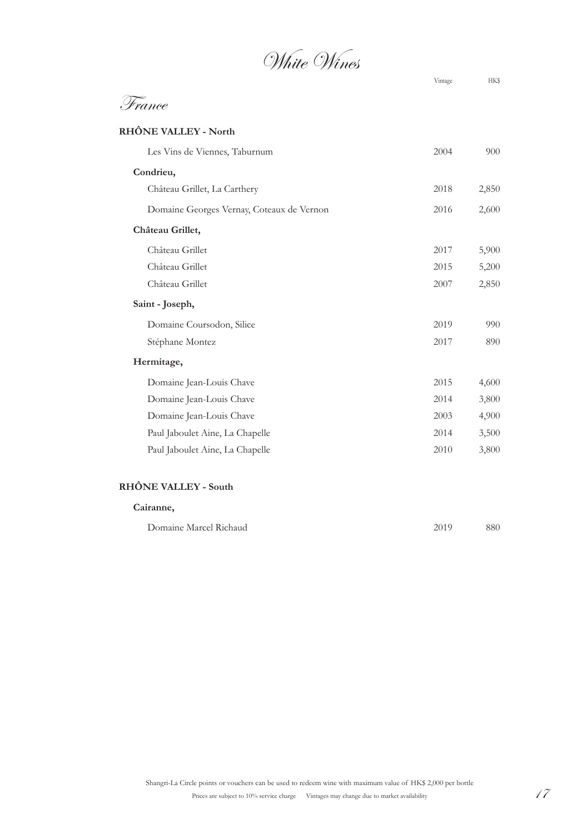White Wines

| <sup>b</sup> rance                        |      |       |
|-------------------------------------------|------|-------|
| <b>RHÔNE VALLEY - North</b>               |      |       |
| Les Vins de Viennes, Taburnum             | 2004 | 900   |
| Condrieu,                                 |      |       |
| Château Grillet, La Carthery              | 2018 | 2,850 |
| Domaine Georges Vernay, Coteaux de Vernon | 2016 | 2,600 |
| Château Grillet,                          |      |       |
| Château Grillet                           | 2017 | 5,900 |
| Château Grillet                           | 2015 | 5,200 |
| Château Grillet                           | 2007 | 2,850 |
| Saint - Joseph,                           |      |       |
| Domaine Coursodon, Silice                 | 2019 | 990   |
| Stéphane Montez                           | 2017 | 890   |
| Hermitage,                                |      |       |
| Domaine Jean-Louis Chave                  | 2015 | 4,600 |
| Domaine Jean-Louis Chave                  | 2014 | 3,800 |
| Domaine Jean-Louis Chave                  | 2003 | 4,900 |
| Paul Jaboulet Aine, La Chapelle           | 2014 | 3,500 |
| Paul Jaboulet Aine, La Chapelle           | 2010 | 3,800 |
| <b>RHÔNE VALLEY - South</b>               |      |       |
| Cairanne,                                 |      |       |
| Domaine Marcel Richaud                    | 2019 | 880   |

Prices are subject to 10% service charge Vintages may change due to market availability 17 Shangri-La Circle points or vouchers can be used to redeem wine with maximum value of HK\$ 2,000 per bottle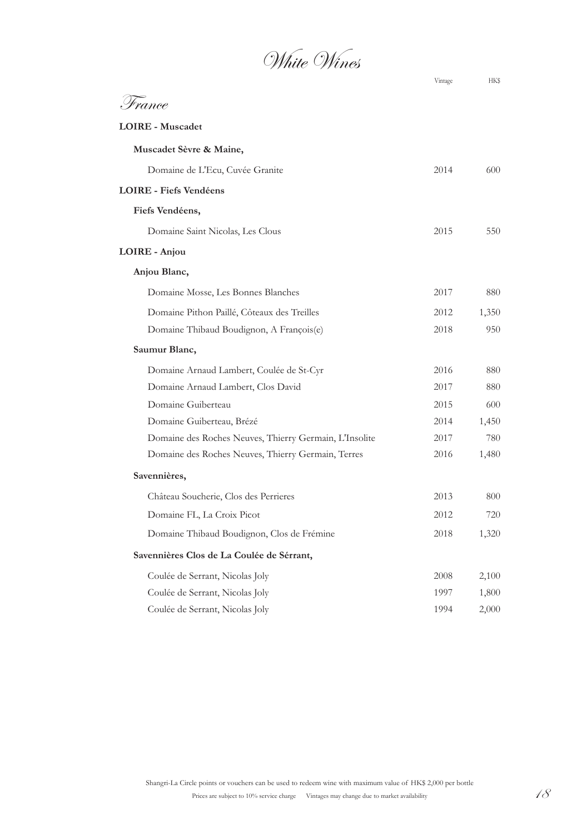White Wines

|                                                        | Vintage | HKS   |
|--------------------------------------------------------|---------|-------|
| France                                                 |         |       |
| <b>LOIRE - Muscadet</b>                                |         |       |
| Muscadet Sèvre & Maine,                                |         |       |
| Domaine de L'Ecu, Cuvée Granite                        | 2014    | 600   |
| <b>LOIRE</b> - Fiefs Vendéens                          |         |       |
| Fiefs Vendéens,                                        |         |       |
| Domaine Saint Nicolas, Les Clous                       | 2015    | 550   |
| LOIRE - Anjou                                          |         |       |
| Anjou Blanc,                                           |         |       |
| Domaine Mosse, Les Bonnes Blanches                     | 2017    | 880   |
| Domaine Pithon Paillé, Côteaux des Treilles            | 2012    | 1,350 |
| Domaine Thibaud Boudignon, A François(e)               | 2018    | 950   |
| Saumur Blanc,                                          |         |       |
| Domaine Arnaud Lambert, Coulée de St-Cyr               | 2016    | 880   |
| Domaine Arnaud Lambert, Clos David                     | 2017    | 880   |
| Domaine Guiberteau                                     | 2015    | 600   |
| Domaine Guiberteau, Brézé                              | 2014    | 1,450 |
| Domaine des Roches Neuves, Thierry Germain, L'Insolite | 2017    | 780   |
| Domaine des Roches Neuves, Thierry Germain, Terres     | 2016    | 1,480 |
| Savennières,                                           |         |       |
| Château Soucherie, Clos des Perrieres                  | 2013    | 800   |
| Domaine FL, La Croix Picot                             | 2012    | 720   |
| Domaine Thibaud Boudignon, Clos de Frémine             | 2018    | 1,320 |
| Savennières Clos de La Coulée de Sérrant,              |         |       |
| Coulée de Serrant, Nicolas Joly                        | 2008    | 2,100 |
| Coulée de Serrant, Nicolas Joly                        | 1997    | 1,800 |
| Coulée de Serrant, Nicolas Joly                        | 1994    | 2,000 |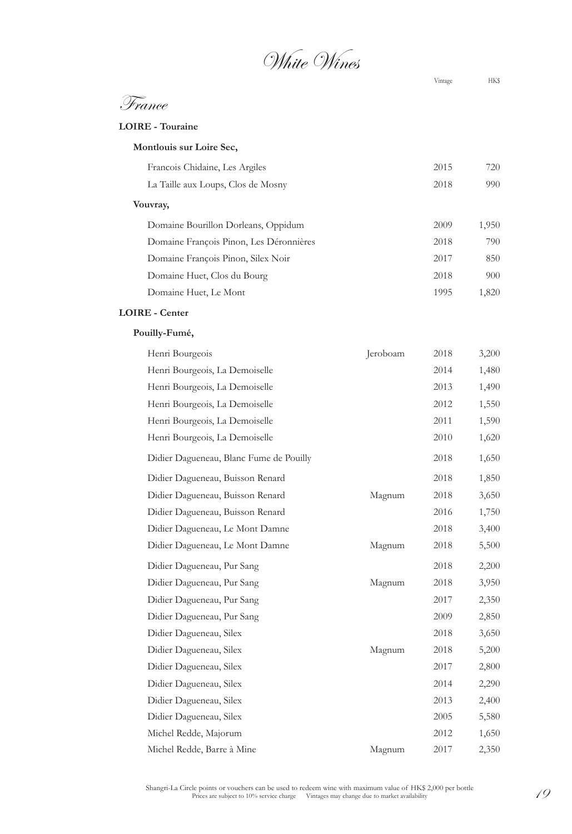White Wines

France

Vintage HK\$

#### **LOIRE - Touraine**

| Montlouis sur Loire Sec, |
|--------------------------|
|--------------------------|

| Francois Chidaine, Les Argiles          | 2015 | 720   |
|-----------------------------------------|------|-------|
| La Taille aux Loups, Clos de Mosny      | 2018 | 990   |
| Vouvray,                                |      |       |
| Domaine Bourillon Dorleans, Oppidum     | 2009 | 1,950 |
| Domaine François Pinon, Les Déronnières | 2018 | 790   |
| Domaine François Pinon, Silex Noir      | 2017 | 850   |
| Domaine Huet, Clos du Bourg             | 2018 | 900   |
| Domaine Huet, Le Mont                   | 1995 | 1,820 |

#### **LOIRE - Center**

#### **Pouilly-Fumé,**

| Henri Bourgeois                         | Jeroboam | 2018 | 3,200 |
|-----------------------------------------|----------|------|-------|
| Henri Bourgeois, La Demoiselle          |          | 2014 | 1,480 |
| Henri Bourgeois, La Demoiselle          |          | 2013 | 1,490 |
| Henri Bourgeois, La Demoiselle          |          | 2012 | 1,550 |
| Henri Bourgeois, La Demoiselle          |          | 2011 | 1,590 |
| Henri Bourgeois, La Demoiselle          |          | 2010 | 1,620 |
| Didier Dagueneau, Blanc Fume de Pouilly |          | 2018 | 1,650 |
| Didier Dagueneau, Buisson Renard        |          | 2018 | 1,850 |
| Didier Dagueneau, Buisson Renard        | Magnum   | 2018 | 3,650 |
| Didier Dagueneau, Buisson Renard        |          | 2016 | 1,750 |
| Didier Dagueneau, Le Mont Damne         |          | 2018 | 3,400 |
| Didier Dagueneau, Le Mont Damne         | Magnum   | 2018 | 5,500 |
| Didier Dagueneau, Pur Sang              |          | 2018 | 2,200 |
| Didier Dagueneau, Pur Sang              | Magnum   | 2018 | 3,950 |
| Didier Dagueneau, Pur Sang              |          | 2017 | 2,350 |
| Didier Dagueneau, Pur Sang              |          | 2009 | 2,850 |
| Didier Dagueneau, Silex                 |          | 2018 | 3,650 |
| Didier Dagueneau, Silex                 | Magnum   | 2018 | 5,200 |
| Didier Dagueneau, Silex                 |          | 2017 | 2,800 |
| Didier Dagueneau, Silex                 |          | 2014 | 2,290 |
| Didier Dagueneau, Silex                 |          | 2013 | 2,400 |
| Didier Dagueneau, Silex                 |          | 2005 | 5,580 |
| Michel Redde, Majorum                   |          | 2012 | 1,650 |
| Michel Redde, Barre à Mine              | Magnum   | 2017 | 2,350 |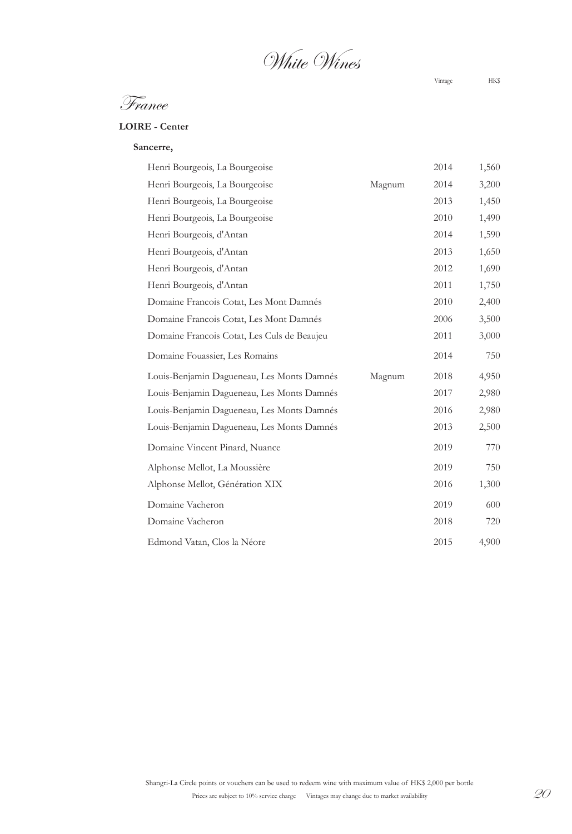White Wines

Vintage HK\$

France

#### **LOIRE - Center**

**Sancerre,**

| Henri Bourgeois, La Bourgeoise              |        | 2014 | 1,560 |
|---------------------------------------------|--------|------|-------|
| Henri Bourgeois, La Bourgeoise              | Magnum | 2014 | 3,200 |
| Henri Bourgeois, La Bourgeoise              |        | 2013 | 1,450 |
| Henri Bourgeois, La Bourgeoise              |        | 2010 | 1,490 |
| Henri Bourgeois, d'Antan                    |        | 2014 | 1,590 |
| Henri Bourgeois, d'Antan                    |        | 2013 | 1,650 |
| Henri Bourgeois, d'Antan                    |        | 2012 | 1,690 |
| Henri Bourgeois, d'Antan                    |        | 2011 | 1,750 |
| Domaine Francois Cotat, Les Mont Damnés     |        | 2010 | 2,400 |
| Domaine Francois Cotat, Les Mont Damnés     |        | 2006 | 3,500 |
| Domaine Francois Cotat, Les Culs de Beaujeu |        | 2011 | 3,000 |
| Domaine Fouassier, Les Romains              |        | 2014 | 750   |
| Louis-Benjamin Dagueneau, Les Monts Damnés  | Magnum | 2018 | 4,950 |
| Louis-Benjamin Dagueneau, Les Monts Damnés  |        | 2017 | 2,980 |
| Louis-Benjamin Dagueneau, Les Monts Damnés  |        | 2016 | 2,980 |
| Louis-Benjamin Dagueneau, Les Monts Damnés  |        | 2013 | 2,500 |
| Domaine Vincent Pinard, Nuance              |        | 2019 | 770   |
| Alphonse Mellot, La Moussière               |        | 2019 | 750   |
| Alphonse Mellot, Génération XIX             |        | 2016 | 1,300 |
| Domaine Vacheron                            |        | 2019 | 600   |
| Domaine Vacheron                            |        | 2018 | 720   |
| Edmond Vatan, Clos la Néore                 |        | 2015 | 4,900 |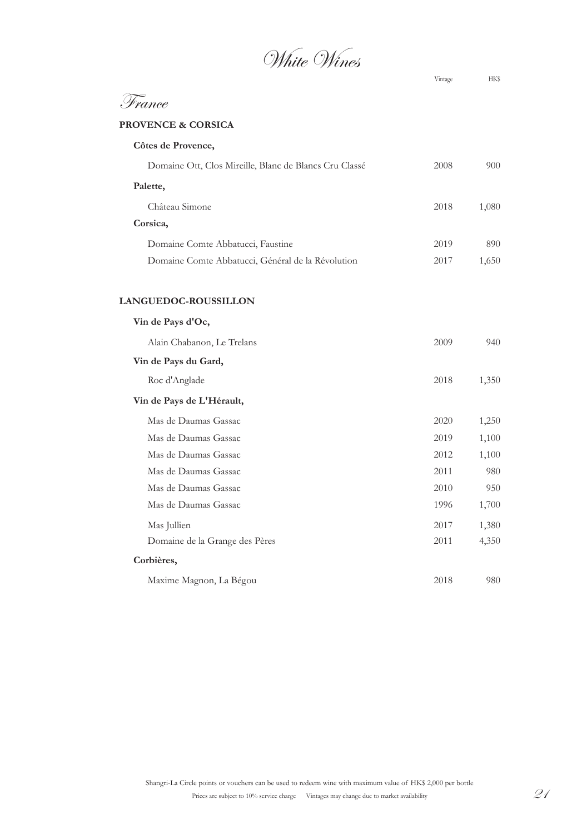White Wines

| rance                                                  |      |       |
|--------------------------------------------------------|------|-------|
| <b>PROVENCE &amp; CORSICA</b>                          |      |       |
| Côtes de Provence,                                     |      |       |
| Domaine Ott, Clos Mireille, Blanc de Blancs Cru Classé | 2008 | 900   |
| Palette,                                               |      |       |
| Château Simone                                         | 2018 | 1,080 |
| Corsica,                                               |      |       |
| Domaine Comte Abbatucci, Faustine                      | 2019 | 890   |
| Domaine Comte Abbatucci, Général de la Révolution      | 2017 | 1,650 |
| LANGUEDOC-ROUSSILLON                                   |      |       |
| Vin de Pays d'Oc,                                      |      |       |
| Alain Chabanon, Le Trelans                             | 2009 | 940   |
| Vin de Pays du Gard,                                   |      |       |
| Roc d'Anglade                                          | 2018 | 1,350 |
| Vin de Pays de L'Hérault,                              |      |       |
| Mas de Daumas Gassac                                   | 2020 | 1,250 |
| Mas de Daumas Gassac                                   | 2019 | 1,100 |
| Mas de Daumas Gassac                                   | 2012 | 1,100 |
| Mas de Daumas Gassac                                   | 2011 | 980   |
| Mas de Daumas Gassac                                   | 2010 | 950   |
| Mas de Daumas Gassac                                   | 1996 | 1,700 |
| Mas Jullien                                            | 2017 | 1,380 |
| Domaine de la Grange des Pères                         | 2011 | 4,350 |
| Corbières,                                             |      |       |
| Maxime Magnon, La Bégou                                | 2018 | 980   |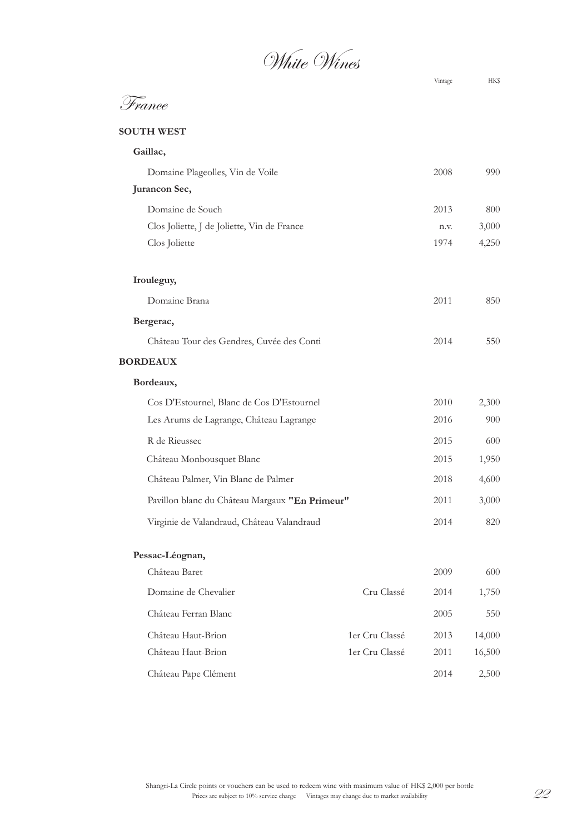White Wines

France

#### **SOUTH WEST**

| Gaillac,                                       |                |      |        |
|------------------------------------------------|----------------|------|--------|
| Domaine Plageolles, Vin de Voile               |                | 2008 | 990    |
| Jurancon Sec,                                  |                |      |        |
| Domaine de Souch                               |                | 2013 | 800    |
| Clos Joliette, J de Joliette, Vin de France    |                | n.v. | 3,000  |
| Clos Joliette                                  |                | 1974 | 4,250  |
| Irouleguy,                                     |                |      |        |
| Domaine Brana                                  |                | 2011 | 850    |
| Bergerac,                                      |                |      |        |
| Château Tour des Gendres, Cuvée des Conti      |                | 2014 | 550    |
| <b>BORDEAUX</b>                                |                |      |        |
| Bordeaux,                                      |                |      |        |
| Cos D'Estournel, Blanc de Cos D'Estournel      |                | 2010 | 2,300  |
| Les Arums de Lagrange, Château Lagrange        |                | 2016 | 900    |
| R de Rieussec                                  |                | 2015 | 600    |
| Château Monbousquet Blanc                      |                | 2015 | 1,950  |
| Château Palmer, Vin Blanc de Palmer            |                | 2018 | 4,600  |
| Pavillon blanc du Château Margaux "En Primeur" |                | 2011 | 3,000  |
| Virginie de Valandraud, Château Valandraud     |                | 2014 | 820    |
| Pessac-Léognan,                                |                |      |        |
| Château Baret                                  |                | 2009 | 600    |
| Domaine de Chevalier                           | Cru Classé     | 2014 | 1,750  |
| Château Ferran Blanc                           |                | 2005 | 550    |
| Château Haut-Brion                             | 1er Cru Classé | 2013 | 14,000 |
| Château Haut-Brion                             | 1er Cru Classé | 2011 | 16,500 |
| Château Pape Clément                           |                | 2014 | 2,500  |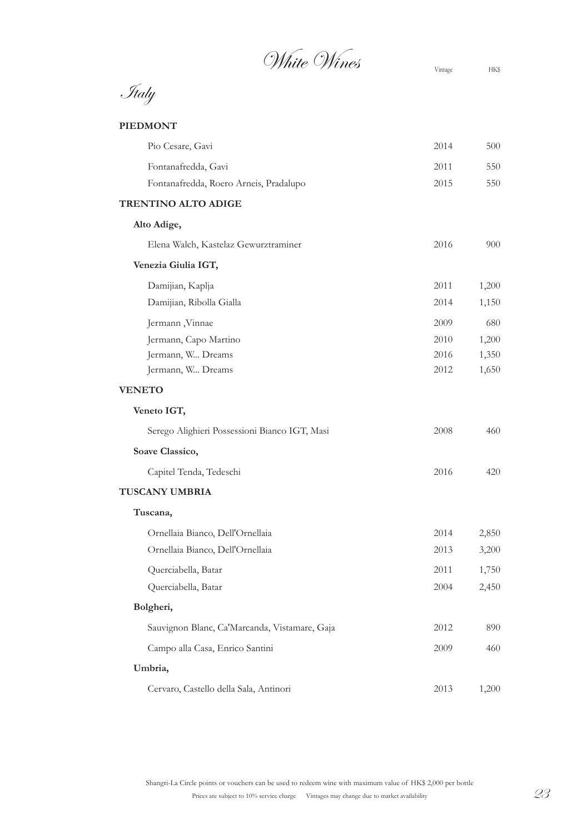$\mathscr{N}$ hite Wines  $\mathscr{N}$ <sup>Vintage</sup> HK\$

Italy

#### **PIEDMONT**

| Pio Cesare, Gavi                              | 2014 | 500   |
|-----------------------------------------------|------|-------|
| Fontanafredda, Gavi                           | 2011 | 550   |
| Fontanafredda, Roero Arneis, Pradalupo        | 2015 | 550   |
| <b>TRENTINO ALTO ADIGE</b>                    |      |       |
| Alto Adige,                                   |      |       |
| Elena Walch, Kastelaz Gewurztraminer          | 2016 | 900   |
| Venezia Giulia IGT,                           |      |       |
| Damijian, Kaplja                              | 2011 | 1,200 |
| Damijian, Ribolla Gialla                      | 2014 | 1,150 |
| Jermann, Vinnae                               | 2009 | 680   |
| Jermann, Capo Martino                         | 2010 | 1,200 |
| Jermann, W Dreams                             | 2016 | 1,350 |
| Jermann, W Dreams                             | 2012 | 1,650 |
| <b>VENETO</b>                                 |      |       |
| Veneto IGT,                                   |      |       |
| Serego Alighieri Possessioni Bianco IGT, Masi | 2008 | 460   |
| Soave Classico,                               |      |       |
| Capitel Tenda, Tedeschi                       | 2016 | 420   |
| TUSCANY UMBRIA                                |      |       |
| Tuscana,                                      |      |       |
| Ornellaia Bianco, Dell'Ornellaia              | 2014 | 2,850 |
| Ornellaia Bianco, Dell'Ornellaia              | 2013 | 3,200 |
| Querciabella, Batar                           | 2011 | 1,750 |
| Querciabella, Batar                           | 2004 | 2,450 |
| Bolgheri,                                     |      |       |
| Sauvignon Blanc, Ca'Marcanda, Vistamare, Gaja | 2012 | 890   |
| Campo alla Casa, Enrico Santini               | 2009 | 460   |
| Umbria,                                       |      |       |
| Cervaro, Castello della Sala, Antinori        | 2013 | 1,200 |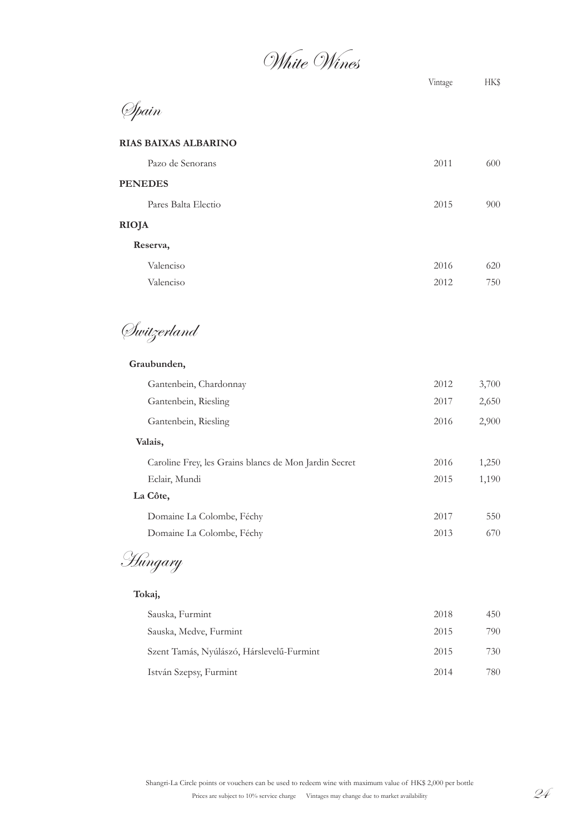White Wines

## Spain

### **RIAS BAIXAS ALBARINO**

| Pazo de Senorans    | 2011 | 600 |
|---------------------|------|-----|
| <b>PENEDES</b>      |      |     |
| Pares Balta Electio | 2015 | 900 |
| <b>RIOJA</b>        |      |     |
| Reserva,            |      |     |

| Valenciso | 2016 | 620 |
|-----------|------|-----|
| Valenciso | 2012 | 750 |

Switzerland

#### **Graubunden,**

| Gantenbein, Chardonnay                                | 2012 | 3,700 |
|-------------------------------------------------------|------|-------|
| Gantenbein, Riesling                                  | 2017 | 2,650 |
| Gantenbein, Riesling                                  | 2016 | 2,900 |
| Valais,                                               |      |       |
| Caroline Frey, les Grains blancs de Mon Jardin Secret | 2016 | 1,250 |
| Eclair, Mundi                                         | 2015 | 1,190 |
| La Côte,                                              |      |       |
| Domaine La Colombe, Féchy                             | 2017 | 550   |
| Domaine La Colombe, Féchy                             | 2013 | 670   |
|                                                       |      |       |

Hungary

#### **Tokaj,**

| Sauska, Furmint                           | 2018 | 450 |
|-------------------------------------------|------|-----|
| Sauska, Medve, Furmint                    | 2015 | 790 |
| Szent Tamás, Nyúlászó, Hárslevelű-Furmint | 2015 | 730 |
| István Szepsy, Furmint                    | 2014 | 780 |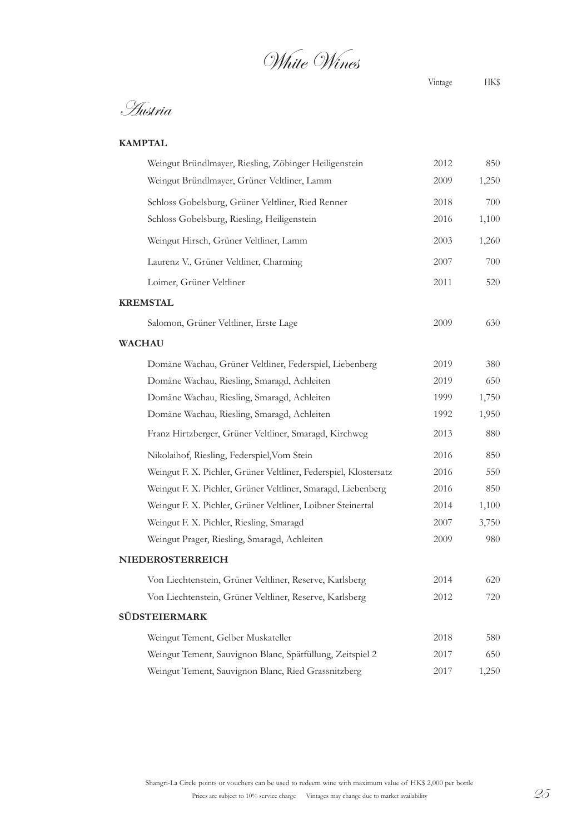White Wines

Austria

| Weingut Bründlmayer, Riesling, Zöbinger Heiligenstein            | 2012 | 850   |
|------------------------------------------------------------------|------|-------|
| Weingut Bründlmayer, Grüner Veltliner, Lamm                      | 2009 | 1,250 |
| Schloss Gobelsburg, Grüner Veltliner, Ried Renner                | 2018 | 700   |
| Schloss Gobelsburg, Riesling, Heiligenstein                      | 2016 | 1,100 |
| Weingut Hirsch, Grüner Veltliner, Lamm                           | 2003 | 1,260 |
| Laurenz V., Grüner Veltliner, Charming                           | 2007 | 700   |
| Loimer, Grüner Veltliner                                         | 2011 | 520   |
| <b>KREMSTAL</b>                                                  |      |       |
| Salomon, Grüner Veltliner, Erste Lage                            | 2009 | 630   |
| <b>WACHAU</b>                                                    |      |       |
| Domäne Wachau, Grüner Veltliner, Federspiel, Liebenberg          | 2019 | 380   |
| Domäne Wachau, Riesling, Smaragd, Achleiten                      | 2019 | 650   |
| Domäne Wachau, Riesling, Smaragd, Achleiten                      | 1999 | 1,750 |
| Domäne Wachau, Riesling, Smaragd, Achleiten                      | 1992 | 1,950 |
| Franz Hirtzberger, Grüner Veltliner, Smaragd, Kirchweg           | 2013 | 880   |
| Nikolaihof, Riesling, Federspiel, Vom Stein                      | 2016 | 850   |
| Weingut F. X. Pichler, Grüner Veltliner, Federspiel, Klostersatz | 2016 | 550   |
| Weingut F. X. Pichler, Grüner Veltliner, Smaragd, Liebenberg     | 2016 | 850   |
| Weingut F. X. Pichler, Grüner Veltliner, Loibner Steinertal      | 2014 | 1,100 |
| Weingut F. X. Pichler, Riesling, Smaragd                         | 2007 | 3,750 |
| Weingut Prager, Riesling, Smaragd, Achleiten                     | 2009 | 980   |
| NIEDEROSTERREICH                                                 |      |       |
| Von Liechtenstein, Grüner Veltliner, Reserve, Karlsberg          | 2014 | 620   |
| Von Liechtenstein, Grüner Veltliner, Reserve, Karlsberg          | 2012 | 720   |
| <b>SÜDSTEIERMARK</b>                                             |      |       |
| Weingut Tement, Gelber Muskateller                               | 2018 | 580   |
| Weingut Tement, Sauvignon Blanc, Spätfüllung, Zeitspiel 2        | 2017 | 650   |
| Weingut Tement, Sauvignon Blanc, Ried Grassnitzberg              | 2017 | 1,250 |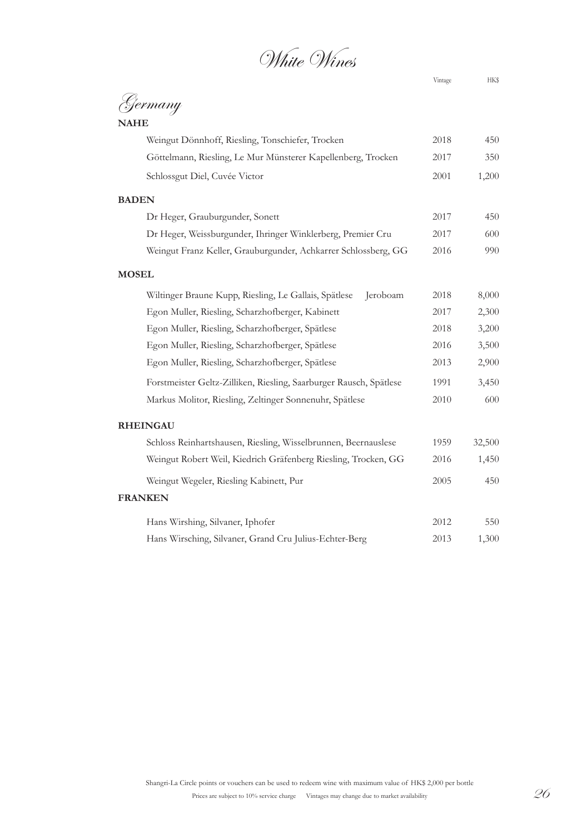White Wines

# Germany

| 450            |  |  |
|----------------|--|--|
| 350            |  |  |
| 1,200          |  |  |
|                |  |  |
| 450            |  |  |
| 600            |  |  |
| 990            |  |  |
|                |  |  |
| 8,000          |  |  |
| 2,300          |  |  |
| 3,200          |  |  |
| 3,500          |  |  |
| 2,900          |  |  |
| 3,450          |  |  |
| 600            |  |  |
|                |  |  |
| 32,500         |  |  |
| 1,450          |  |  |
| 450            |  |  |
| <b>FRANKEN</b> |  |  |
| 550            |  |  |
| 1,300          |  |  |
|                |  |  |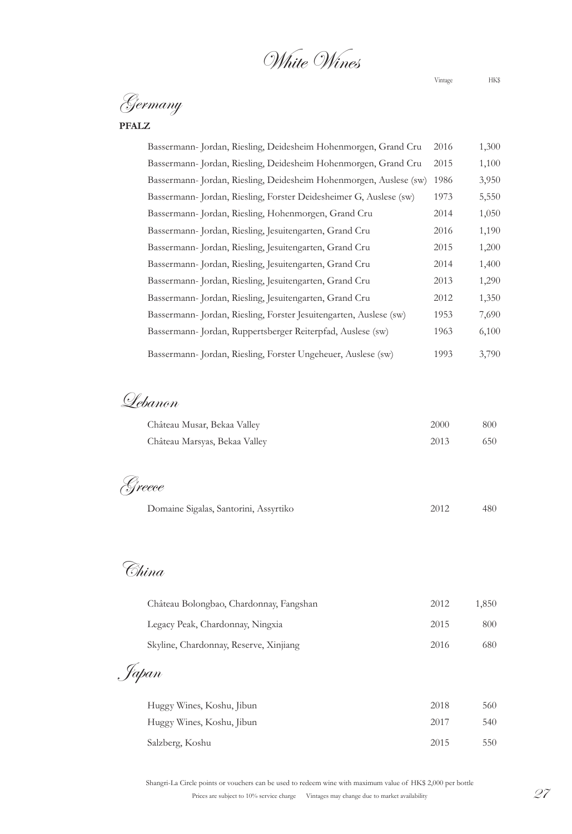White Wines

Germany

### **PFALZ**

| Bassermann- Jordan, Riesling, Deidesheim Hohenmorgen, Grand Cru    | 2016 | 1,300 |
|--------------------------------------------------------------------|------|-------|
| Bassermann- Jordan, Riesling, Deidesheim Hohenmorgen, Grand Cru    | 2015 | 1,100 |
| Bassermann- Jordan, Riesling, Deidesheim Hohenmorgen, Auslese (sw) | 1986 | 3,950 |
| Bassermann- Jordan, Riesling, Forster Deidesheimer G, Auslese (sw) | 1973 | 5,550 |
| Bassermann- Jordan, Riesling, Hohenmorgen, Grand Cru               | 2014 | 1,050 |
| Bassermann-Jordan, Riesling, Jesuitengarten, Grand Cru             | 2016 | 1,190 |
| Bassermann- Jordan, Riesling, Jesuitengarten, Grand Cru            | 2015 | 1,200 |
| Bassermann- Jordan, Riesling, Jesuitengarten, Grand Cru            | 2014 | 1,400 |
| Bassermann- Jordan, Riesling, Jesuitengarten, Grand Cru            | 2013 | 1,290 |
| Bassermann- Jordan, Riesling, Jesuitengarten, Grand Cru            | 2012 | 1,350 |
| Bassermann- Jordan, Riesling, Forster Jesuitengarten, Auslese (sw) | 1953 | 7,690 |
| Bassermann-Jordan, Ruppertsberger Reiterpfad, Auslese (sw)         | 1963 | 6,100 |
| Bassermann- Jordan, Riesling, Forster Ungeheuer, Auslese (sw)      | 1993 | 3,790 |

Lebanon

| Château Musar, Bekaa Valley           | 2000 | 800 |
|---------------------------------------|------|-----|
| Château Marsyas, Bekaa Valley         | 2013 | 650 |
|                                       |      |     |
| <i>Syreece</i>                        |      |     |
| Domaine Sigalas, Santorini, Assyrtiko | 2012 | 480 |
|                                       |      |     |

China

| Château Bolongbao, Chardonnay, Fangshan | 2012 | 1,850 |
|-----------------------------------------|------|-------|
| Legacy Peak, Chardonnay, Ningxia        | 2015 | 800   |
| Skyline, Chardonnay, Reserve, Xinjiang  | 2016 | 680   |
| Japan                                   |      |       |
| Huggy Wines, Koshu, Jibun               | 2018 | 560   |
| Huggy Wines, Koshu, Jibun               | 2017 | 540   |
| Salzberg, Koshu                         | 2015 | 550   |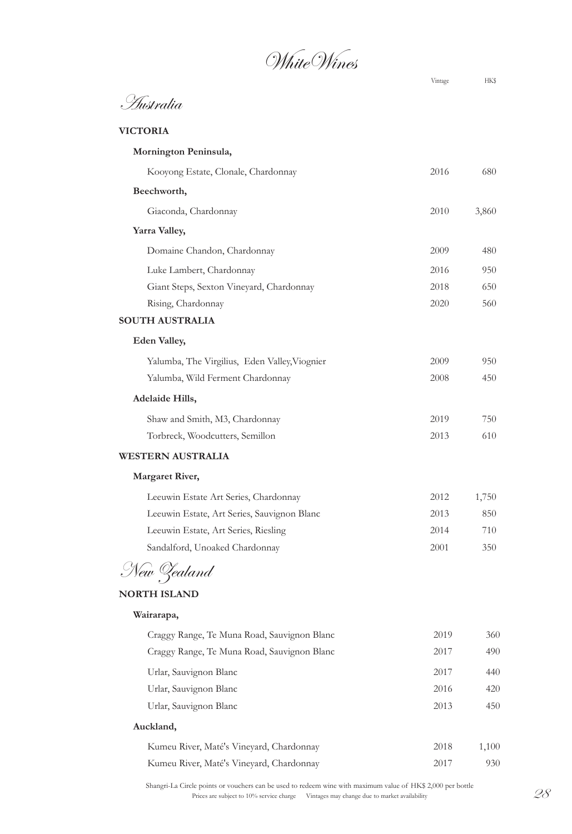White Wines

Australia

**Mornington Peninsula,**

#### **VICTORIA**

| Kooyong Estate, Clonale, Chardonnay           | 2016 | 680   |
|-----------------------------------------------|------|-------|
| Beechworth,                                   |      |       |
| Giaconda, Chardonnay                          | 2010 | 3,860 |
| Yarra Valley,                                 |      |       |
| Domaine Chandon, Chardonnay                   | 2009 | 480   |
| Luke Lambert, Chardonnay                      | 2016 | 950   |
| Giant Steps, Sexton Vineyard, Chardonnay      | 2018 | 650   |
| Rising, Chardonnay                            | 2020 | 560   |
| <b>SOUTH AUSTRALIA</b>                        |      |       |
| <b>Eden Valley,</b>                           |      |       |
| Yalumba, The Virgilius, Eden Valley, Viognier | 2009 | 950   |
| Yalumba, Wild Ferment Chardonnay              | 2008 | 450   |
| Adelaide Hills,                               |      |       |
| Shaw and Smith, M3, Chardonnay                | 2019 | 750   |
| Torbreck, Woodcutters, Semillon               | 2013 | 610   |
| <b>WESTERN AUSTRALIA</b>                      |      |       |
| <b>Margaret River,</b>                        |      |       |
| Leeuwin Estate Art Series, Chardonnay         | 2012 | 1,750 |
| Leeuwin Estate, Art Series, Sauvignon Blanc   | 2013 | 850   |
| Leeuwin Estate, Art Series, Riesling          | 2014 | 710   |
| Sandalford, Unoaked Chardonnay                | 2001 | 350   |
| New Zealand                                   |      |       |
| <b>NORTH ISLAND</b>                           |      |       |
| Wairarapa,                                    |      |       |
| Craggy Range, Te Muna Road, Sauvignon Blanc   | 2019 | 360   |
| Craggy Range, Te Muna Road, Sauvignon Blanc   | 2017 | 490   |
| Urlar, Sauvignon Blanc                        | 2017 | 440   |
| Urlar, Sauvignon Blanc                        | 2016 | 420   |
| Urlar, Sauvignon Blanc                        | 2013 | 450   |
| Auckland,                                     |      |       |
| Kumeu River, Maté's Vineyard, Chardonnay      | 2018 | 1,100 |
| Kumeu River, Maté's Vineyard, Chardonnay      | 2017 | 930   |

Prices are subject to 10% service charge Vintages may change due to market availability  $28$ Shangri-La Circle points or vouchers can be used to redeem wine with maximum value of HK\$ 2,000 per bottle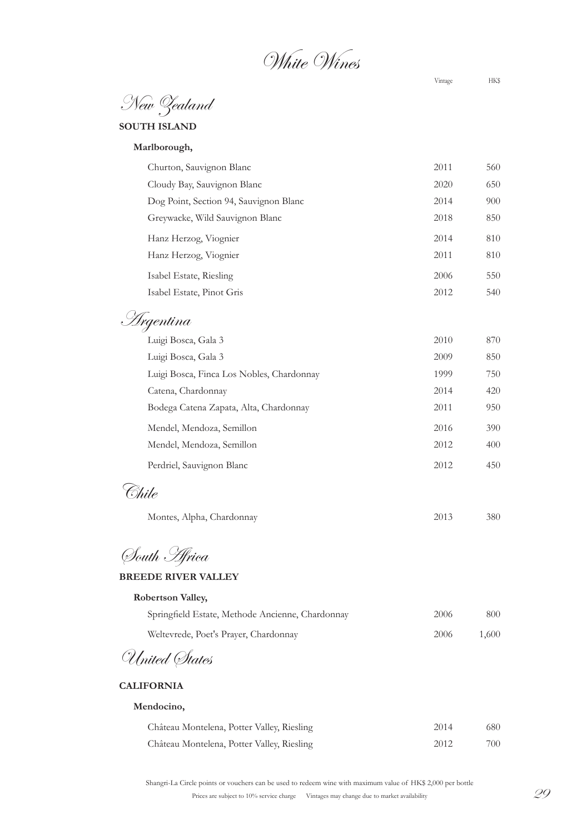White Wines

New Zealand

**SOUTH ISLAND**

**Marlborough,**

| Churton, Sauvignon Blanc               | 2011 | 560 |
|----------------------------------------|------|-----|
| Cloudy Bay, Sauvignon Blanc            | 2020 | 650 |
| Dog Point, Section 94, Sauvignon Blanc | 2014 | 900 |
| Greywacke, Wild Sauvignon Blanc        | 2018 | 850 |
| Hanz Herzog, Viognier                  | 2014 | 810 |
| Hanz Herzog, Viognier                  | 2011 | 810 |
| Isabel Estate, Riesling                | 2006 | 550 |
| Isabel Estate, Pinot Gris              | 2012 | 540 |
|                                        |      |     |

Argentina

| Luigi Bosca, Gala 3                       | 2010 | 870 |
|-------------------------------------------|------|-----|
| Luigi Bosca, Gala 3                       | 2009 | 850 |
| Luigi Bosca, Finca Los Nobles, Chardonnay | 1999 | 750 |
| Catena, Chardonnay                        | 2014 | 420 |
| Bodega Catena Zapata, Alta, Chardonnay    | 2011 | 950 |
| Mendel, Mendoza, Semillon                 | 2016 | 390 |
| Mendel, Mendoza, Semillon                 | 2012 | 400 |
| Perdriel, Sauvignon Blanc                 | 2012 | 450 |

Chile

| Montes, Alpha, Chardonnay | 2013 | 380 |
|---------------------------|------|-----|
|---------------------------|------|-----|

South Africa

#### **BREEDE RIVER VALLEY**

| Robertson Valley,                                |      |       |
|--------------------------------------------------|------|-------|
| Springfield Estate, Methode Ancienne, Chardonnay | 2006 | 800   |
| Weltevrede, Poet's Prayer, Chardonnay            | 2006 | 1,600 |
| $\sqrt{2}$<br>$\overline{I}$                     |      |       |

United States

#### **CALIFORNIA**

#### **Mendocino,**

| Château Montelena, Potter Valley, Riesling | 2014 | 680- |
|--------------------------------------------|------|------|
| Château Montelena, Potter Valley, Riesling | 2012 | 700  |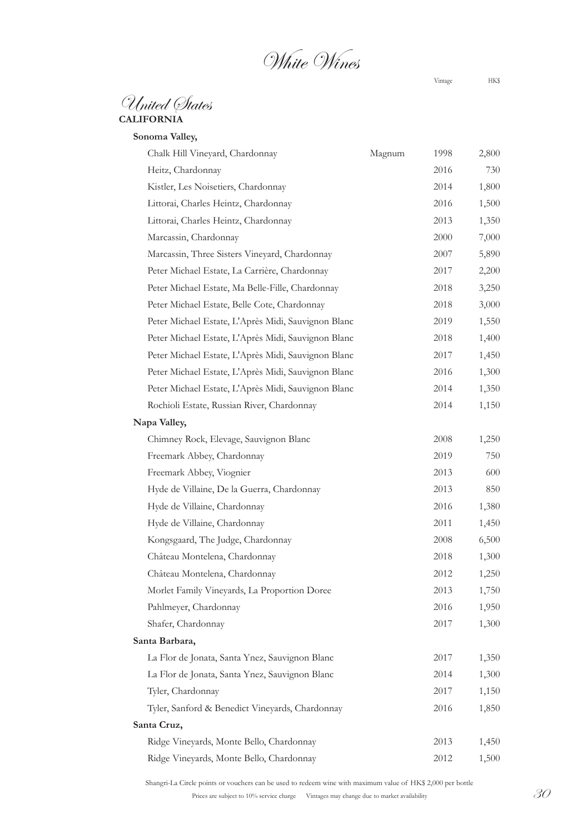White Wines

United States **CALIFORNIA**

**Sonoma Valley,**

| Chalk Hill Vineyard, Chardonnay                     | Magnum | 1998 | 2,800 |
|-----------------------------------------------------|--------|------|-------|
| Heitz, Chardonnay                                   |        | 2016 | 730   |
| Kistler, Les Noisetiers, Chardonnay                 |        | 2014 | 1,800 |
| Littorai, Charles Heintz, Chardonnay                |        | 2016 | 1,500 |
| Littorai, Charles Heintz, Chardonnay                |        | 2013 | 1,350 |
| Marcassin, Chardonnay                               |        | 2000 | 7,000 |
| Marcassin, Three Sisters Vineyard, Chardonnay       |        | 2007 | 5,890 |
| Peter Michael Estate, La Carrière, Chardonnay       |        | 2017 | 2,200 |
| Peter Michael Estate, Ma Belle-Fille, Chardonnay    |        | 2018 | 3,250 |
| Peter Michael Estate, Belle Cote, Chardonnay        |        | 2018 | 3,000 |
| Peter Michael Estate, L'Après Midi, Sauvignon Blanc |        | 2019 | 1,550 |
| Peter Michael Estate, L'Après Midi, Sauvignon Blanc |        | 2018 | 1,400 |
| Peter Michael Estate, L'Après Midi, Sauvignon Blanc |        | 2017 | 1,450 |
| Peter Michael Estate, L'Après Midi, Sauvignon Blanc |        | 2016 | 1,300 |
| Peter Michael Estate, L'Après Midi, Sauvignon Blanc |        | 2014 | 1,350 |
| Rochioli Estate, Russian River, Chardonnay          |        | 2014 | 1,150 |
| Napa Valley,                                        |        |      |       |
| Chimney Rock, Elevage, Sauvignon Blanc              |        | 2008 | 1,250 |
| Freemark Abbey, Chardonnay                          |        | 2019 | 750   |
| Freemark Abbey, Viognier                            |        | 2013 | 600   |
| Hyde de Villaine, De la Guerra, Chardonnay          |        | 2013 | 850   |
| Hyde de Villaine, Chardonnay                        |        | 2016 | 1,380 |
| Hyde de Villaine, Chardonnay                        |        | 2011 | 1,450 |
| Kongsgaard, The Judge, Chardonnay                   |        | 2008 | 6,500 |
| Château Montelena, Chardonnay                       |        | 2018 | 1,300 |
| Château Montelena, Chardonnay                       |        | 2012 | 1,250 |
| Morlet Family Vineyards, La Proportion Doree        |        | 2013 | 1,750 |
| Pahlmeyer, Chardonnay                               |        | 2016 | 1,950 |
| Shafer, Chardonnay                                  |        | 2017 | 1,300 |
| Santa Barbara,                                      |        |      |       |
| La Flor de Jonata, Santa Ynez, Sauvignon Blanc      |        | 2017 | 1,350 |
| La Flor de Jonata, Santa Ynez, Sauvignon Blanc      |        | 2014 | 1,300 |
| Tyler, Chardonnay                                   |        | 2017 | 1,150 |
| Tyler, Sanford & Benedict Vineyards, Chardonnay     |        | 2016 | 1,850 |
| Santa Cruz,                                         |        |      |       |
| Ridge Vineyards, Monte Bello, Chardonnay            |        | 2013 | 1,450 |
| Ridge Vineyards, Monte Bello, Chardonnay            |        | 2012 | 1,500 |

Shangri-La Circle points or vouchers can be used to redeem wine with maximum value of HK\$ 2,000 per bottle

Prices are subject to 10% service charge Vintages may change due to market availability  $30$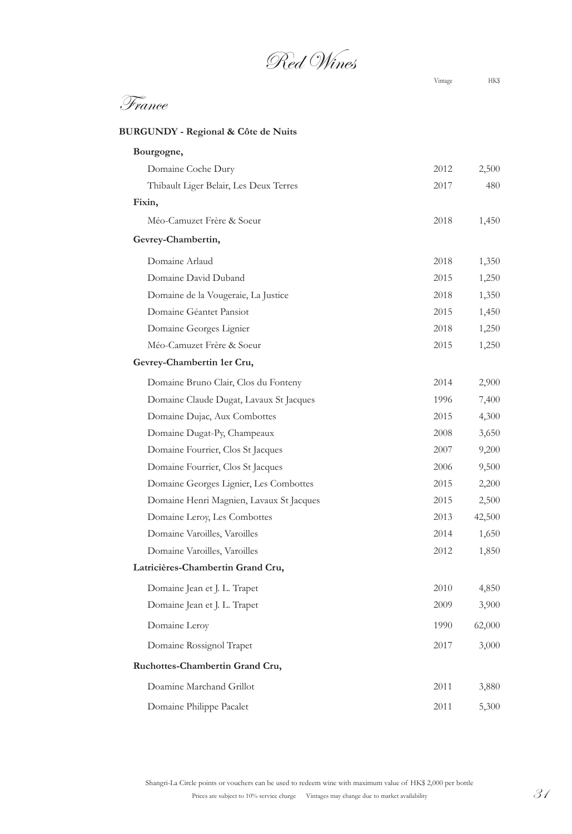Red Wines

## France

### **BURGUNDY - Regional & Côte de Nuits**

| Bourgogne,                               |      |        |
|------------------------------------------|------|--------|
| Domaine Coche Dury                       | 2012 | 2,500  |
| Thibault Liger Belair, Les Deux Terres   | 2017 | 480    |
| Fixin,                                   |      |        |
| Méo-Camuzet Frère & Soeur                | 2018 | 1,450  |
| Gevrey-Chambertin,                       |      |        |
| Domaine Arlaud                           | 2018 | 1,350  |
| Domaine David Duband                     | 2015 | 1,250  |
| Domaine de la Vougeraie, La Justice      | 2018 | 1,350  |
| Domaine Géantet Pansiot                  | 2015 | 1,450  |
| Domaine Georges Lignier                  | 2018 | 1,250  |
| Méo-Camuzet Frère & Soeur                | 2015 | 1,250  |
| Gevrey-Chambertin 1er Cru,               |      |        |
| Domaine Bruno Clair, Clos du Fonteny     | 2014 | 2,900  |
| Domaine Claude Dugat, Lavaux St Jacques  | 1996 | 7,400  |
| Domaine Dujac, Aux Combottes             | 2015 | 4,300  |
| Domaine Dugat-Py, Champeaux              | 2008 | 3,650  |
| Domaine Fourrier, Clos St Jacques        | 2007 | 9,200  |
| Domaine Fourrier, Clos St Jacques        | 2006 | 9,500  |
| Domaine Georges Lignier, Les Combottes   | 2015 | 2,200  |
| Domaine Henri Magnien, Lavaux St Jacques | 2015 | 2,500  |
| Domaine Leroy, Les Combottes             | 2013 | 42,500 |
| Domaine Varoilles, Varoilles             | 2014 | 1,650  |
| Domaine Varoilles, Varoilles             | 2012 | 1,850  |
| Latricières-Chambertin Grand Cru,        |      |        |
| Domaine Jean et J. L. Trapet             | 2010 | 4,850  |
| Domaine Jean et J. L. Trapet             | 2009 | 3,900  |
| Domaine Leroy                            | 1990 | 62,000 |
| Domaine Rossignol Trapet                 | 2017 | 3,000  |
| Ruchottes-Chambertin Grand Cru,          |      |        |
| Doamine Marchand Grillot                 | 2011 | 3,880  |
| Domaine Philippe Pacalet                 | 2011 | 5,300  |
|                                          |      |        |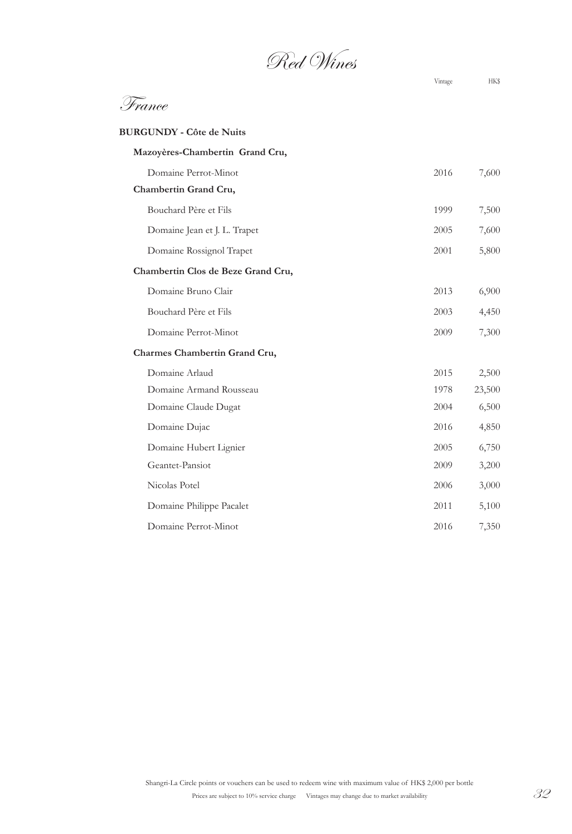Red Wines

| <b>BURGUNDY - Côte de Nuits</b>    |      |        |
|------------------------------------|------|--------|
| Mazoyères-Chambertin Grand Cru,    |      |        |
| Domaine Perrot-Minot               | 2016 | 7,600  |
| Chambertin Grand Cru,              |      |        |
| Bouchard Père et Fils              | 1999 | 7,500  |
| Domaine Jean et J. L. Trapet       | 2005 | 7,600  |
| Domaine Rossignol Trapet           | 2001 | 5,800  |
| Chambertin Clos de Beze Grand Cru, |      |        |
| Domaine Bruno Clair                | 2013 | 6,900  |
| Bouchard Père et Fils              | 2003 | 4,450  |
| Domaine Perrot-Minot               | 2009 | 7,300  |
| Charmes Chambertin Grand Cru,      |      |        |
| Domaine Arlaud                     | 2015 | 2,500  |
| Domaine Armand Rousseau            | 1978 | 23,500 |
| Domaine Claude Dugat               | 2004 | 6,500  |
| Domaine Dujac                      | 2016 | 4,850  |
| Domaine Hubert Lignier             | 2005 | 6,750  |
| Geantet-Pansiot                    | 2009 | 3,200  |
| Nicolas Potel                      | 2006 | 3,000  |
| Domaine Philippe Pacalet           | 2011 | 5,100  |
| Domaine Perrot-Minot               | 2016 | 7,350  |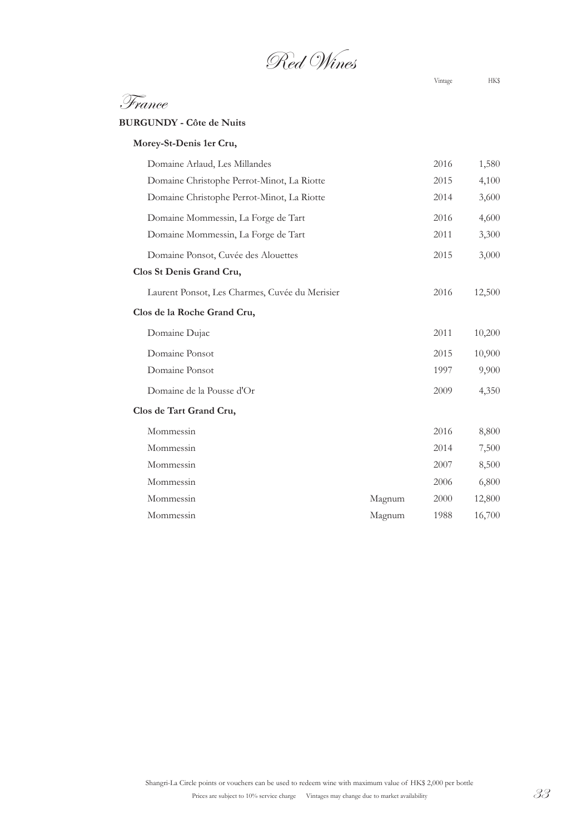Red Wines

France

**BURGUNDY - Côte de Nuits**

| Morey-St-Denis 1er Cru,                        |        |      |        |
|------------------------------------------------|--------|------|--------|
| Domaine Arlaud, Les Millandes                  |        | 2016 | 1,580  |
| Domaine Christophe Perrot-Minot, La Riotte     |        | 2015 | 4,100  |
| Domaine Christophe Perrot-Minot, La Riotte     |        | 2014 | 3,600  |
| Domaine Mommessin, La Forge de Tart            |        | 2016 | 4,600  |
| Domaine Mommessin, La Forge de Tart            |        | 2011 | 3,300  |
| Domaine Ponsot, Cuvée des Alouettes            |        | 2015 | 3,000  |
| Clos St Denis Grand Cru,                       |        |      |        |
| Laurent Ponsot, Les Charmes, Cuvée du Merisier |        | 2016 | 12,500 |
| Clos de la Roche Grand Cru,                    |        |      |        |
| Domaine Dujac                                  |        | 2011 | 10,200 |
| Domaine Ponsot                                 |        | 2015 | 10,900 |
| Domaine Ponsot                                 |        | 1997 | 9,900  |
| Domaine de la Pousse d'Or                      |        | 2009 | 4,350  |
| Clos de Tart Grand Cru,                        |        |      |        |
| Mommessin                                      |        | 2016 | 8,800  |
| Mommessin                                      |        | 2014 | 7,500  |
| Mommessin                                      |        | 2007 | 8,500  |
| Mommessin                                      |        | 2006 | 6,800  |
| Mommessin                                      | Magnum | 2000 | 12,800 |
| Mommessin                                      | Magnum | 1988 | 16,700 |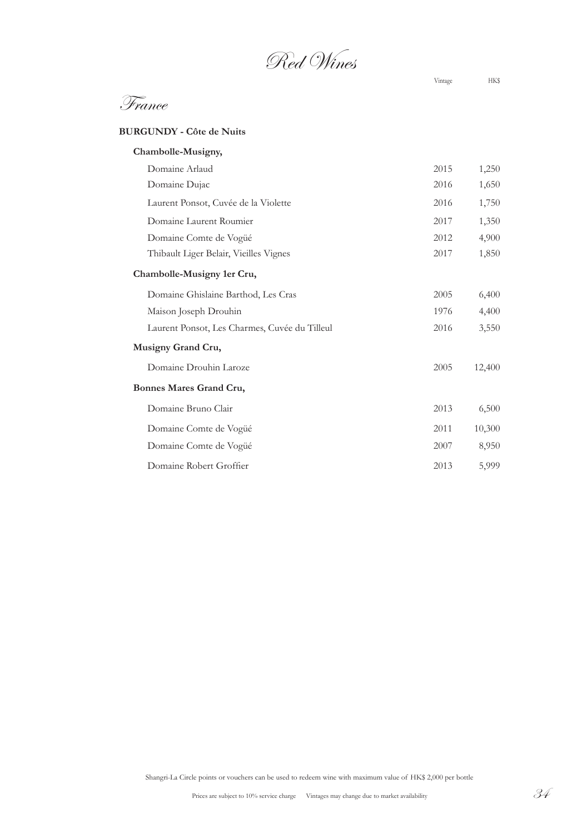Red Wines

France

#### **BURGUNDY - Côte de Nuits**

| Chambolle-Musigny,                            |      |        |
|-----------------------------------------------|------|--------|
| Domaine Arlaud                                | 2015 | 1,250  |
| Domaine Dujac                                 | 2016 | 1,650  |
| Laurent Ponsot, Cuvée de la Violette          | 2016 | 1,750  |
| Domaine Laurent Roumier                       | 2017 | 1,350  |
| Domaine Comte de Vogüé                        | 2012 | 4,900  |
| Thibault Liger Belair, Vieilles Vignes        | 2017 | 1,850  |
| Chambolle-Musigny 1er Cru,                    |      |        |
| Domaine Ghislaine Barthod, Les Cras           | 2005 | 6,400  |
| Maison Joseph Drouhin                         | 1976 | 4,400  |
| Laurent Ponsot, Les Charmes, Cuvée du Tilleul | 2016 | 3,550  |
| Musigny Grand Cru,                            |      |        |
| Domaine Drouhin Laroze                        | 2005 | 12,400 |
| Bonnes Mares Grand Cru,                       |      |        |
| Domaine Bruno Clair                           | 2013 | 6,500  |
| Domaine Comte de Vogüé                        | 2011 | 10,300 |
| Domaine Comte de Vogüé                        | 2007 | 8,950  |
| Domaine Robert Groffier                       | 2013 | 5,999  |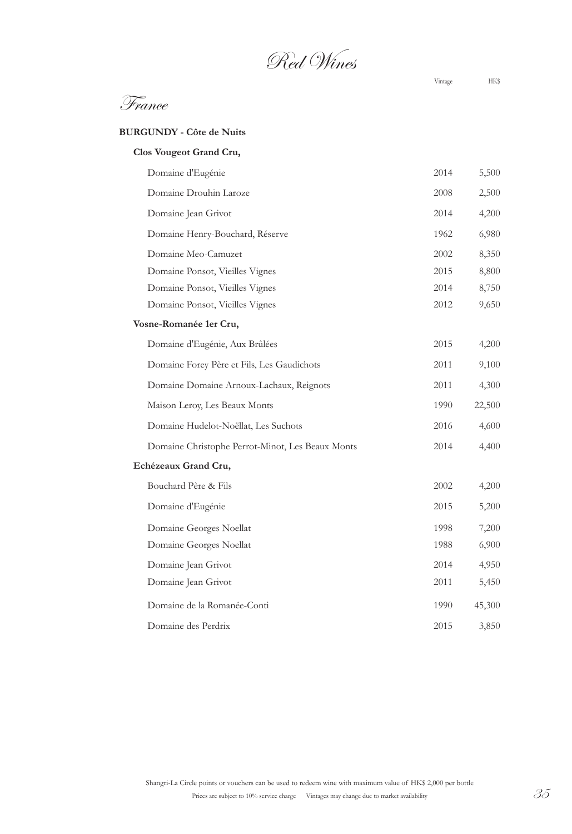Red Wines

France

#### **BURGUNDY - Côte de Nuits**

| Clos Vougeot Grand Cru,                          |      |        |
|--------------------------------------------------|------|--------|
| Domaine d'Eugénie                                | 2014 | 5,500  |
| Domaine Drouhin Laroze                           | 2008 | 2,500  |
| Domaine Jean Grivot                              | 2014 | 4,200  |
| Domaine Henry-Bouchard, Réserve                  | 1962 | 6,980  |
| Domaine Meo-Camuzet                              | 2002 | 8,350  |
| Domaine Ponsot, Vieilles Vignes                  | 2015 | 8,800  |
| Domaine Ponsot, Vieilles Vignes                  | 2014 | 8,750  |
| Domaine Ponsot, Vieilles Vignes                  | 2012 | 9,650  |
| Vosne-Romanée 1er Cru,                           |      |        |
| Domaine d'Eugénie, Aux Brûlées                   | 2015 | 4,200  |
| Domaine Forey Père et Fils, Les Gaudichots       | 2011 | 9,100  |
| Domaine Domaine Arnoux-Lachaux, Reignots         | 2011 | 4,300  |
| Maison Leroy, Les Beaux Monts                    | 1990 | 22,500 |
| Domaine Hudelot-Noëllat, Les Suchots             | 2016 | 4,600  |
| Domaine Christophe Perrot-Minot, Les Beaux Monts | 2014 | 4,400  |
| Echézeaux Grand Cru,                             |      |        |
| Bouchard Père & Fils                             | 2002 | 4,200  |
| Domaine d'Eugénie                                | 2015 | 5,200  |
| Domaine Georges Noellat                          | 1998 | 7,200  |
| Domaine Georges Noellat                          | 1988 | 6,900  |
| Domaine Jean Grivot                              | 2014 | 4,950  |
| Domaine Jean Grivot                              | 2011 | 5,450  |
| Domaine de la Romanée-Conti                      | 1990 | 45,300 |
| Domaine des Perdrix                              | 2015 | 3,850  |
|                                                  |      |        |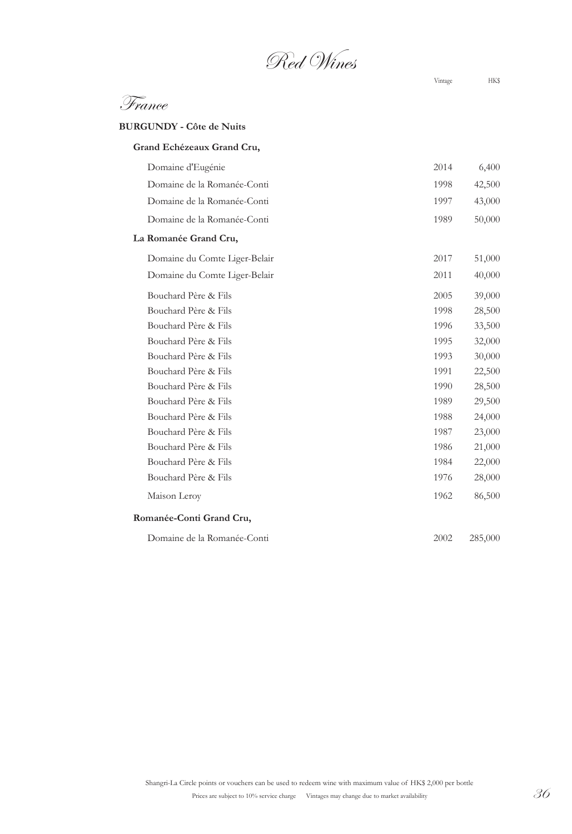Red Wines

France

**BURGUNDY - Côte de Nuits**

| Grand Echézeaux Grand Cru,    |      |         |
|-------------------------------|------|---------|
| Domaine d'Eugénie             | 2014 | 6,400   |
| Domaine de la Romanée-Conti   | 1998 | 42,500  |
| Domaine de la Romanée-Conti   | 1997 | 43,000  |
| Domaine de la Romanée-Conti   | 1989 | 50,000  |
| La Romanée Grand Cru,         |      |         |
| Domaine du Comte Liger-Belair | 2017 | 51,000  |
| Domaine du Comte Liger-Belair | 2011 | 40,000  |
| Bouchard Père & Fils          | 2005 | 39,000  |
| Bouchard Père & Fils          | 1998 | 28,500  |
| Bouchard Père & Fils          | 1996 | 33,500  |
| Bouchard Père & Fils          | 1995 | 32,000  |
| Bouchard Père & Fils          | 1993 | 30,000  |
| Bouchard Père & Fils          | 1991 | 22,500  |
| Bouchard Père & Fils          | 1990 | 28,500  |
| Bouchard Père & Fils          | 1989 | 29,500  |
| Bouchard Père & Fils          | 1988 | 24,000  |
| Bouchard Père & Fils          | 1987 | 23,000  |
| Bouchard Père & Fils          | 1986 | 21,000  |
| Bouchard Père & Fils          | 1984 | 22,000  |
| Bouchard Père & Fils          | 1976 | 28,000  |
| Maison Leroy                  | 1962 | 86,500  |
| Romanée-Conti Grand Cru,      |      |         |
| Domaine de la Romanée-Conti   | 2002 | 285,000 |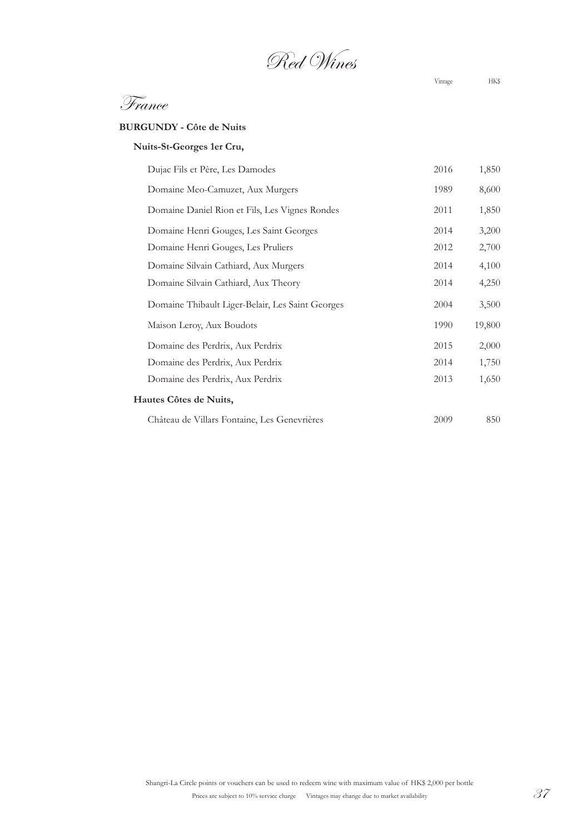Red Wines

France

### **BURGUNDY - Côte de Nuits**

| Nuits-St-Georges 1er Cru, |  |  |
|---------------------------|--|--|
|---------------------------|--|--|

| Dujac Fils et Père, Les Damodes                  | 2016 | 1,850  |
|--------------------------------------------------|------|--------|
| Domaine Meo-Camuzet, Aux Murgers                 | 1989 | 8,600  |
| Domaine Daniel Rion et Fils, Les Vignes Rondes   | 2011 | 1,850  |
| Domaine Henri Gouges, Les Saint Georges          | 2014 | 3,200  |
| Domaine Henri Gouges, Les Pruliers               | 2012 | 2,700  |
| Domaine Silvain Cathiard, Aux Murgers            | 2014 | 4,100  |
| Domaine Silvain Cathiard, Aux Theory             | 2014 | 4,250  |
| Domaine Thibault Liger-Belair, Les Saint Georges | 2004 | 3,500  |
| Maison Leroy, Aux Boudots                        | 1990 | 19,800 |
| Domaine des Perdrix, Aux Perdrix                 | 2015 | 2,000  |
| Domaine des Perdrix, Aux Perdrix                 | 2014 | 1,750  |
| Domaine des Perdrix, Aux Perdrix                 | 2013 | 1,650  |
| Hautes Côtes de Nuits,                           |      |        |
| Château de Villars Fontaine, Les Genevrières     | 2009 | 850    |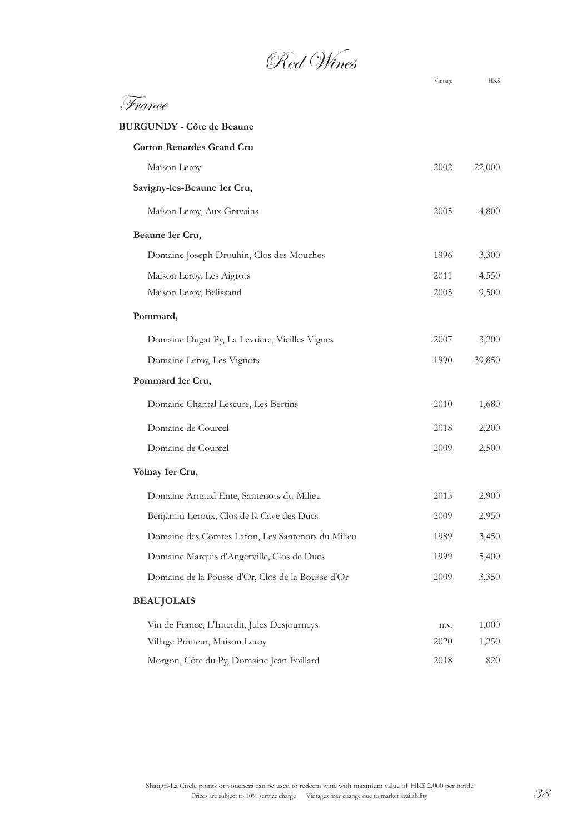Red Wines

|                                                   | Vintage | HKŞ    |
|---------------------------------------------------|---------|--------|
| France.                                           |         |        |
| <b>BURGUNDY - Côte de Beaune</b>                  |         |        |
| <b>Corton Renardes Grand Cru</b>                  |         |        |
| Maison Leroy                                      | 2002    | 22,000 |
| Savigny-les-Beaune 1er Cru,                       |         |        |
| Maison Leroy, Aux Gravains                        | 2005    | 4,800  |
| Beaune 1er Cru,                                   |         |        |
| Domaine Joseph Drouhin, Clos des Mouches          | 1996    | 3,300  |
| Maison Leroy, Les Aigrots                         | 2011    | 4,550  |
| Maison Leroy, Belissand                           | 2005    | 9,500  |
| Pommard,                                          |         |        |
| Domaine Dugat Py, La Levriere, Vieilles Vignes    | 2007    | 3,200  |
| Domaine Leroy, Les Vignots                        | 1990    | 39,850 |
| Pommard 1er Cru,                                  |         |        |
| Domaine Chantal Lescure, Les Bertins              | 2010    | 1,680  |
| Domaine de Courcel                                | 2018    | 2,200  |
| Domaine de Courcel                                | 2009    | 2,500  |
| Volnay 1er Cru,                                   |         |        |
| Domaine Arnaud Ente, Santenots-du-Milieu          | 2015    | 2,900  |
| Benjamin Leroux, Clos de la Cave des Ducs         | 2009    | 2,950  |
| Domaine des Comtes Lafon, Les Santenots du Milieu | 1989    | 3,450  |
| Domaine Marquis d'Angerville, Clos de Ducs        | 1999    | 5,400  |
| Domaine de la Pousse d'Or, Clos de la Bousse d'Or | 2009    | 3,350  |
| <b>BEAUJOLAIS</b>                                 |         |        |
| Vin de France, L'Interdit, Jules Desjourneys      | n.v.    | 1,000  |
| Village Primeur, Maison Leroy                     | 2020    | 1,250  |
| Morgon, Côte du Py, Domaine Jean Foillard         | 2018    | 820    |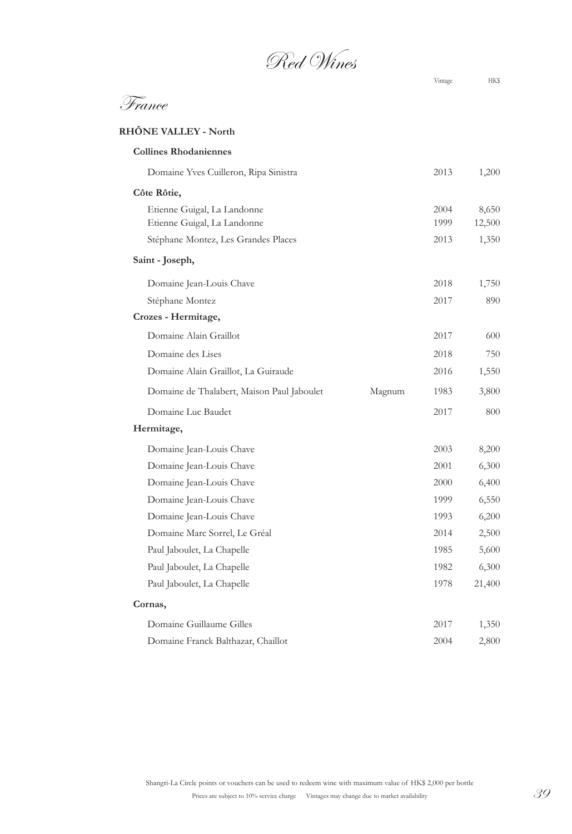Red Wines

# France

# **RHÔNE VALLEY - North Collines Rhodaniennes**  Domaine Yves Cuilleron, Ripa Sinistra 2013 1,200 **Côte Rôtie,** Etienne Guigal, La Landonne 2004 8,650 Etienne Guigal, La Landonne 1999 12,500 Stéphane Montez, Les Grandes Places 2013 1,350 **Saint - Joseph,** Domaine Jean-Louis Chave 2018 1,750 Stéphane Montez 2017 890 **Crozes - Hermitage,** Domaine Alain Graillot 2017 600 Domaine des Lises 2018 750 Domaine Alain Graillot, La Guiraude 2016 1,550 Domaine de Thalabert, Maison Paul Jaboulet Magnum 1983 3,800 Domaine Luc Baudet 2017 800 **Hermitage,** Domaine Jean-Louis Chave 2003 8,200 Domaine Jean-Louis Chave 2001 6,300 Domaine Jean-Louis Chave 2000 6,400 Domaine Jean-Louis Chave 1999 6,550 Domaine Jean-Louis Chave 1993 6,200 Domaine Marc Sorrel, Le Gréal 2014 2,500 Paul Jaboulet, La Chapelle 1985 5,600 Paul Jaboulet, La Chapelle 1982 6,300 Paul Jaboulet, La Chapelle 1978 21,400 **Cornas,** Domaine Guillaume Gilles 2017 1,350 Domaine Franck Balthazar, Chaillot 2004 2,800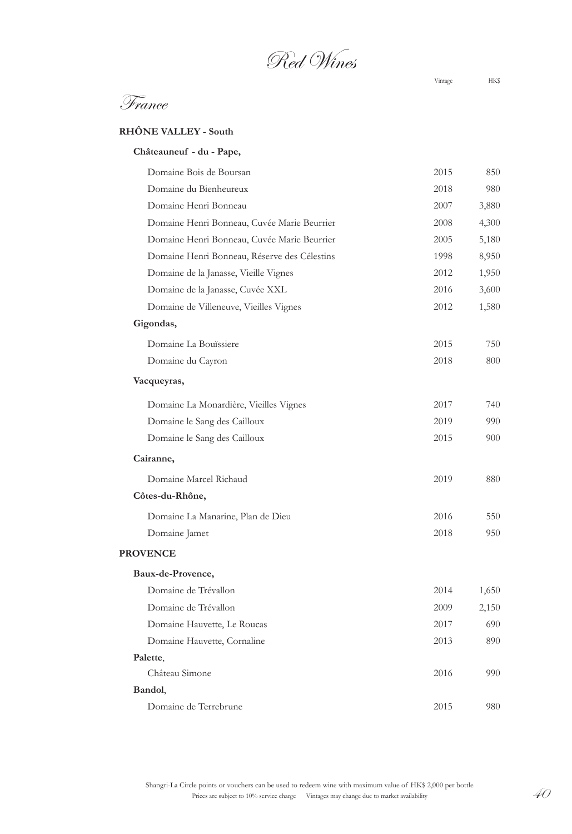Red Wines

Vintage HK\$

| <b>RHONE VALLEY - South</b> |
|-----------------------------|
|                             |

| Châteauneuf - du - Pape,                     |      |       |
|----------------------------------------------|------|-------|
| Domaine Bois de Boursan                      | 2015 | 850   |
| Domaine du Bienheureux                       | 2018 | 980   |
| Domaine Henri Bonneau                        | 2007 | 3,880 |
| Domaine Henri Bonneau, Cuvée Marie Beurrier  | 2008 | 4,300 |
| Domaine Henri Bonneau, Cuvée Marie Beurrier  | 2005 | 5,180 |
| Domaine Henri Bonneau, Réserve des Célestins | 1998 | 8,950 |
| Domaine de la Janasse, Vieille Vignes        | 2012 | 1,950 |
| Domaine de la Janasse, Cuvée XXL             | 2016 | 3,600 |
| Domaine de Villeneuve, Vieilles Vignes       | 2012 | 1,580 |
| Gigondas,                                    |      |       |
| Domaine La Bouïssiere                        | 2015 | 750   |
| Domaine du Cayron                            | 2018 | 800   |
| Vacqueyras,                                  |      |       |
| Domaine La Monardière, Vieilles Vignes       | 2017 | 740   |
| Domaine le Sang des Cailloux                 | 2019 | 990   |
| Domaine le Sang des Cailloux                 | 2015 | 900   |
| Cairanne,                                    |      |       |
| Domaine Marcel Richaud                       | 2019 | 880   |
| Côtes-du-Rhône,                              |      |       |
| Domaine La Manarine, Plan de Dieu            | 2016 | 550   |
| Domaine Jamet                                | 2018 | 950   |
| <b>PROVENCE</b>                              |      |       |
| Baux-de-Provence,                            |      |       |
| Domaine de Trévallon                         | 2014 | 1,650 |
| Domaine de Trévallon                         | 2009 | 2,150 |
| Domaine Hauvette, Le Roucas                  | 2017 | 690   |
| Domaine Hauvette, Cornaline                  | 2013 | 890   |
| Palette,                                     |      |       |
| Château Simone                               | 2016 | 990   |
| Bandol,                                      |      |       |
| Domaine de Terrebrune                        | 2015 | 980   |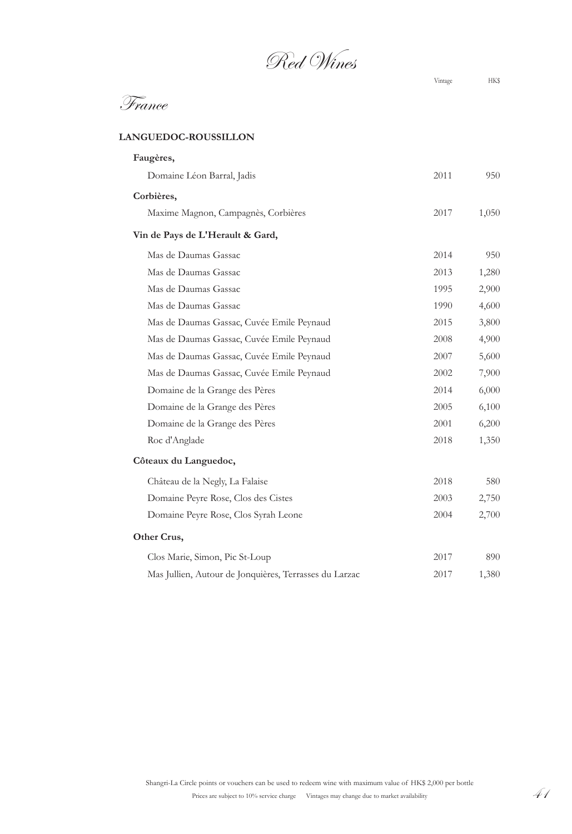Red Wines

### **LANGUEDOC-ROUSSILLON**

| Faugères,                                              |      |       |
|--------------------------------------------------------|------|-------|
| Domaine Léon Barral, Jadis                             | 2011 | 950   |
| Corbières,                                             |      |       |
| Maxime Magnon, Campagnès, Corbières                    | 2017 | 1,050 |
| Vin de Pays de L'Herault & Gard,                       |      |       |
| Mas de Daumas Gassac                                   | 2014 | 950   |
| Mas de Daumas Gassac                                   | 2013 | 1,280 |
| Mas de Daumas Gassac                                   | 1995 | 2,900 |
| Mas de Daumas Gassac                                   | 1990 | 4,600 |
| Mas de Daumas Gassac, Cuvée Emile Peynaud              | 2015 | 3,800 |
| Mas de Daumas Gassac, Cuvée Emile Peynaud              | 2008 | 4,900 |
| Mas de Daumas Gassac, Cuvée Emile Peynaud              | 2007 | 5,600 |
| Mas de Daumas Gassac, Cuvée Emile Peynaud              | 2002 | 7,900 |
| Domaine de la Grange des Pères                         | 2014 | 6,000 |
| Domaine de la Grange des Pères                         | 2005 | 6,100 |
| Domaine de la Grange des Pères                         | 2001 | 6,200 |
| Roc d'Anglade                                          | 2018 | 1,350 |
| Côteaux du Languedoc,                                  |      |       |
| Château de la Negly, La Falaise                        | 2018 | 580   |
| Domaine Peyre Rose, Clos des Cistes                    | 2003 | 2,750 |
| Domaine Peyre Rose, Clos Syrah Leone                   | 2004 | 2,700 |
| Other Crus,                                            |      |       |
| Clos Marie, Simon, Pic St-Loup                         | 2017 | 890   |
| Mas Jullien, Autour de Jonquières, Terrasses du Larzac | 2017 | 1,380 |
|                                                        |      |       |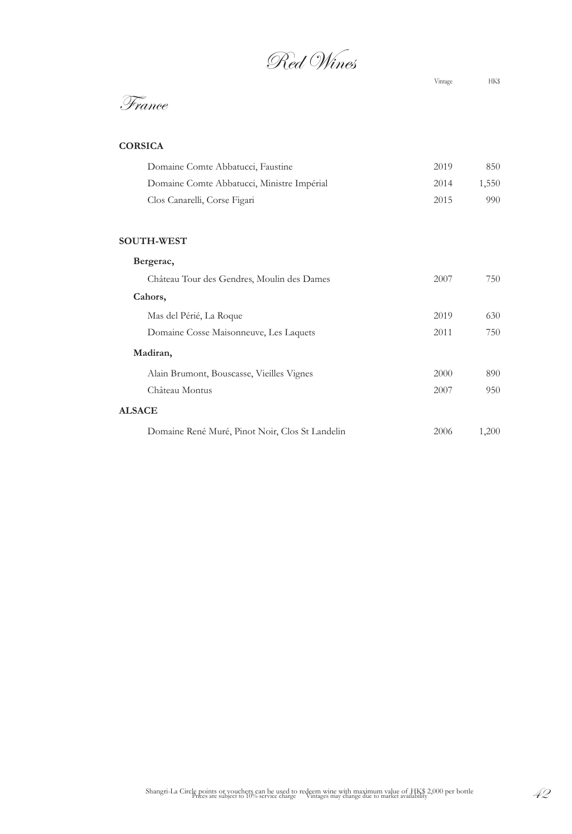Red Wines

France

| Domaine Comte Abbatucci, Faustine<br>2019          | 850   |
|----------------------------------------------------|-------|
| Domaine Comte Abbatucci, Ministre Impérial<br>2014 | 1.550 |
| Clos Canarelli, Corse Figari<br>2015               | 990   |

## **SOUTH-WEST**

|               | Bergerac,                                       |      |       |  |  |
|---------------|-------------------------------------------------|------|-------|--|--|
|               | Château Tour des Gendres, Moulin des Dames      | 2007 | 750   |  |  |
|               | Cahors,                                         |      |       |  |  |
|               | Mas del Périé, La Roque                         | 2019 | 630   |  |  |
|               | Domaine Cosse Maisonneuve, Les Laquets          | 2011 | 750   |  |  |
|               | Madiran,                                        |      |       |  |  |
|               | Alain Brumont, Bouscasse, Vieilles Vignes       | 2000 | 890   |  |  |
|               | Château Montus                                  | 2007 | 950   |  |  |
| <b>ALSACE</b> |                                                 |      |       |  |  |
|               | Domaine René Muré, Pinot Noir, Clos St Landelin | 2006 | 1,200 |  |  |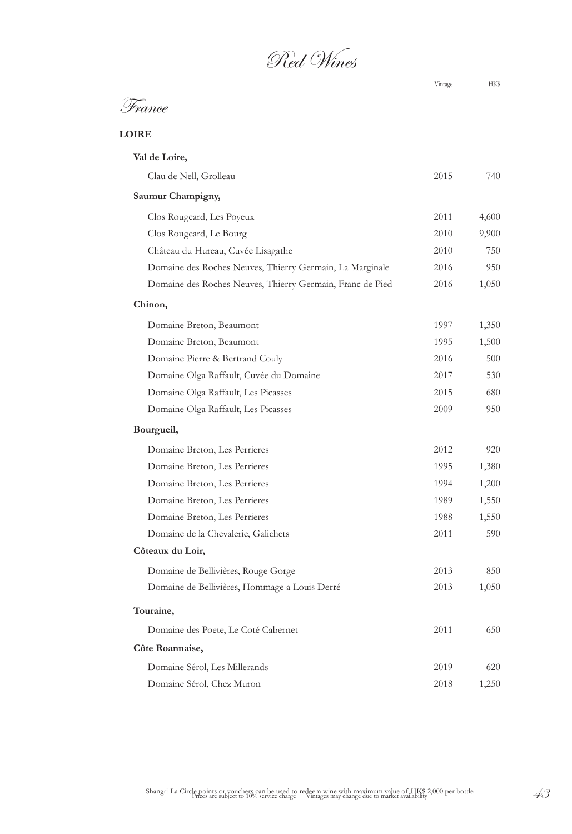Red Wines

# France

**LOIRE**

| Val de Loire,                                             |      |       |
|-----------------------------------------------------------|------|-------|
| Clau de Nell, Grolleau                                    | 2015 | 740   |
| Saumur Champigny,                                         |      |       |
| Clos Rougeard, Les Poyeux                                 | 2011 | 4,600 |
| Clos Rougeard, Le Bourg                                   | 2010 | 9,900 |
| Château du Hureau, Cuvée Lisagathe                        | 2010 | 750   |
| Domaine des Roches Neuves, Thierry Germain, La Marginale  | 2016 | 950   |
| Domaine des Roches Neuves, Thierry Germain, Franc de Pied | 2016 | 1,050 |
| Chinon,                                                   |      |       |
| Domaine Breton, Beaumont                                  | 1997 | 1,350 |
| Domaine Breton, Beaumont                                  | 1995 | 1,500 |
| Domaine Pierre & Bertrand Couly                           | 2016 | 500   |
| Domaine Olga Raffault, Cuvée du Domaine                   | 2017 | 530   |
| Domaine Olga Raffault, Les Picasses                       | 2015 | 680   |
| Domaine Olga Raffault, Les Picasses                       | 2009 | 950   |
| Bourgueil,                                                |      |       |
| Domaine Breton, Les Perrieres                             | 2012 | 920   |
| Domaine Breton, Les Perrieres                             | 1995 | 1,380 |
| Domaine Breton, Les Perrieres                             | 1994 | 1,200 |
| Domaine Breton, Les Perrieres                             | 1989 | 1,550 |
| Domaine Breton, Les Perrieres                             | 1988 | 1,550 |
| Domaine de la Chevalerie, Galichets                       | 2011 | 590   |
| Côteaux du Loir,                                          |      |       |
| Domaine de Bellivières, Rouge Gorge                       | 2013 | 850   |
| Domaine de Bellivières, Hommage a Louis Derré             | 2013 | 1,050 |
| Touraine,                                                 |      |       |
| Domaine des Poete, Le Coté Cabernet                       | 2011 | 650   |
| Côte Roannaise,                                           |      |       |
| Domaine Sérol, Les Millerands                             | 2019 | 620   |
| Domaine Sérol, Chez Muron                                 | 2018 | 1,250 |
|                                                           |      |       |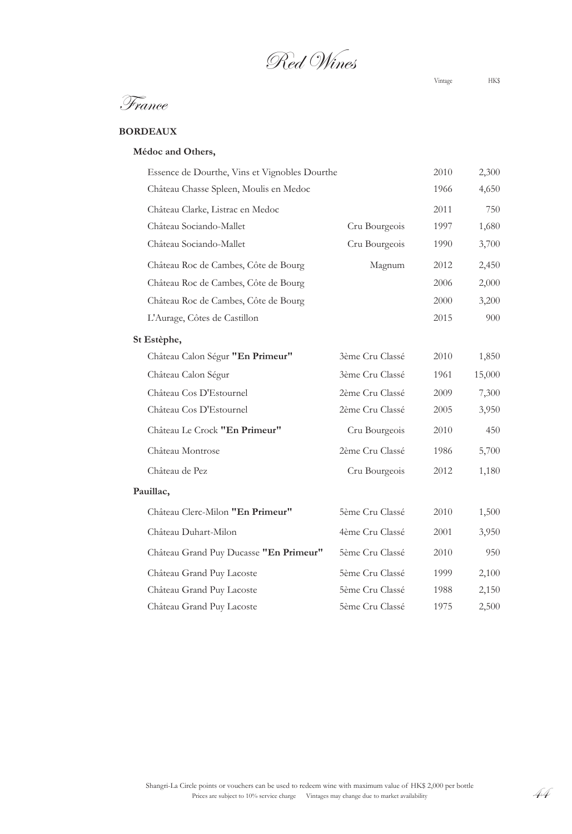Red Wines

France

# **BORDEAUX**

# **Médoc and Others,**

| Essence de Dourthe, Vins et Vignobles Dourthe |                 | 2010 | 2,300  |
|-----------------------------------------------|-----------------|------|--------|
| Château Chasse Spleen, Moulis en Medoc        |                 | 1966 | 4,650  |
| Château Clarke, Listrac en Medoc              |                 | 2011 | 750    |
| Château Sociando-Mallet                       | Cru Bourgeois   | 1997 | 1,680  |
| Château Sociando-Mallet                       | Cru Bourgeois   | 1990 | 3,700  |
| Château Roc de Cambes, Côte de Bourg          | Magnum          | 2012 | 2,450  |
| Château Roc de Cambes, Côte de Bourg          |                 | 2006 | 2,000  |
| Château Roc de Cambes, Côte de Bourg          |                 | 2000 | 3,200  |
| L'Aurage, Côtes de Castillon                  |                 | 2015 | 900    |
| St Estèphe,                                   |                 |      |        |
| Château Calon Ségur "En Primeur"              | 3ème Cru Classé | 2010 | 1,850  |
| Château Calon Ségur                           | 3ème Cru Classé | 1961 | 15,000 |
| Château Cos D'Estournel                       | 2ème Cru Classé | 2009 | 7,300  |
| Château Cos D'Estournel                       | 2ème Cru Classé | 2005 | 3,950  |
| Château Le Crock "En Primeur"                 | Cru Bourgeois   | 2010 | 450    |
| Château Montrose                              | 2ème Cru Classé | 1986 | 5,700  |
| Château de Pez                                | Cru Bourgeois   | 2012 | 1,180  |
| Pauillac,                                     |                 |      |        |
| Château Clerc-Milon "En Primeur"              | 5ème Cru Classé | 2010 | 1,500  |
| Château Duhart-Milon                          | 4ème Cru Classé | 2001 | 3,950  |
| Château Grand Puy Ducasse "En Primeur"        | 5ème Cru Classé | 2010 | 950    |
| Château Grand Puy Lacoste                     | 5ème Cru Classé | 1999 | 2,100  |
| Château Grand Puy Lacoste                     | 5ème Cru Classé | 1988 | 2,150  |
| Château Grand Puy Lacoste                     | 5ème Cru Classé | 1975 | 2,500  |

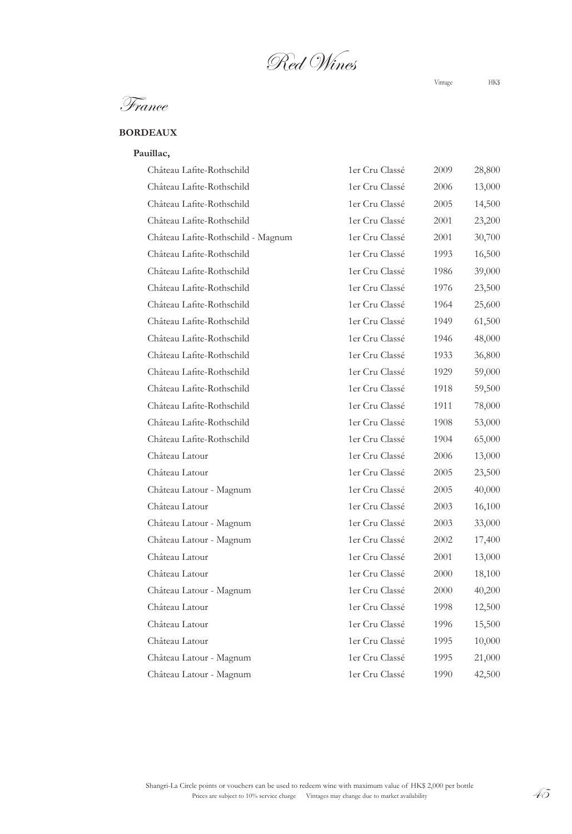Red Wines

# **BORDEAUX**

#### **Pauillac,**

| Château Lafite-Rothschild          | 1er Cru Classé | 2009 | 28,800 |
|------------------------------------|----------------|------|--------|
| Château Lafite-Rothschild          | 1er Cru Classé | 2006 | 13,000 |
| Château Lafite-Rothschild          | 1er Cru Classé | 2005 | 14,500 |
| Château Lafite-Rothschild          | 1er Cru Classé | 2001 | 23,200 |
| Château Lafite-Rothschild - Magnum | 1er Cru Classé | 2001 | 30,700 |
| Château Lafite-Rothschild          | 1er Cru Classé | 1993 | 16,500 |
| Château Lafite-Rothschild          | 1er Cru Classé | 1986 | 39,000 |
| Château Lafite-Rothschild          | 1er Cru Classé | 1976 | 23,500 |
| Château Lafite-Rothschild          | 1er Cru Classé | 1964 | 25,600 |
| Château Lafite-Rothschild          | 1er Cru Classé | 1949 | 61,500 |
| Château Lafite-Rothschild          | 1er Cru Classé | 1946 | 48,000 |
| Château Lafite-Rothschild          | 1er Cru Classé | 1933 | 36,800 |
| Château Lafite-Rothschild          | 1er Cru Classé | 1929 | 59,000 |
| Château Lafite-Rothschild          | 1er Cru Classé | 1918 | 59,500 |
| Château Lafite-Rothschild          | 1er Cru Classé | 1911 | 78,000 |
| Château Lafite-Rothschild          | 1er Cru Classé | 1908 | 53,000 |
| Château Lafite-Rothschild          | 1er Cru Classé | 1904 | 65,000 |
| Château Latour                     | 1er Cru Classé | 2006 | 13,000 |
| Château Latour                     | 1er Cru Classé | 2005 | 23,500 |
| Château Latour - Magnum            | 1er Cru Classé | 2005 | 40,000 |
| Château Latour                     | 1er Cru Classé | 2003 | 16,100 |
| Château Latour - Magnum            | 1er Cru Classé | 2003 | 33,000 |
| Château Latour - Magnum            | 1er Cru Classé | 2002 | 17,400 |
| Château Latour                     | 1er Cru Classé | 2001 | 13,000 |
| Château Latour                     | 1er Cru Classé | 2000 | 18,100 |
| Château Latour - Magnum            | 1er Cru Classé | 2000 | 40,200 |
| Château Latour                     | 1er Cru Classé | 1998 | 12,500 |
| Château Latour                     | 1er Cru Classé | 1996 | 15,500 |
| Château Latour                     | 1er Cru Classé | 1995 | 10,000 |
| Château Latour - Magnum            | 1er Cru Classé | 1995 | 21,000 |
| Château Latour - Magnum            | 1er Cru Classé | 1990 | 42,500 |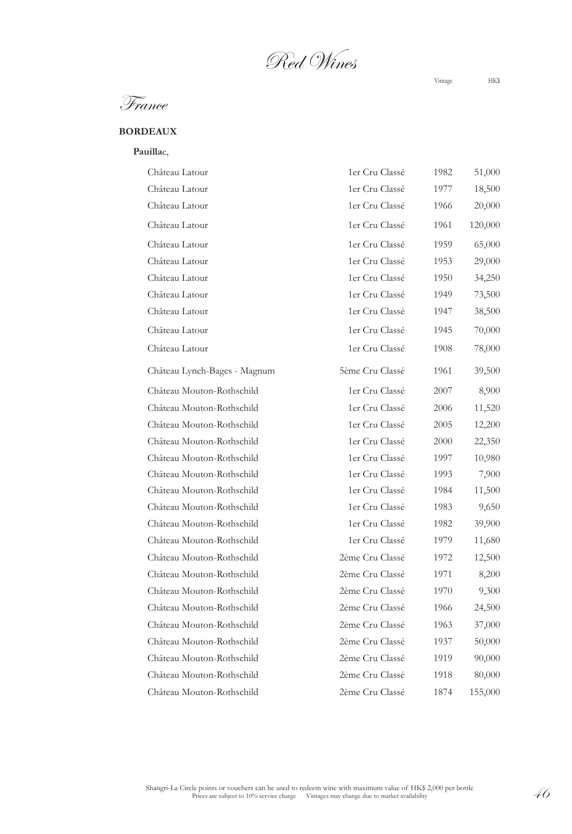Red Wines

France

## **BORDEAUX**

**Pauilla**c,

| Château Latour               | 1er Cru Classé  | 1982 | 51,000  |
|------------------------------|-----------------|------|---------|
| Château Latour               | 1er Cru Classé  | 1977 | 18,500  |
| Château Latour               | 1er Cru Classé  | 1966 | 20,000  |
| Château Latour               | 1er Cru Classé  | 1961 | 120,000 |
| Château Latour               | 1er Cru Classé  | 1959 | 65,000  |
| Château Latour               | 1er Cru Classé  | 1953 | 29,000  |
| Château Latour               | 1er Cru Classé  | 1950 | 34,250  |
| Château Latour               | 1er Cru Classé  | 1949 | 73,500  |
| Château Latour               | 1er Cru Classé  | 1947 | 38,500  |
| Château Latour               | 1er Cru Classé  | 1945 | 70,000  |
| Château Latour               | 1er Cru Classé  | 1908 | 78,000  |
| Château Lynch-Bages - Magnum | 5ème Cru Classé | 1961 | 39,500  |
| Château Mouton-Rothschild    | 1er Cru Classé  | 2007 | 8,900   |
| Château Mouton-Rothschild    | 1er Cru Classé  | 2006 | 11,520  |
| Château Mouton-Rothschild    | 1er Cru Classé  | 2005 | 12,200  |
| Château Mouton-Rothschild    | 1er Cru Classé  | 2000 | 22,350  |
| Château Mouton-Rothschild    | 1er Cru Classé  | 1997 | 10,980  |
| Château Mouton-Rothschild    | 1er Cru Classé  | 1993 | 7,900   |
| Château Mouton-Rothschild    | 1er Cru Classé  | 1984 | 11,500  |
| Château Mouton-Rothschild    | 1er Cru Classé  | 1983 | 9,650   |
| Château Mouton-Rothschild    | 1er Cru Classé  | 1982 | 39,900  |
| Château Mouton-Rothschild    | 1er Cru Classé  | 1979 | 11,680  |
| Château Mouton-Rothschild    | 2ème Cru Classé | 1972 | 12,500  |
| Château Mouton-Rothschild    | 2ème Cru Classé | 1971 | 8,200   |
| Château Mouton-Rothschild    | 2ème Cru Classé | 1970 | 9,300   |
| Château Mouton-Rothschild    | 2ème Cru Classé | 1966 | 24,500  |
| Château Mouton-Rothschild    | 2ème Cru Classé | 1963 | 37,000  |
| Château Mouton-Rothschild    | 2ème Cru Classé | 1937 | 50,000  |
| Château Mouton-Rothschild    | 2ème Cru Classé | 1919 | 90,000  |
| Château Mouton-Rothschild    | 2ème Cru Classé | 1918 | 80,000  |
| Château Mouton-Rothschild    | 2ème Cru Classé | 1874 | 155,000 |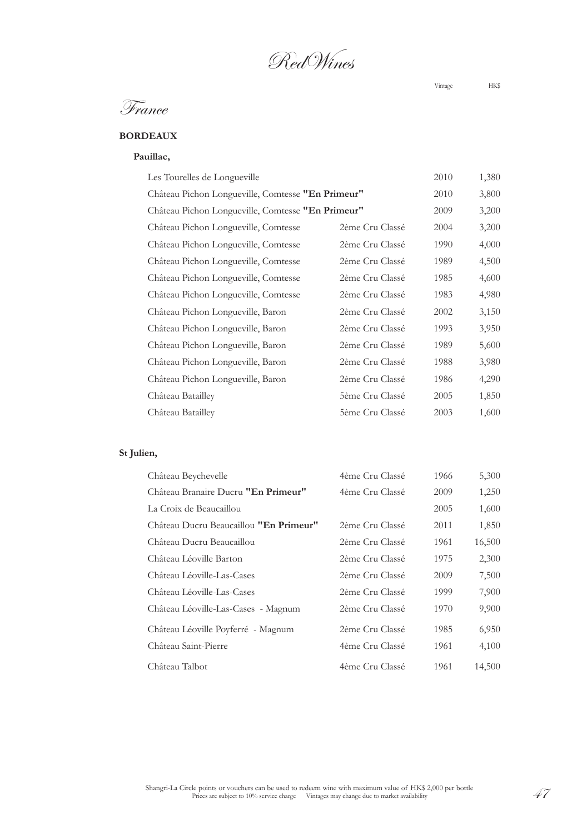RedWines

# France

# **BORDEAUX**

# **Pauillac,**

| Les Tourelles de Longueville                      |                 | 2010 | 1,380 |
|---------------------------------------------------|-----------------|------|-------|
| Château Pichon Longueville, Comtesse "En Primeur" |                 | 2010 | 3,800 |
| Château Pichon Longueville, Comtesse "En Primeur" |                 | 2009 | 3,200 |
| Château Pichon Longueville, Comtesse              | 2ème Cru Classé | 2004 | 3,200 |
| Château Pichon Longueville, Comtesse              | 2ème Cru Classé | 1990 | 4,000 |
| Château Pichon Longueville, Comtesse              | 2ème Cru Classé | 1989 | 4,500 |
| Château Pichon Longueville, Comtesse              | 2ème Cru Classé | 1985 | 4,600 |
| Château Pichon Longueville, Comtesse              | 2ème Cru Classé | 1983 | 4,980 |
| Château Pichon Longueville, Baron                 | 2ème Cru Classé | 2002 | 3,150 |
| Château Pichon Longueville, Baron                 | 2ème Cru Classé | 1993 | 3,950 |
| Château Pichon Longueville, Baron                 | 2ème Cru Classé | 1989 | 5,600 |
| Château Pichon Longueville, Baron                 | 2ème Cru Classé | 1988 | 3,980 |
| Château Pichon Longueville, Baron                 | 2ème Cru Classé | 1986 | 4,290 |
| Château Batailley                                 | 5ème Cru Classé | 2005 | 1,850 |
| Château Batailley                                 | 5ème Cru Classé | 2003 | 1,600 |
|                                                   |                 |      |       |

# **St Julien,**

| Château Beychevelle                    | 4ème Cru Classé | 1966 | 5,300  |
|----------------------------------------|-----------------|------|--------|
| Château Branaire Ducru "En Primeur"    | 4ème Cru Classé | 2009 | 1,250  |
| La Croix de Beaucaillou                |                 | 2005 | 1,600  |
| Château Ducru Beaucaillou "En Primeur" | 2ème Cru Classé | 2011 | 1,850  |
| Château Ducru Beaucaillou              | 2ème Cru Classé | 1961 | 16,500 |
| Château Léoville Barton                | 2ème Cru Classé | 1975 | 2,300  |
| Château Léoville-Las-Cases             | 2ème Cru Classé | 2009 | 7,500  |
| Château Léoville-Las-Cases             | 2ème Cru Classé | 1999 | 7,900  |
| Château Léoville-Las-Cases - Magnum    | 2ème Cru Classé | 1970 | 9,900  |
| Château Léoville Poyferré - Magnum     | 2ème Cru Classé | 1985 | 6,950  |
| Château Saint-Pierre                   | 4ème Cru Classé | 1961 | 4,100  |
| Château Talbot                         | 4ème Cru Classé | 1961 | 14,500 |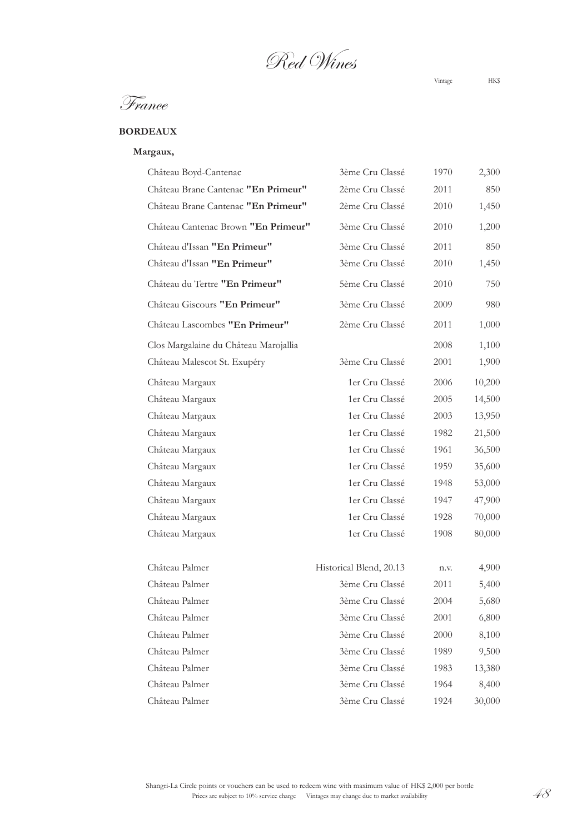Red Wines

# **BORDEAUX**

### **Margaux,**

| Château Boyd-Cantenac                 | 3ème Cru Classé         | 1970 | 2,300  |
|---------------------------------------|-------------------------|------|--------|
| Château Brane Cantenac "En Primeur"   | 2ème Cru Classé         | 2011 | 850    |
| Château Brane Cantenac "En Primeur"   | 2ème Cru Classé         | 2010 | 1,450  |
| Château Cantenac Brown "En Primeur"   | 3ème Cru Classé         | 2010 | 1,200  |
| Château d'Issan "En Primeur"          | 3ème Cru Classé         | 2011 | 850    |
| Château d'Issan "En Primeur"          | 3ème Cru Classé         | 2010 | 1,450  |
| Château du Tertre "En Primeur"        | 5ème Cru Classé         | 2010 | 750    |
| Château Giscours "En Primeur"         | 3ème Cru Classé         | 2009 | 980    |
| Château Lascombes "En Primeur"        | 2ème Cru Classé         | 2011 | 1,000  |
| Clos Margalaine du Château Marojallia |                         | 2008 | 1,100  |
| Château Malescot St. Exupéry          | 3ème Cru Classé         | 2001 | 1,900  |
| Château Margaux                       | 1er Cru Classé          | 2006 | 10,200 |
| Château Margaux                       | 1er Cru Classé          | 2005 | 14,500 |
| Château Margaux                       | 1er Cru Classé          | 2003 | 13,950 |
| Château Margaux                       | 1er Cru Classé          | 1982 | 21,500 |
| Château Margaux                       | 1er Cru Classé          | 1961 | 36,500 |
| Château Margaux                       | 1er Cru Classé          | 1959 | 35,600 |
| Château Margaux                       | 1er Cru Classé          | 1948 | 53,000 |
| Château Margaux                       | 1er Cru Classé          | 1947 | 47,900 |
| Château Margaux                       | 1er Cru Classé          | 1928 | 70,000 |
| Château Margaux                       | 1er Cru Classé          | 1908 | 80,000 |
| Château Palmer                        | Historical Blend, 20.13 | n.v. | 4,900  |
| Château Palmer                        | 3ème Cru Classé         | 2011 | 5,400  |
| Château Palmer                        | 3ème Cru Classé         | 2004 | 5,680  |
| Château Palmer                        | 3ème Cru Classé         | 2001 | 6,800  |
| Château Palmer                        | 3ème Cru Classé         | 2000 | 8,100  |
| Château Palmer                        | 3ème Cru Classé         | 1989 | 9,500  |
| Château Palmer                        | 3ème Cru Classé         | 1983 | 13,380 |
| Château Palmer                        | 3ème Cru Classé         | 1964 | 8,400  |
|                                       |                         |      |        |
| Château Palmer                        | 3ème Cru Classé         | 1924 | 30,000 |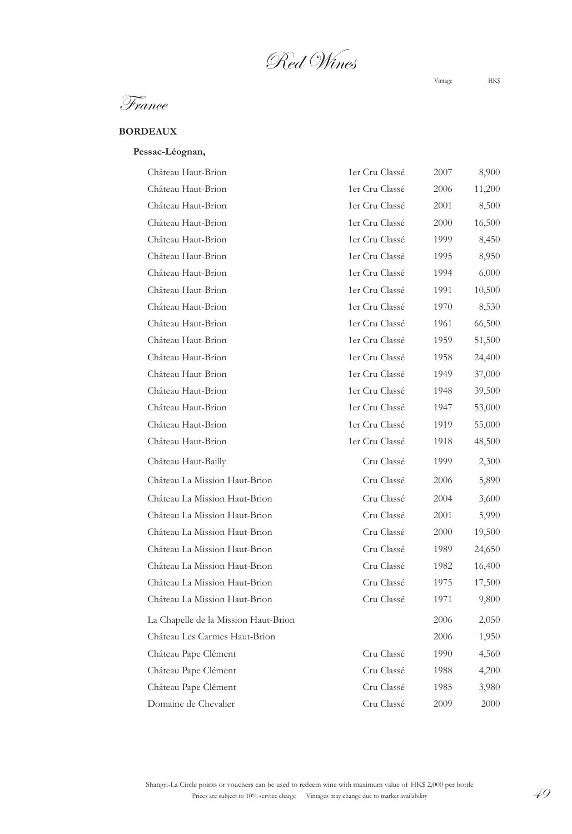Red Wines

# **BORDEAUX**

## **Pessac-Léognan,**

| Château Haut-Brion                   | 1er Cru Classé | 2007 | 8,900  |
|--------------------------------------|----------------|------|--------|
| Château Haut-Brion                   | 1er Cru Classé | 2006 | 11,200 |
| Château Haut-Brion                   | 1er Cru Classé | 2001 | 8,500  |
| Château Haut-Brion                   | 1er Cru Classé | 2000 | 16,500 |
| Château Haut-Brion                   | 1er Cru Classé | 1999 | 8,450  |
| Château Haut-Brion                   | 1er Cru Classé | 1995 | 8,950  |
| Château Haut-Brion                   | 1er Cru Classé | 1994 | 6,000  |
| Château Haut-Brion                   | 1er Cru Classé | 1991 | 10,500 |
| Château Haut-Brion                   | 1er Cru Classé | 1970 | 8,530  |
| Château Haut-Brion                   | 1er Cru Classé | 1961 | 66,500 |
| Château Haut-Brion                   | 1er Cru Classé | 1959 | 51,500 |
| Château Haut-Brion                   | 1er Cru Classé | 1958 | 24,400 |
| Château Haut-Brion                   | 1er Cru Classé | 1949 | 37,000 |
| Château Haut-Brion                   | 1er Cru Classé | 1948 | 39,500 |
| Château Haut-Brion                   | 1er Cru Classé | 1947 | 53,000 |
| Château Haut-Brion                   | 1er Cru Classé | 1919 | 55,000 |
| Château Haut-Brion                   | 1er Cru Classé | 1918 | 48,500 |
| Château Haut-Bailly                  | Cru Classé     | 1999 | 2,300  |
| Château La Mission Haut-Brion        | Cru Classé     | 2006 | 5,890  |
| Château La Mission Haut-Brion        | Cru Classé     | 2004 | 3,600  |
| Château La Mission Haut-Brion        | Cru Classé     | 2001 | 5,990  |
| Château La Mission Haut-Brion        | Cru Classé     | 2000 | 19,500 |
| Château La Mission Haut-Brion        | Cru Classé     | 1989 | 24,650 |
| Château La Mission Haut-Brion        | Cru Classé     | 1982 | 16,400 |
| Château La Mission Haut-Brion        | Cru Classé     | 1975 | 17,500 |
| Château La Mission Haut-Brion        | Cru Classé     | 1971 | 9,800  |
| La Chapelle de la Mission Haut-Brion |                | 2006 | 2,050  |
| Château Les Carmes Haut-Brion        |                | 2006 | 1,950  |
| Château Pape Clément                 | Cru Classé     | 1990 | 4,560  |
| Château Pape Clément                 | Cru Classé     | 1988 | 4,200  |
| Château Pape Clément                 | Cru Classé     | 1985 | 3,980  |
| Domaine de Chevalier                 | Cru Classé     | 2009 | 2000   |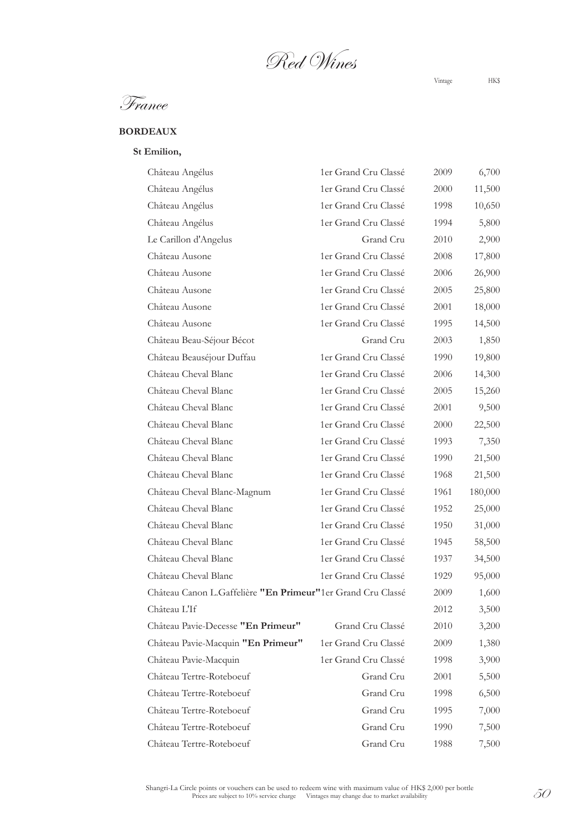Red Wines

France

### **BORDEAUX**

#### **St Emilion,**

| Château Angélus                                             | 1er Grand Cru Classé | 2009 | 6,700   |
|-------------------------------------------------------------|----------------------|------|---------|
| Château Angélus                                             | 1er Grand Cru Classé | 2000 | 11,500  |
| Château Angélus                                             | 1er Grand Cru Classé | 1998 | 10,650  |
| Château Angélus                                             | 1er Grand Cru Classé | 1994 | 5,800   |
| Le Carillon d'Angelus                                       | Grand Cru            | 2010 | 2,900   |
| Château Ausone                                              | 1er Grand Cru Classé | 2008 | 17,800  |
| Château Ausone                                              | 1er Grand Cru Classé | 2006 | 26,900  |
| Château Ausone                                              | 1er Grand Cru Classé | 2005 | 25,800  |
| Château Ausone                                              | 1er Grand Cru Classé | 2001 | 18,000  |
| Château Ausone                                              | 1er Grand Cru Classé | 1995 | 14,500  |
| Château Beau-Séjour Bécot                                   | Grand Cru            | 2003 | 1,850   |
| Château Beauséjour Duffau                                   | 1er Grand Cru Classé | 1990 | 19,800  |
| Château Cheval Blanc                                        | 1er Grand Cru Classé | 2006 | 14,300  |
| Château Cheval Blanc                                        | 1er Grand Cru Classé | 2005 | 15,260  |
| Château Cheval Blanc                                        | 1er Grand Cru Classé | 2001 | 9,500   |
| Château Cheval Blanc                                        | 1er Grand Cru Classé | 2000 | 22,500  |
| Château Cheval Blanc                                        | 1er Grand Cru Classé | 1993 | 7,350   |
| Château Cheval Blanc                                        | 1er Grand Cru Classé | 1990 | 21,500  |
| Château Cheval Blanc                                        | 1er Grand Cru Classé | 1968 | 21,500  |
| Château Cheval Blanc-Magnum                                 | 1er Grand Cru Classé | 1961 | 180,000 |
| Château Cheval Blanc                                        | 1er Grand Cru Classé | 1952 | 25,000  |
| Château Cheval Blanc                                        | 1er Grand Cru Classé | 1950 | 31,000  |
| Château Cheval Blanc                                        | 1er Grand Cru Classé | 1945 | 58,500  |
| Château Cheval Blanc                                        | 1er Grand Cru Classé | 1937 | 34,500  |
| Château Cheval Blanc                                        | 1er Grand Cru Classé | 1929 | 95,000  |
| Château Canon L.Gaffelière "En Primeur"1er Grand Cru Classé |                      | 2009 | 1,600   |
| Château L'If                                                |                      | 2012 | 3,500   |
| Château Pavie-Decesse "En Primeur"                          | Grand Cru Classé     | 2010 | 3,200   |
| Château Pavie-Macquin "En Primeur"                          | 1er Grand Cru Classé | 2009 | 1,380   |
| Château Pavie-Macquin                                       | 1er Grand Cru Classé | 1998 | 3,900   |
| Château Tertre-Roteboeuf                                    | Grand Cru            | 2001 | 5,500   |
| Château Tertre-Roteboeuf                                    | Grand Cru            | 1998 | 6,500   |
| Château Tertre-Roteboeuf                                    | Grand Cru            | 1995 | 7,000   |
| Château Tertre-Roteboeuf                                    | Grand Cru            | 1990 | 7,500   |
| Château Tertre-Roteboeuf                                    | Grand Cru            | 1988 | 7,500   |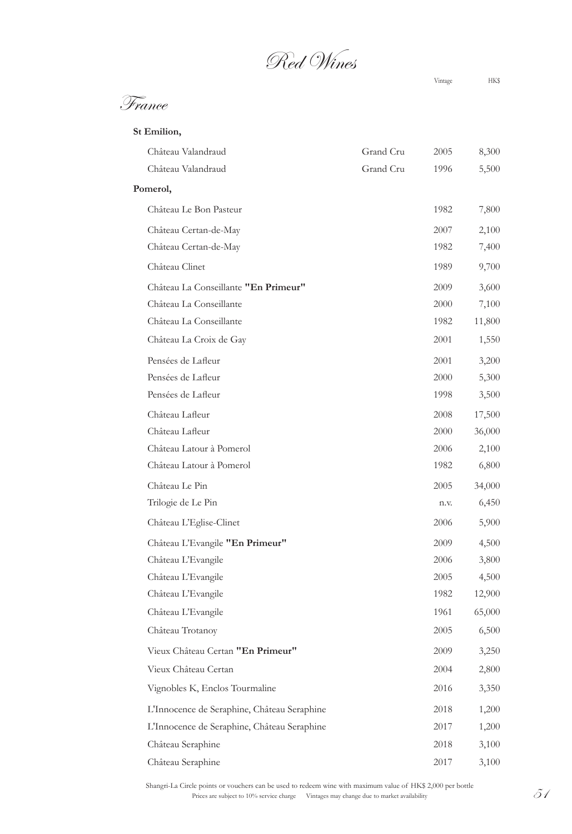Red Wines

| Château Valandraud                          | Grand Cru | 2005 | 8,300  |
|---------------------------------------------|-----------|------|--------|
| Château Valandraud                          | Grand Cru | 1996 | 5,500  |
| Pomerol,                                    |           |      |        |
| Château Le Bon Pasteur                      |           | 1982 | 7,800  |
| Château Certan-de-May                       |           | 2007 | 2,100  |
| Château Certan-de-May                       |           | 1982 | 7,400  |
| Château Clinet                              |           | 1989 | 9,700  |
| Château La Conseillante "En Primeur"        |           | 2009 | 3,600  |
| Château La Conseillante                     |           | 2000 | 7,100  |
| Château La Conseillante                     |           | 1982 | 11,800 |
| Château La Croix de Gay                     |           | 2001 | 1,550  |
| Pensées de Lafleur                          |           | 2001 | 3,200  |
| Pensées de Lafleur                          |           | 2000 | 5,300  |
| Pensées de Lafleur                          |           | 1998 | 3,500  |
| Château Lafleur                             |           | 2008 | 17,500 |
| Château Lafleur                             |           | 2000 | 36,000 |
| Château Latour à Pomerol                    |           | 2006 | 2,100  |
| Château Latour à Pomerol                    |           | 1982 | 6,800  |
| Château Le Pin                              |           | 2005 | 34,000 |
| Trilogie de Le Pin                          |           | n.v. | 6,450  |
| Château L'Eglise-Clinet                     |           | 2006 | 5,900  |
| Château L'Evangile "En Primeur"             |           | 2009 | 4,500  |
| Château L'Evangile                          |           | 2006 | 3,800  |
| Château L'Evangile                          |           | 2005 | 4,500  |
| Château L'Evangile                          |           | 1982 | 12,900 |
| Château L'Evangile                          |           | 1961 | 65,000 |
| Château Trotanoy                            |           | 2005 | 6,500  |
| Vieux Château Certan "En Primeur"           |           | 2009 | 3,250  |
| Vieux Château Certan                        |           | 2004 | 2,800  |
| Vignobles K, Enclos Tourmaline              |           | 2016 | 3,350  |
| L'Innocence de Seraphine, Château Seraphine |           | 2018 | 1,200  |
| L'Innocence de Seraphine, Château Seraphine |           | 2017 | 1,200  |
| Château Seraphine                           |           | 2018 | 3,100  |
| Château Seraphine                           |           | 2017 | 3,100  |
|                                             |           |      |        |

cle points or vouchers can be used to redeem wine with maximum value of  $HK\$  2,000 per bottle<br>Prices are subject to 10% service charge Vintages may change due to market availability  $51$ Shangri-La Circle points or vouchers can be used to redeem wine with maximum value of HK\$ 2,000 per bottle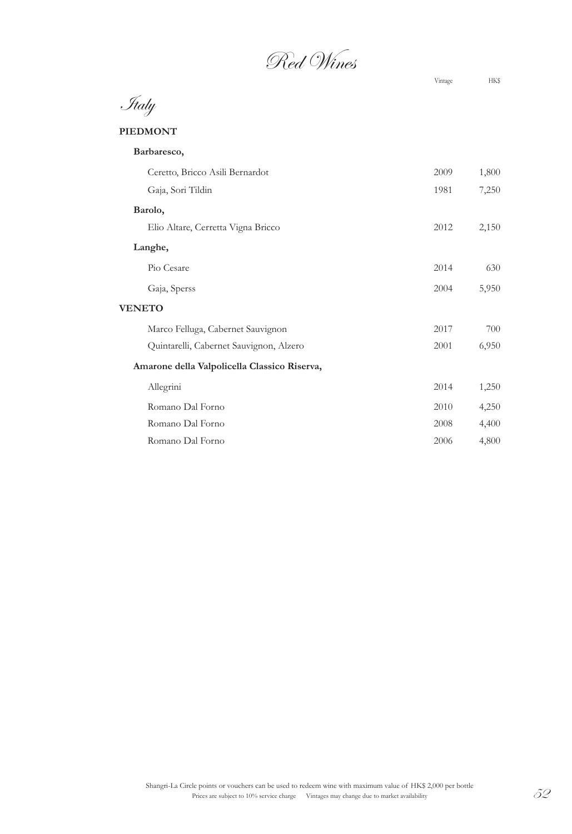Red Wines

Italy

# **PIEDMONT**

| Barbaresco,                                  |      |       |
|----------------------------------------------|------|-------|
| Ceretto, Bricco Asili Bernardot              | 2009 | 1,800 |
| Gaja, Sori Tildin                            | 1981 | 7,250 |
| Barolo,                                      |      |       |
| Elio Altare, Cerretta Vigna Bricco           | 2012 | 2,150 |
| Langhe,                                      |      |       |
| Pio Cesare                                   | 2014 | 630   |
| Gaja, Sperss                                 | 2004 | 5,950 |
| <b>VENETO</b>                                |      |       |
| Marco Felluga, Cabernet Sauvignon            | 2017 | 700   |
| Quintarelli, Cabernet Sauvignon, Alzero      | 2001 | 6,950 |
| Amarone della Valpolicella Classico Riserva, |      |       |
| Allegrini                                    | 2014 | 1,250 |
| Romano Dal Forno                             | 2010 | 4,250 |
| Romano Dal Forno                             | 2008 | 4,400 |
| Romano Dal Forno                             | 2006 | 4,800 |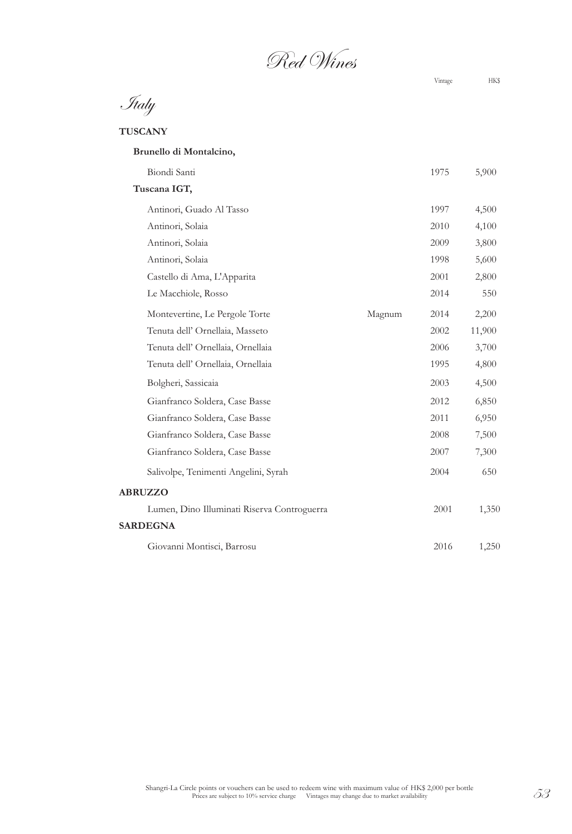Red Wines

Italy

**TUSCANY**

| Brunello di Montalcino,                     |        |      |        |
|---------------------------------------------|--------|------|--------|
| Biondi Santi                                |        | 1975 | 5,900  |
| Tuscana IGT,                                |        |      |        |
| Antinori, Guado Al Tasso                    |        | 1997 | 4,500  |
| Antinori, Solaia                            |        | 2010 | 4,100  |
| Antinori, Solaia                            |        | 2009 | 3,800  |
| Antinori, Solaia                            |        | 1998 | 5,600  |
| Castello di Ama, L'Apparita                 |        | 2001 | 2,800  |
| Le Macchiole, Rosso                         |        | 2014 | 550    |
| Montevertine, Le Pergole Torte              | Magnum | 2014 | 2,200  |
| Tenuta dell' Ornellaia, Masseto             |        | 2002 | 11,900 |
| Tenuta dell' Ornellaia, Ornellaia           |        | 2006 | 3,700  |
| Tenuta dell' Ornellaia, Ornellaia           |        | 1995 | 4,800  |
| Bolgheri, Sassicaia                         |        | 2003 | 4,500  |
| Gianfranco Soldera, Case Basse              |        | 2012 | 6,850  |
| Gianfranco Soldera, Case Basse              |        | 2011 | 6,950  |
| Gianfranco Soldera, Case Basse              |        | 2008 | 7,500  |
| Gianfranco Soldera, Case Basse              |        | 2007 | 7,300  |
| Salivolpe, Tenimenti Angelini, Syrah        |        | 2004 | 650    |
| <b>ABRUZZO</b>                              |        |      |        |
| Lumen, Dino Illuminati Riserva Controguerra |        | 2001 | 1,350  |
| <b>SARDEGNA</b>                             |        |      |        |
| Giovanni Montisci, Barrosu                  |        | 2016 | 1,250  |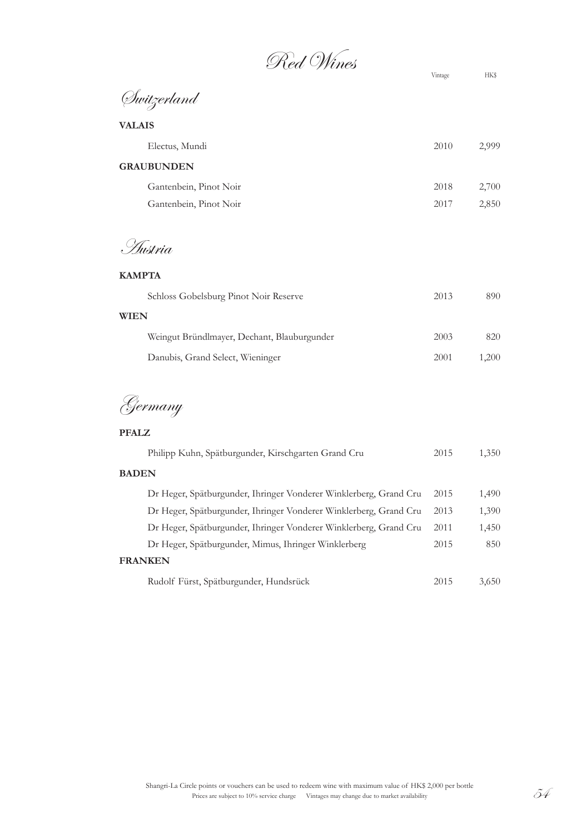Red Wines Vintage HK\$

Switzerland

| Electus, Mundi         | 2010 | 2,999 |
|------------------------|------|-------|
| <b>GRAUBUNDEN</b>      |      |       |
| Gantenbein, Pinot Noir | 2018 | 2,700 |
| Gantenbein, Pinot Noir | 2017 | 2,850 |

Austria

## **KAMPTA**

| Schloss Gobelsburg Pinot Noir Reserve<br>2013       | 890   |
|-----------------------------------------------------|-------|
| <b>WIEN</b>                                         |       |
| Weingut Bründlmayer, Dechant, Blauburgunder<br>2003 | 820   |
| Danubis, Grand Select, Wieninger<br>2001            | 1.200 |

Germany

**PFALZ**

| Philipp Kuhn, Spätburgunder, Kirschgarten Grand Cru               | 2015 | 1,350 |
|-------------------------------------------------------------------|------|-------|
| <b>BADEN</b>                                                      |      |       |
| Dr Heger, Spätburgunder, Ihringer Vonderer Winklerberg, Grand Cru | 2015 | 1,490 |
| Dr Heger, Spätburgunder, Ihringer Vonderer Winklerberg, Grand Cru | 2013 | 1,390 |
| Dr Heger, Spätburgunder, Ihringer Vonderer Winklerberg, Grand Cru | 2011 | 1,450 |
| Dr Heger, Spätburgunder, Mimus, Ihringer Winklerberg              | 2015 | 850   |
| <b>FRANKEN</b>                                                    |      |       |
| Rudolf Fürst, Spätburgunder, Hundsrück                            | 2015 | 3.650 |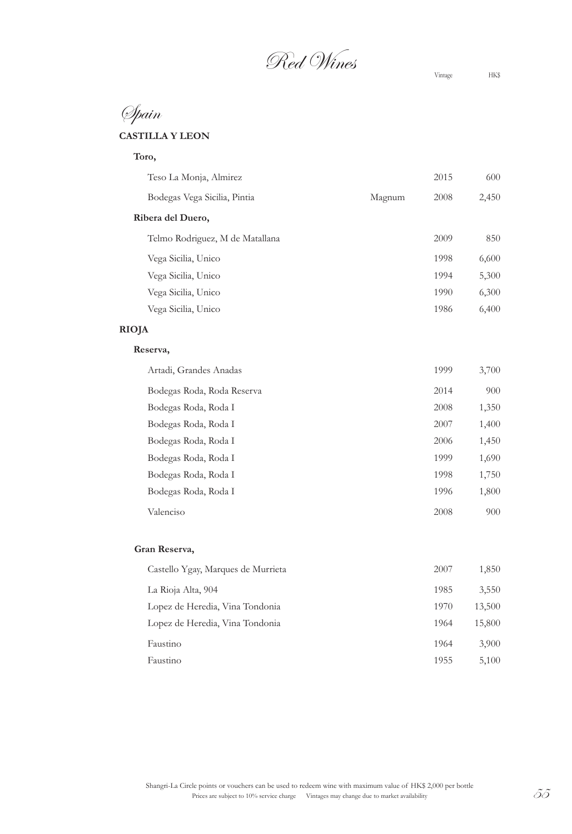Red Wines Vintage HK\$

# Spain

# **CASTILLA Y LEON**

| Toro,                           |        |      |       |
|---------------------------------|--------|------|-------|
| Teso La Monja, Almirez          |        | 2015 | 600   |
| Bodegas Vega Sicilia, Pintia    | Magnum | 2008 | 2,450 |
| Ribera del Duero,               |        |      |       |
| Telmo Rodriguez, M de Matallana |        | 2009 | 850   |
| Vega Sicilia, Unico             |        | 1998 | 6,600 |
| Vega Sicilia, Unico             |        | 1994 | 5,300 |
| Vega Sicilia, Unico             |        | 1990 | 6,300 |
| Vega Sicilia, Unico             |        | 1986 | 6,400 |
| <b>RIOJA</b>                    |        |      |       |
| Reserva,                        |        |      |       |
| Artadi, Grandes Anadas          |        | 1999 | 3,700 |
| Bodegas Roda, Roda Reserva      |        | 2014 | 900   |
| Bodegas Roda, Roda I            |        | 2008 | 1,350 |
| Bodegas Roda, Roda I            |        | 2007 | 1,400 |
| Bodegas Roda, Roda I            |        | 2006 | 1,450 |
| Bodegas Roda, Roda I            |        | 1999 | 1,690 |

| Bodegas Roda, Roda I | 1999 | 1,690 |
|----------------------|------|-------|
| Bodegas Roda, Roda I | 1998 | 1,750 |
| Bodegas Roda, Roda I | 1996 | 1,800 |
| Valenciso            | 2008 | 900   |

#### **Gran Reserva,**

| Castello Ygay, Marques de Murrieta | 2007 | 1,850  |
|------------------------------------|------|--------|
| La Rioja Alta, 904                 | 1985 | 3,550  |
| Lopez de Heredia, Vina Tondonia    | 1970 | 13,500 |
| Lopez de Heredia, Vina Tondonia    | 1964 | 15,800 |
| Faustino                           | 1964 | 3,900  |
| Faustino                           | 1955 | 5,100  |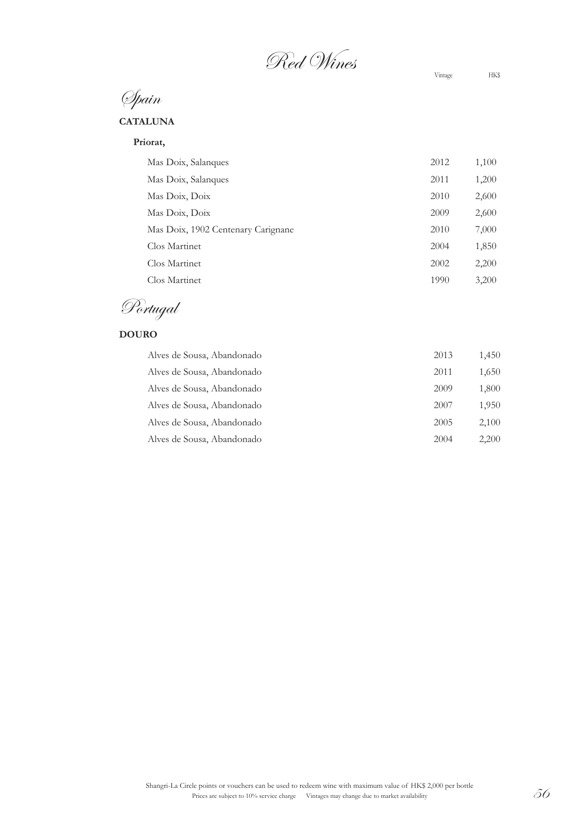Red Wines Vintage HK\$

Spain

### **CATALUNA**

**Priorat,**

| Mas Doix, Salanques                | 2012 | 1,100 |
|------------------------------------|------|-------|
| Mas Doix, Salanques                | 2011 | 1,200 |
| Mas Doix, Doix                     | 2010 | 2,600 |
| Mas Doix, Doix                     | 2009 | 2,600 |
| Mas Doix, 1902 Centenary Carignane | 2010 | 7,000 |
| Clos Martinet                      | 2004 | 1,850 |
| Clos Martinet                      | 2002 | 2,200 |
| Clos Martinet                      | 1990 | 3,200 |

Portugal

# **DOURO**

| Alves de Sousa, Abandonado | 2013 | 1,450 |
|----------------------------|------|-------|
| Alves de Sousa, Abandonado | 2011 | 1,650 |
| Alves de Sousa, Abandonado | 2009 | 1,800 |
| Alves de Sousa, Abandonado | 2007 | 1,950 |
| Alves de Sousa, Abandonado | 2005 | 2,100 |
| Alves de Sousa, Abandonado | 2004 | 2,200 |
|                            |      |       |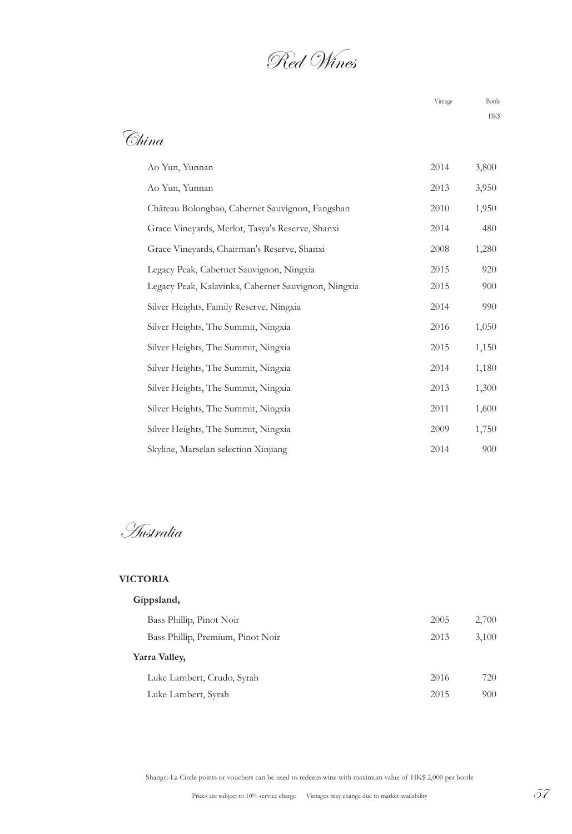# Red Wines

Vintage Bottle

# China

| Ao Yun, Yunnan                                      | 2014 | 3,800 |
|-----------------------------------------------------|------|-------|
| Ao Yun, Yunnan                                      | 2013 | 3,950 |
| Château Bolongbao, Cabernet Sauvignon, Fangshan     | 2010 | 1,950 |
| Grace Vineyards, Merlot, Tasya's Reserve, Shanxi    | 2014 | 480   |
| Grace Vineyards, Chairman's Reserve, Shanxi         | 2008 | 1,280 |
| Legacy Peak, Cabernet Sauvignon, Ningxia            | 2015 | 920   |
| Legacy Peak, Kalavinka, Cabernet Sauvignon, Ningxia | 2015 | 900   |
| Silver Heights, Family Reserve, Ningxia             | 2014 | 990   |
| Silver Heights, The Summit, Ningxia                 | 2016 | 1,050 |
| Silver Heights, The Summit, Ningxia                 | 2015 | 1,150 |
| Silver Heights, The Summit, Ningxia                 | 2014 | 1,180 |
| Silver Heights, The Summit, Ningxia                 | 2013 | 1,300 |
| Silver Heights, The Summit, Ningxia                 | 2011 | 1,600 |
| Silver Heights, The Summit, Ningxia                 | 2009 | 1,750 |
| Skyline, Marselan selection Xinjiang                | 2014 | 900   |

Australia

#### **VICTORIA**

# **Gippsland,**

| 2005 | 2,700 |
|------|-------|
| 2013 | 3,100 |
|      |       |
| 2016 | 720   |
| 2015 | 900   |
|      |       |

Shangri-La Circle points or vouchers can be used to redeem wine with maximum value of HK\$ 2,000 per bottle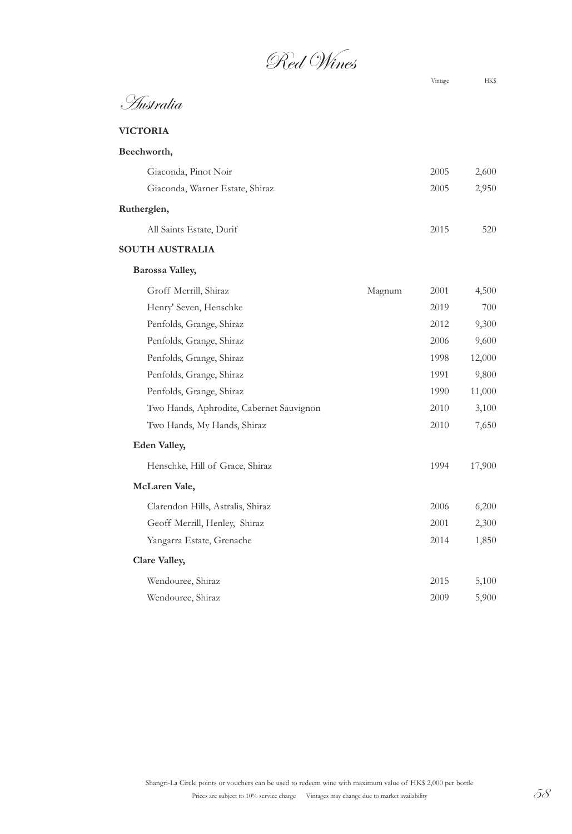Red Wines

Vintage HK\$

Australia

# **VICTORIA**

| Beechworth,                     |      |       |
|---------------------------------|------|-------|
| Giaconda, Pinot Noir            | 2005 | 2,600 |
| Giaconda, Warner Estate, Shiraz | 2005 | 2,950 |
| Rutherglen,                     |      |       |
| All Saints Estate, Durif        | 2015 | 520   |

#### **SOUTH AUSTRALIA**

#### **Barossa Valley,**

| Groff Merrill, Shiraz                    | Magnum | 2001 | 4,500  |
|------------------------------------------|--------|------|--------|
| Henry' Seven, Henschke                   |        | 2019 | 700    |
| Penfolds, Grange, Shiraz                 |        | 2012 | 9,300  |
| Penfolds, Grange, Shiraz                 |        | 2006 | 9,600  |
| Penfolds, Grange, Shiraz                 |        | 1998 | 12,000 |
| Penfolds, Grange, Shiraz                 |        | 1991 | 9,800  |
| Penfolds, Grange, Shiraz                 |        | 1990 | 11,000 |
| Two Hands, Aphrodite, Cabernet Sauvignon |        | 2010 | 3,100  |
| Two Hands, My Hands, Shiraz              |        | 2010 | 7,650  |
| <b>Eden Valley,</b>                      |        |      |        |
| Henschke, Hill of Grace, Shiraz          |        | 1994 | 17,900 |
| McLaren Vale,                            |        |      |        |
| Clarendon Hills, Astralis, Shiraz        |        | 2006 | 6,200  |
| Geoff Merrill, Henley, Shiraz            |        | 2001 | 2,300  |
| Yangarra Estate, Grenache                |        | 2014 | 1,850  |
| <b>Clare Valley,</b>                     |        |      |        |
| Wendouree, Shiraz                        |        | 2015 | 5,100  |
| Wendouree, Shiraz                        |        | 2009 | 5,900  |
|                                          |        |      |        |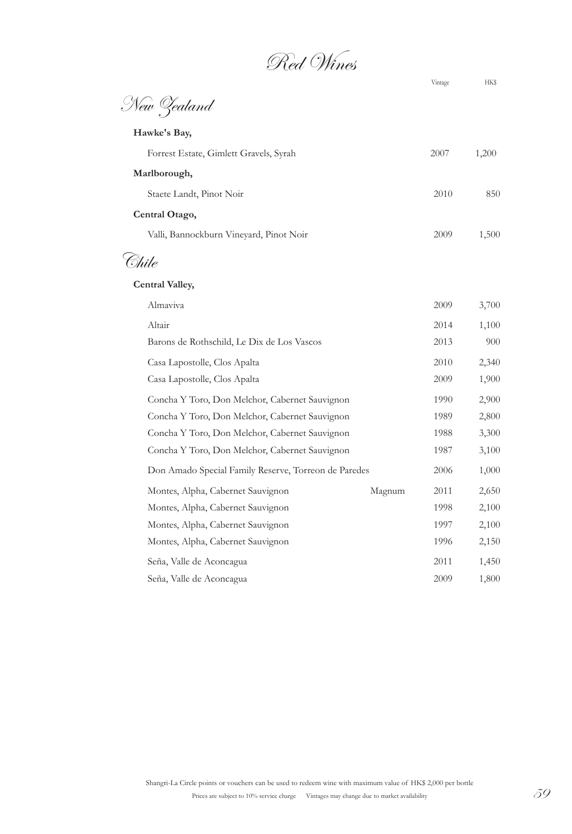Red Wines

|                                                      |        | Vintage | <b>HK\$</b> |
|------------------------------------------------------|--------|---------|-------------|
| New Zealand                                          |        |         |             |
| Hawke's Bay,                                         |        |         |             |
| Forrest Estate, Gimlett Gravels, Syrah               |        | 2007    | 1,200       |
| Marlborough,                                         |        |         |             |
| Staete Landt, Pinot Noir                             |        | 2010    | 850         |
| Central Otago,                                       |        |         |             |
| Valli, Bannockburn Vineyard, Pinot Noir              |        | 2009    | 1,500       |
| Šhile                                                |        |         |             |
| <b>Central Valley,</b>                               |        |         |             |
| Almaviva                                             |        | 2009    | 3,700       |
| Altair                                               |        | 2014    | 1,100       |
| Barons de Rothschild, Le Dix de Los Vascos           |        | 2013    | 900         |
| Casa Lapostolle, Clos Apalta                         |        | 2010    | 2,340       |
| Casa Lapostolle, Clos Apalta                         |        | 2009    | 1,900       |
| Concha Y Toro, Don Melchor, Cabernet Sauvignon       |        | 1990    | 2,900       |
| Concha Y Toro, Don Melchor, Cabernet Sauvignon       |        | 1989    | 2,800       |
| Concha Y Toro, Don Melchor, Cabernet Sauvignon       |        | 1988    | 3,300       |
| Concha Y Toro, Don Melchor, Cabernet Sauvignon       |        | 1987    | 3,100       |
| Don Amado Special Family Reserve, Torreon de Paredes |        | 2006    | 1,000       |
| Montes, Alpha, Cabernet Sauvignon                    | Magnum | 2011    | 2,650       |
| Montes, Alpha, Cabernet Sauvignon                    |        | 1998    | 2,100       |
| Montes, Alpha, Cabernet Sauvignon                    |        | 1997    | 2,100       |
| Montes, Alpha, Cabernet Sauvignon                    |        | 1996    | 2,150       |
| Seña, Valle de Aconcagua                             |        | 2011    | 1,450       |
| Seña, Valle de Aconcagua                             |        | 2009    | 1,800       |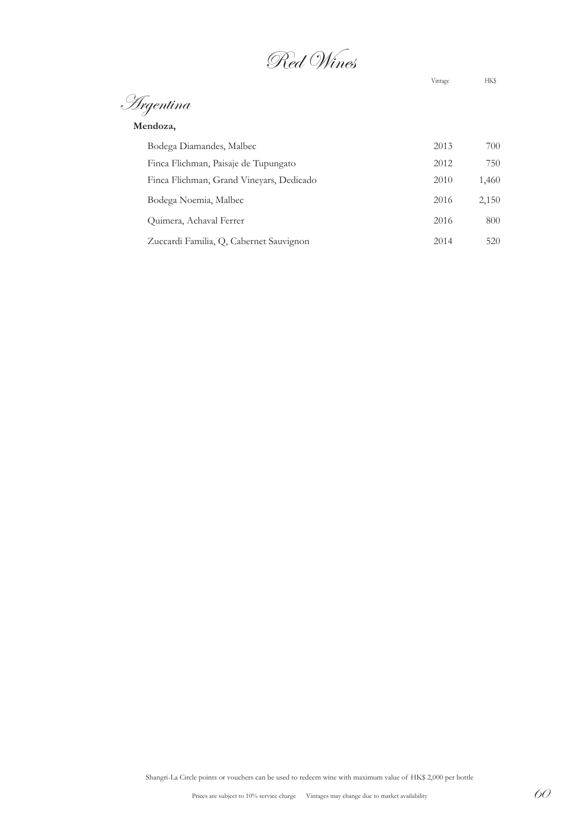Red Wines

Vintage HK\$

Argentina

| Mendoza, |
|----------|
|----------|

| Bodega Diamandes, Malbec                 | 2013 | 700   |
|------------------------------------------|------|-------|
| Finca Flichman, Paisaje de Tupungato     | 2012 | 750   |
| Finca Flichman, Grand Vineyars, Dedicado | 2010 | 1,460 |
| Bodega Noemia, Malbec                    | 2016 | 2,150 |
| Quimera, Achaval Ferrer                  | 2016 | 800   |
| Zuccardi Familia, Q, Cabernet Sauvignon  | 2014 | 520   |

Shangri-La Circle points or vouchers can be used to redeem wine with maximum value of HK\$ 2,000 per bottle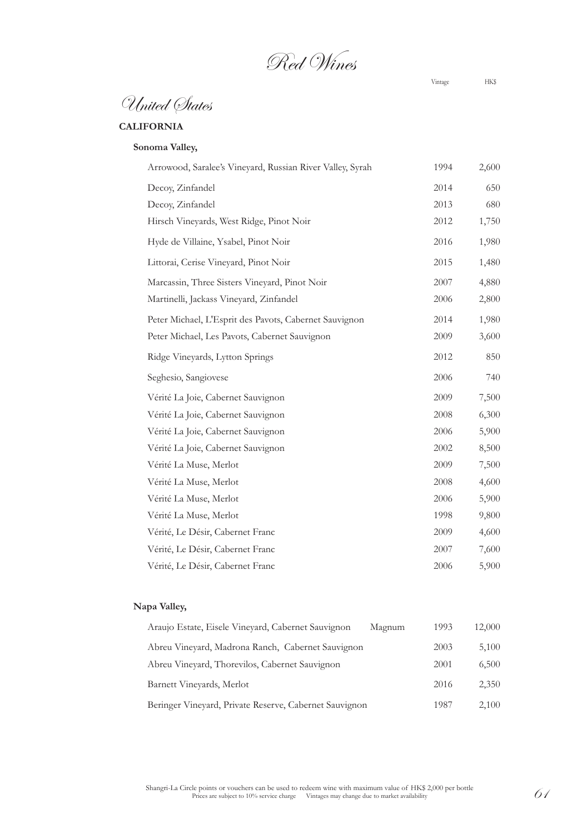Red Wines

Vintage HK\$

# **CALIFORNIA**

### **Sonoma Valley,**

| Arrowood, Saralee's Vineyard, Russian River Valley, Syrah | 1994 | 2,600 |
|-----------------------------------------------------------|------|-------|
| Decoy, Zinfandel                                          | 2014 | 650   |
| Decoy, Zinfandel                                          | 2013 | 680   |
| Hirsch Vineyards, West Ridge, Pinot Noir                  | 2012 | 1,750 |
| Hyde de Villaine, Ysabel, Pinot Noir                      | 2016 | 1,980 |
| Littorai, Cerise Vineyard, Pinot Noir                     | 2015 | 1,480 |
| Marcassin, Three Sisters Vineyard, Pinot Noir             | 2007 | 4,880 |
| Martinelli, Jackass Vineyard, Zinfandel                   | 2006 | 2,800 |
| Peter Michael, L'Esprit des Pavots, Cabernet Sauvignon    | 2014 | 1,980 |
| Peter Michael, Les Pavots, Cabernet Sauvignon             | 2009 | 3,600 |
| Ridge Vineyards, Lytton Springs                           | 2012 | 850   |
| Seghesio, Sangiovese                                      | 2006 | 740   |
| Vérité La Joie, Cabernet Sauvignon                        | 2009 | 7,500 |
| Vérité La Joie, Cabernet Sauvignon                        | 2008 | 6,300 |
| Vérité La Joie, Cabernet Sauvignon                        | 2006 | 5,900 |
| Vérité La Joie, Cabernet Sauvignon                        | 2002 | 8,500 |
| Vérité La Muse, Merlot                                    | 2009 | 7,500 |
| Vérité La Muse, Merlot                                    | 2008 | 4,600 |
| Vérité La Muse, Merlot                                    | 2006 | 5,900 |
| Vérité La Muse, Merlot                                    | 1998 | 9,800 |
| Vérité, Le Désir, Cabernet Franc                          | 2009 | 4,600 |
| Vérité, Le Désir, Cabernet Franc                          | 2007 | 7,600 |
| Vérité, Le Désir, Cabernet Franc                          | 2006 | 5,900 |

| Araujo Estate, Eisele Vineyard, Cabernet Sauvignon     | Magnum | 1993 | 12,000 |
|--------------------------------------------------------|--------|------|--------|
| Abreu Vineyard, Madrona Ranch, Cabernet Sauvignon      |        | 2003 | 5,100  |
| Abreu Vineyard, Thorevilos, Cabernet Sauvignon         |        | 2001 | 6,500  |
| Barnett Vineyards, Merlot                              |        | 2016 | 2,350  |
| Beringer Vineyard, Private Reserve, Cabernet Sauvignon |        | 1987 | 2,100  |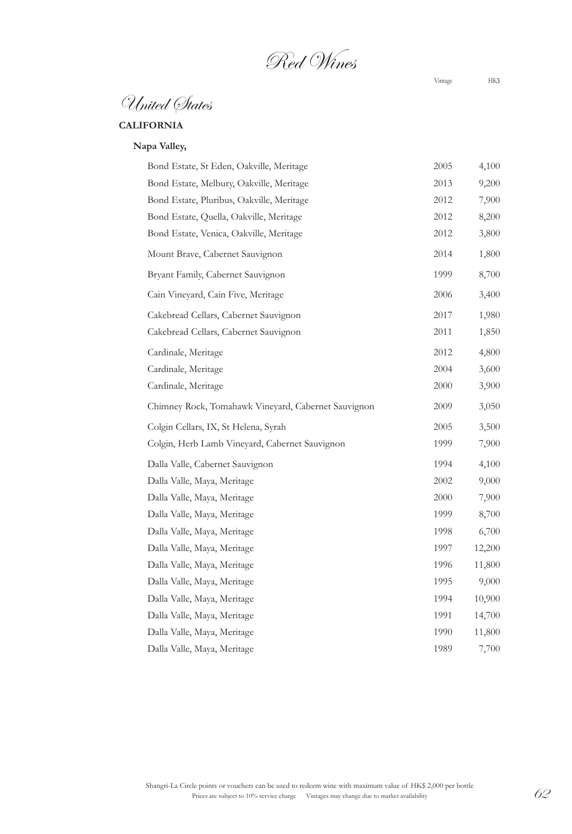Red Wines

Vintage HK\$

# **CALIFORNIA**

| Bond Estate, St Eden, Oakville, Meritage            | 2005 | 4,100  |
|-----------------------------------------------------|------|--------|
| Bond Estate, Melbury, Oakville, Meritage            | 2013 | 9,200  |
| Bond Estate, Pluribus, Oakville, Meritage           | 2012 | 7,900  |
| Bond Estate, Quella, Oakville, Meritage             | 2012 | 8,200  |
| Bond Estate, Venica, Oakville, Meritage             | 2012 | 3,800  |
| Mount Brave, Cabernet Sauvignon                     | 2014 | 1,800  |
| Bryant Family, Cabernet Sauvignon                   | 1999 | 8,700  |
| Cain Vineyard, Cain Five, Meritage                  | 2006 | 3,400  |
| Cakebread Cellars, Cabernet Sauvignon               | 2017 | 1,980  |
| Cakebread Cellars, Cabernet Sauvignon               | 2011 | 1,850  |
| Cardinale, Meritage                                 | 2012 | 4,800  |
| Cardinale, Meritage                                 | 2004 | 3,600  |
| Cardinale, Meritage                                 | 2000 | 3,900  |
| Chimney Rock, Tomahawk Vineyard, Cabernet Sauvignon | 2009 | 3,050  |
| Colgin Cellars, IX, St Helena, Syrah                | 2005 | 3,500  |
| Colgin, Herb Lamb Vineyard, Cabernet Sauvignon      | 1999 | 7,900  |
| Dalla Valle, Cabernet Sauvignon                     | 1994 | 4,100  |
| Dalla Valle, Maya, Meritage                         | 2002 | 9,000  |
| Dalla Valle, Maya, Meritage                         | 2000 | 7,900  |
| Dalla Valle, Maya, Meritage                         | 1999 | 8,700  |
| Dalla Valle, Maya, Meritage                         | 1998 | 6,700  |
| Dalla Valle, Maya, Meritage                         | 1997 | 12,200 |
| Dalla Valle, Maya, Meritage                         | 1996 | 11,800 |
| Dalla Valle, Maya, Meritage                         | 1995 | 9,000  |
| Dalla Valle, Maya, Meritage                         | 1994 | 10,900 |
| Dalla Valle, Maya, Meritage                         | 1991 | 14,700 |
| Dalla Valle, Maya, Meritage                         | 1990 | 11,800 |
| Dalla Valle, Maya, Meritage                         | 1989 | 7,700  |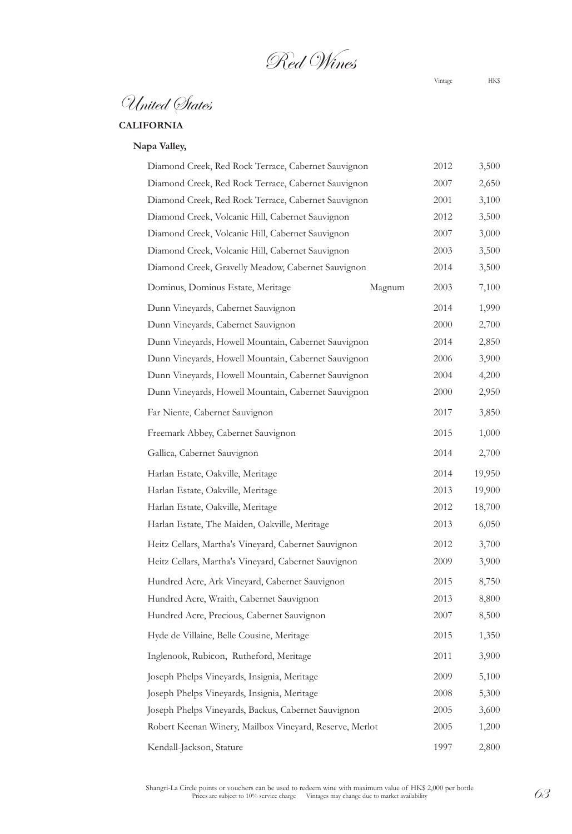Red Wines

Vintage HK\$

# **CALIFORNIA**

| Diamond Creek, Red Rock Terrace, Cabernet Sauvignon     | 2012 | 3,500  |
|---------------------------------------------------------|------|--------|
| Diamond Creek, Red Rock Terrace, Cabernet Sauvignon     | 2007 | 2,650  |
| Diamond Creek, Red Rock Terrace, Cabernet Sauvignon     | 2001 | 3,100  |
| Diamond Creek, Volcanic Hill, Cabernet Sauvignon        | 2012 | 3,500  |
| Diamond Creek, Volcanic Hill, Cabernet Sauvignon        | 2007 | 3,000  |
| Diamond Creek, Volcanic Hill, Cabernet Sauvignon        | 2003 | 3,500  |
| Diamond Creek, Gravelly Meadow, Cabernet Sauvignon      | 2014 | 3,500  |
| Dominus, Dominus Estate, Meritage<br>Magnum             | 2003 | 7,100  |
| Dunn Vineyards, Cabernet Sauvignon                      | 2014 | 1,990  |
| Dunn Vineyards, Cabernet Sauvignon                      | 2000 | 2,700  |
| Dunn Vineyards, Howell Mountain, Cabernet Sauvignon     | 2014 | 2,850  |
| Dunn Vineyards, Howell Mountain, Cabernet Sauvignon     | 2006 | 3,900  |
| Dunn Vineyards, Howell Mountain, Cabernet Sauvignon     | 2004 | 4,200  |
| Dunn Vineyards, Howell Mountain, Cabernet Sauvignon     | 2000 | 2,950  |
| Far Niente, Cabernet Sauvignon                          | 2017 | 3,850  |
| Freemark Abbey, Cabernet Sauvignon                      | 2015 | 1,000  |
| Gallica, Cabernet Sauvignon                             | 2014 | 2,700  |
| Harlan Estate, Oakville, Meritage                       | 2014 | 19,950 |
| Harlan Estate, Oakville, Meritage                       | 2013 | 19,900 |
| Harlan Estate, Oakville, Meritage                       | 2012 | 18,700 |
| Harlan Estate, The Maiden, Oakville, Meritage           | 2013 | 6,050  |
| Heitz Cellars, Martha's Vineyard, Cabernet Sauvignon    | 2012 | 3,700  |
| Heitz Cellars, Martha's Vineyard, Cabernet Sauvignon    | 2009 | 3,900  |
| Hundred Acre, Ark Vineyard, Cabernet Sauvignon          | 2015 | 8,750  |
| Hundred Acre, Wraith, Cabernet Sauvignon                | 2013 | 8,800  |
| Hundred Acre, Precious, Cabernet Sauvignon              | 2007 | 8,500  |
| Hyde de Villaine, Belle Cousine, Meritage               | 2015 | 1,350  |
| Inglenook, Rubicon, Rutheford, Meritage                 | 2011 | 3,900  |
| Joseph Phelps Vineyards, Insignia, Meritage             | 2009 | 5,100  |
| Joseph Phelps Vineyards, Insignia, Meritage             | 2008 | 5,300  |
| Joseph Phelps Vineyards, Backus, Cabernet Sauvignon     | 2005 | 3,600  |
| Robert Keenan Winery, Mailbox Vineyard, Reserve, Merlot | 2005 | 1,200  |
| Kendall-Jackson, Stature                                | 1997 | 2,800  |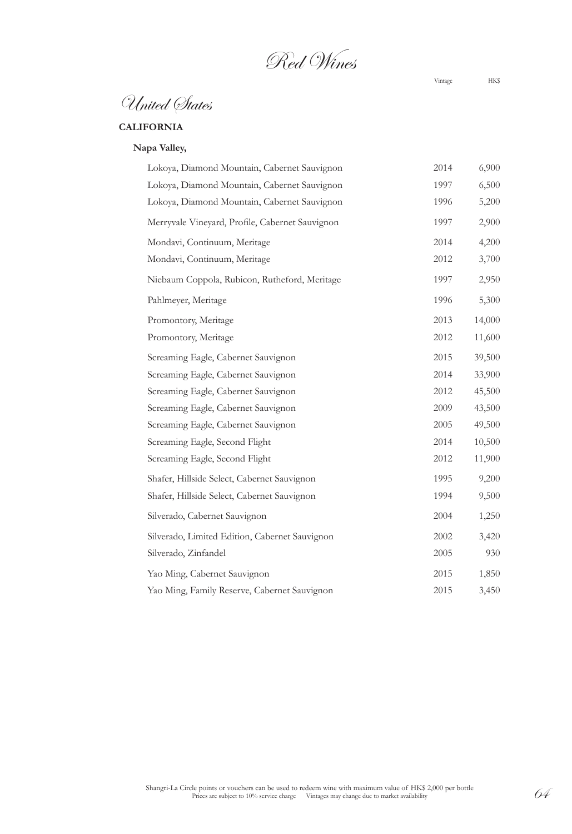Red Wines

Vintage HK\$

# **CALIFORNIA**

| Lokoya, Diamond Mountain, Cabernet Sauvignon    | 2014 | 6,900  |
|-------------------------------------------------|------|--------|
| Lokoya, Diamond Mountain, Cabernet Sauvignon    | 1997 | 6,500  |
| Lokoya, Diamond Mountain, Cabernet Sauvignon    | 1996 | 5,200  |
| Merryvale Vineyard, Profile, Cabernet Sauvignon | 1997 | 2,900  |
| Mondavi, Continuum, Meritage                    | 2014 | 4,200  |
| Mondavi, Continuum, Meritage                    | 2012 | 3,700  |
| Niebaum Coppola, Rubicon, Rutheford, Meritage   | 1997 | 2,950  |
| Pahlmeyer, Meritage                             | 1996 | 5,300  |
| Promontory, Meritage                            | 2013 | 14,000 |
| Promontory, Meritage                            | 2012 | 11,600 |
| Screaming Eagle, Cabernet Sauvignon             | 2015 | 39,500 |
| Screaming Eagle, Cabernet Sauvignon             | 2014 | 33,900 |
| Screaming Eagle, Cabernet Sauvignon             | 2012 | 45,500 |
| Screaming Eagle, Cabernet Sauvignon             | 2009 | 43,500 |
| Screaming Eagle, Cabernet Sauvignon             | 2005 | 49,500 |
| Screaming Eagle, Second Flight                  | 2014 | 10,500 |
| Screaming Eagle, Second Flight                  | 2012 | 11,900 |
| Shafer, Hillside Select, Cabernet Sauvignon     | 1995 | 9,200  |
| Shafer, Hillside Select, Cabernet Sauvignon     | 1994 | 9,500  |
| Silverado, Cabernet Sauvignon                   | 2004 | 1,250  |
| Silverado, Limited Edition, Cabernet Sauvignon  | 2002 | 3,420  |
| Silverado, Zinfandel                            | 2005 | 930    |
| Yao Ming, Cabernet Sauvignon                    | 2015 | 1,850  |
| Yao Ming, Family Reserve, Cabernet Sauvignon    | 2015 | 3,450  |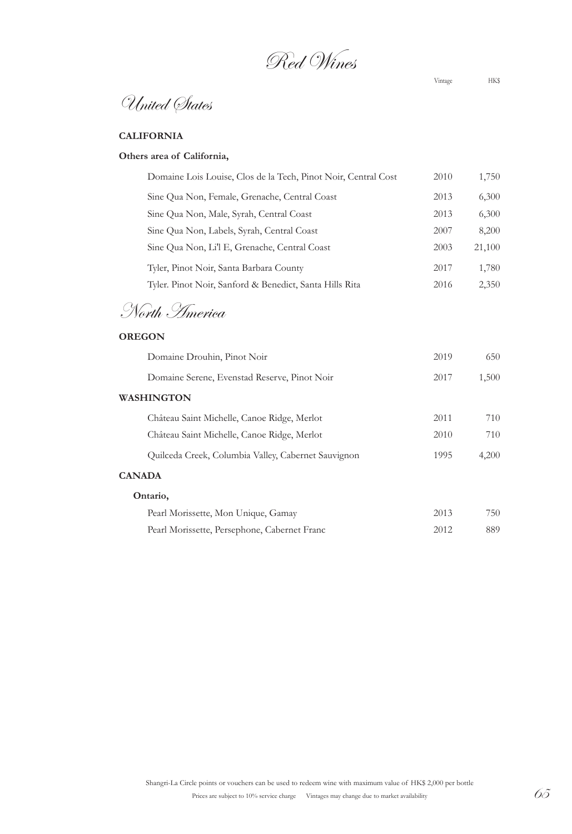Red Wines

Vintage HK\$

# **CALIFORNIA**

# **Others area of California,**

| Domaine Lois Louise, Clos de la Tech, Pinot Noir, Central Cost | 2010 | 1,750  |
|----------------------------------------------------------------|------|--------|
| Sine Qua Non, Female, Grenache, Central Coast                  | 2013 | 6,300  |
| Sine Qua Non, Male, Syrah, Central Coast                       | 2013 | 6,300  |
| Sine Qua Non, Labels, Syrah, Central Coast                     | 2007 | 8,200  |
| Sine Qua Non, Li'l E, Grenache, Central Coast                  | 2003 | 21,100 |
| Tyler, Pinot Noir, Santa Barbara County                        | 2017 | 1,780  |
| Tyler. Pinot Noir, Sanford & Benedict, Santa Hills Rita        | 2016 | 2,350  |
| North <i>America</i>                                           |      |        |

### **OREGON**

| Domaine Drouhin, Pinot Noir                         | 2019 | 650   |
|-----------------------------------------------------|------|-------|
| Domaine Serene, Evenstad Reserve, Pinot Noir        | 2017 | 1,500 |
| WASHINGTON                                          |      |       |
| Château Saint Michelle, Canoe Ridge, Merlot         | 2011 | 710   |
| Château Saint Michelle, Canoe Ridge, Merlot         | 2010 | 710   |
| Quilceda Creek, Columbia Valley, Cabernet Sauvignon | 1995 | 4,200 |
| <b>CANADA</b>                                       |      |       |
| Ontario,                                            |      |       |
| Pearl Morissette, Mon Unique, Gamay                 | 2013 | 750   |
| Pearl Morissette, Persephone, Cabernet Franc        | 2012 | 889   |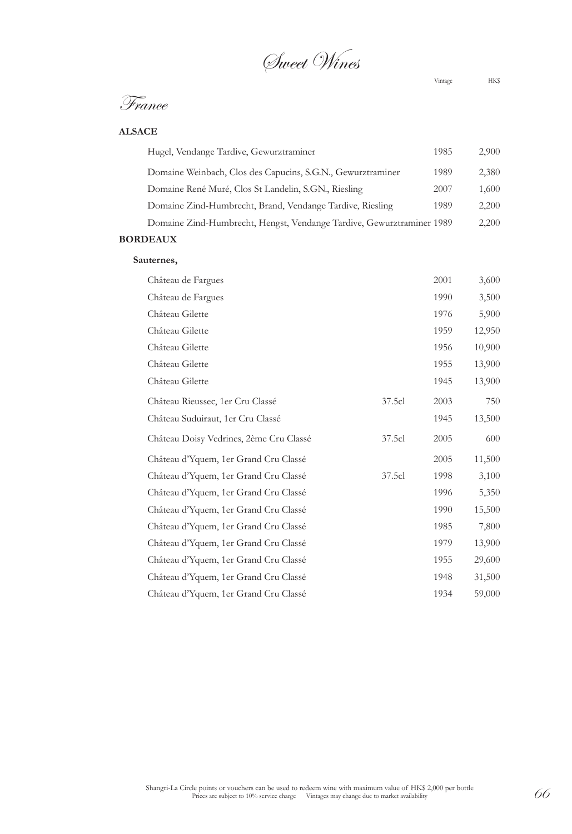Sweet Wines

Vintage HK\$

## **ALSACE**

| Hugel, Vendange Tardive, Gewurztraminer                               | 1985 | 2,900 |
|-----------------------------------------------------------------------|------|-------|
| Domaine Weinbach, Clos des Capucins, S.G.N., Gewurztraminer           | 1989 | 2,380 |
| Domaine René Muré, Clos St Landelin, S.GN., Riesling                  | 2007 | 1,600 |
| Domaine Zind-Humbrecht, Brand, Vendange Tardive, Riesling             | 1989 | 2,200 |
| Domaine Zind-Humbrecht, Hengst, Vendange Tardive, Gewurztraminer 1989 |      | 2,200 |
| <b>BORDEAUX</b>                                                       |      |       |

# **Sauternes,**

| Château de Fargues                      |        | 2001 | 3,600  |
|-----------------------------------------|--------|------|--------|
| Château de Fargues                      |        | 1990 | 3,500  |
| Château Gilette                         |        | 1976 | 5,900  |
| Château Gilette                         |        | 1959 | 12,950 |
| Château Gilette                         |        | 1956 | 10,900 |
| Château Gilette                         |        | 1955 | 13,900 |
| Château Gilette                         |        | 1945 | 13,900 |
| Château Rieussec, 1er Cru Classé        | 37.5cl | 2003 | 750    |
| Château Suduiraut, 1er Cru Classé       |        | 1945 | 13,500 |
| Château Doisy Vedrines, 2ème Cru Classé | 37.5cl | 2005 | 600    |
| Château d'Yquem, 1er Grand Cru Classé   |        | 2005 | 11,500 |
| Château d'Yquem, 1er Grand Cru Classé   | 37.5cl | 1998 | 3,100  |
| Château d'Yquem, 1er Grand Cru Classé   |        | 1996 | 5,350  |
| Château d'Yquem, 1er Grand Cru Classé   |        | 1990 | 15,500 |
| Château d'Yquem, 1er Grand Cru Classé   |        | 1985 | 7,800  |
| Château d'Yquem, 1er Grand Cru Classé   |        | 1979 | 13,900 |
| Château d'Yquem, 1er Grand Cru Classé   |        | 1955 | 29,600 |
| Château d'Yquem, 1er Grand Cru Classé   |        | 1948 | 31,500 |
| Château d'Yquem, 1er Grand Cru Classé   |        | 1934 | 59,000 |
|                                         |        |      |        |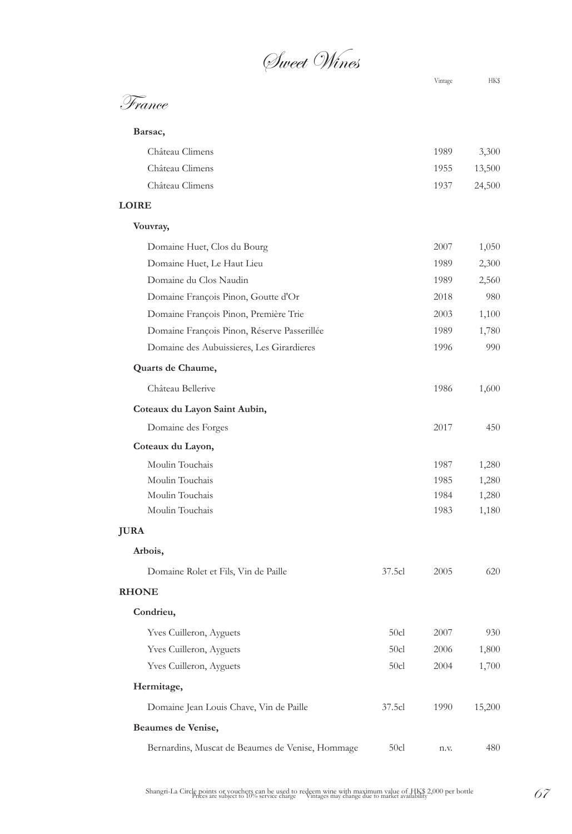Sweet Wines

| France |  |
|--------|--|
|        |  |

**Barsac,**

|        | Château Climens | 1989        | 3,300 |
|--------|-----------------|-------------|-------|
|        | Château Climens | 1955 13,500 |       |
|        | Château Climens | 1937 24,500 |       |
| - ---- |                 |             |       |

# **LOIRE**

| Vouvray,                                         |        |      |        |
|--------------------------------------------------|--------|------|--------|
| Domaine Huet, Clos du Bourg                      |        | 2007 | 1,050  |
| Domaine Huet, Le Haut Lieu                       |        | 1989 | 2,300  |
| Domaine du Clos Naudin                           |        | 1989 | 2,560  |
| Domaine François Pinon, Goutte d'Or              |        | 2018 | 980    |
| Domaine François Pinon, Première Trie            |        | 2003 | 1,100  |
| Domaine François Pinon, Réserve Passerillée      |        | 1989 | 1,780  |
| Domaine des Aubuissieres, Les Girardieres        |        | 1996 | 990    |
| Quarts de Chaume,                                |        |      |        |
| Château Bellerive                                |        | 1986 | 1,600  |
| Coteaux du Layon Saint Aubin,                    |        |      |        |
| Domaine des Forges                               |        | 2017 | 450    |
| Coteaux du Layon,                                |        |      |        |
| Moulin Touchais                                  |        | 1987 | 1,280  |
| Moulin Touchais                                  |        | 1985 | 1,280  |
| Moulin Touchais                                  |        | 1984 | 1,280  |
| Moulin Touchais                                  |        | 1983 | 1,180  |
| <b>JURA</b>                                      |        |      |        |
| Arbois,                                          |        |      |        |
| Domaine Rolet et Fils, Vin de Paille             | 37.5cl | 2005 | 620    |
| <b>RHONE</b>                                     |        |      |        |
| Condrieu,                                        |        |      |        |
| <b>Yves Cuilleron</b> , Ayguets                  | 50cl   | 2007 | 930    |
| <b>Yves Cuilleron</b> , Ayguets                  | 50c1   | 2006 | 1,800  |
| Yves Cuilleron, Ayguets                          | 50c1   | 2004 | 1,700  |
| Hermitage,                                       |        |      |        |
| Domaine Jean Louis Chave, Vin de Paille          | 37.5cl | 1990 | 15,200 |
| Beaumes de Venise,                               |        |      |        |
| Bernardins, Muscat de Beaumes de Venise, Hommage | 50cl   | n.v. | 480    |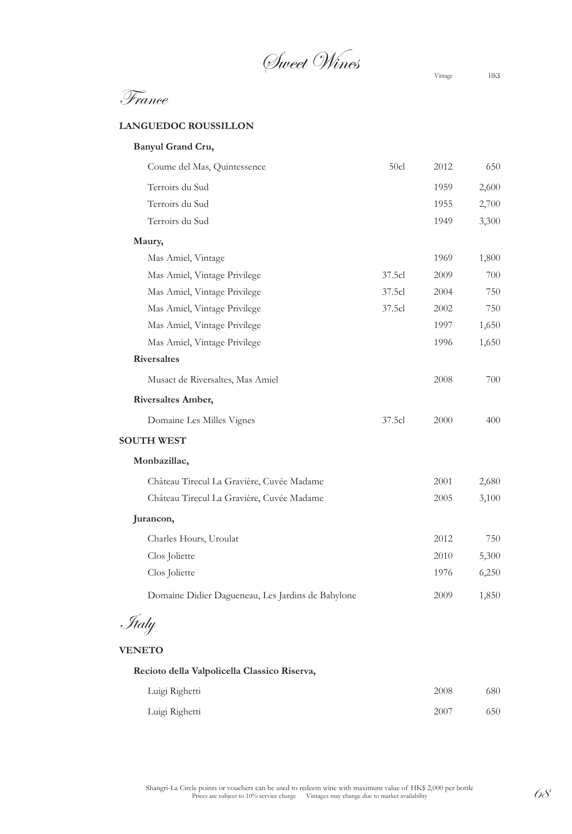Sweet Wines Vintage HK\$

#### **LANGUEDOC ROUSSILLON**

| Banyul Grand Cru,                                 |        |      |       |
|---------------------------------------------------|--------|------|-------|
| Coume del Mas, Quintessence                       | 50c1   | 2012 | 650   |
| Terroirs du Sud                                   |        | 1959 | 2,600 |
| Terroirs du Sud                                   |        | 1955 | 2,700 |
| Terroirs du Sud                                   |        | 1949 | 3,300 |
| Maury,                                            |        |      |       |
| Mas Amiel, Vintage                                |        | 1969 | 1,800 |
| Mas Amiel, Vintage Privilege                      | 37.5cl | 2009 | 700   |
| Mas Amiel, Vintage Privilege                      | 37.5cl | 2004 | 750   |
| Mas Amiel, Vintage Privilege                      | 37.5cl | 2002 | 750   |
| Mas Amiel, Vintage Privilege                      |        | 1997 | 1,650 |
| Mas Amiel, Vintage Privilege                      |        | 1996 | 1,650 |
| <b>Riversaltes</b>                                |        |      |       |
| Musact de Riversaltes, Mas Amiel                  |        | 2008 | 700   |
| Riversaltes Amber,                                |        |      |       |
| Domaine Les Milles Vignes                         | 37.5cl | 2000 | 400   |
| <b>SOUTH WEST</b>                                 |        |      |       |
| Monbazillac,                                      |        |      |       |
| Château Tirecul La Gravière, Cuvée Madame         |        | 2001 | 2,680 |
| Château Tirecul La Gravière, Cuvée Madame         |        | 2005 | 3,100 |
| Jurancon,                                         |        |      |       |
| Charles Hours, Uroulat                            |        | 2012 | 750   |
| Clos Joliette                                     |        | 2010 | 5,300 |
| Clos Joliette                                     |        | 1976 | 6,250 |
| Domaine Didier Dagueneau, Les Jardins de Babylone |        | 2009 | 1,850 |
| Italy                                             |        |      |       |
|                                                   |        |      |       |
| <b>VENETO</b>                                     |        |      |       |
| Recioto della Valpolicella Classico Riserva,      |        |      |       |

| Luigi Righetti | 2008 | 680 |
|----------------|------|-----|
| Luigi Righetti | 2007 | 650 |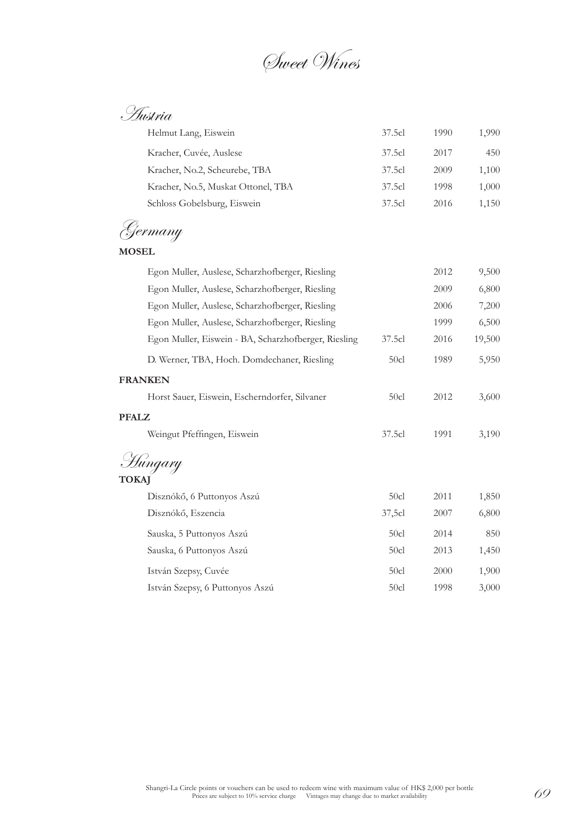Sweet Wines

Austria

| Helmut Lang, Eiswein                                 | 37.5cl           | 1990 | 1,990  |
|------------------------------------------------------|------------------|------|--------|
| Kracher, Cuvée, Auslese                              | 37.5cl           | 2017 | 450    |
| Kracher, No.2, Scheurebe, TBA                        | 37.5cl           | 2009 | 1,100  |
| Kracher, No.5, Muskat Ottonel, TBA                   | 37.5cl           | 1998 | 1,000  |
| Schloss Gobelsburg, Eiswein                          | 37.5cl           | 2016 | 1,150  |
| <sup>z</sup> ermany                                  |                  |      |        |
| <b>MOSEL</b>                                         |                  |      |        |
| Egon Muller, Auslese, Scharzhofberger, Riesling      |                  | 2012 | 9,500  |
| Egon Muller, Auslese, Scharzhofberger, Riesling      |                  | 2009 | 6,800  |
| Egon Muller, Auslese, Scharzhofberger, Riesling      |                  | 2006 | 7,200  |
| Egon Muller, Auslese, Scharzhofberger, Riesling      |                  | 1999 | 6,500  |
| Egon Muller, Eiswein - BA, Scharzhofberger, Riesling | 37.5cl           | 2016 | 19,500 |
| D. Werner, TBA, Hoch. Domdechaner, Riesling          | 50cl             | 1989 | 5,950  |
| <b>FRANKEN</b>                                       |                  |      |        |
| Horst Sauer, Eiswein, Escherndorfer, Silvaner        | 50 <sub>cl</sub> | 2012 | 3,600  |
| <b>PFALZ</b>                                         |                  |      |        |
| Weingut Pfeffingen, Eiswein                          | 37.5cl           | 1991 | 3,190  |
| Húngary                                              |                  |      |        |
| <b>TOKA</b>                                          |                  |      |        |
| Disznókő, 6 Puttonyos Aszú                           | 50 <sub>cl</sub> | 2011 | 1,850  |
| Disznókő, Eszencia                                   | 37,5c1           | 2007 | 6,800  |
| Sauska, 5 Puttonyos Aszú                             | 50cl             | 2014 | 850    |
| Sauska, 6 Puttonyos Aszú                             | 50c1             | 2013 | 1,450  |
| István Szepsy, Cuvée                                 | 50c1             | 2000 | 1,900  |
| István Szepsy, 6 Puttonyos Aszú                      | 50c1             | 1998 | 3,000  |
|                                                      |                  |      |        |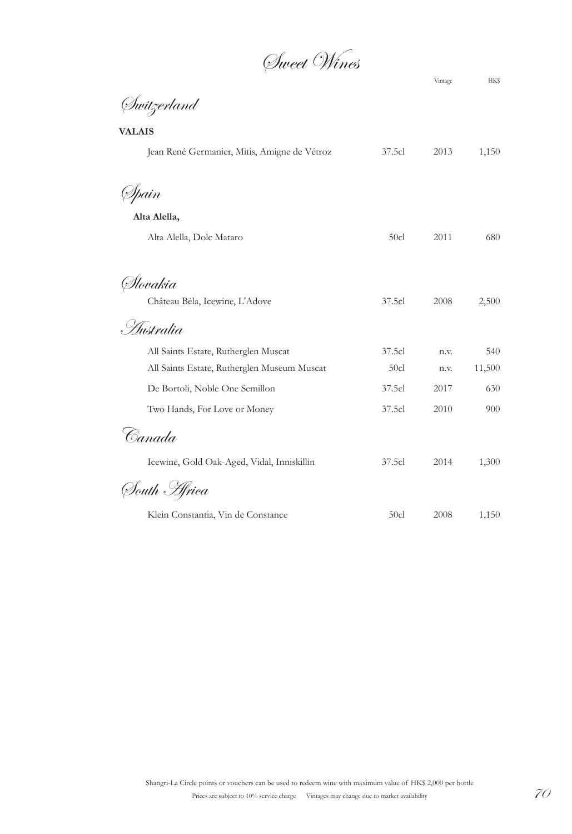Sweet Wines

Switzerland

| <b>VALAIS</b>                                |        |      |        |
|----------------------------------------------|--------|------|--------|
| Jean René Germanier, Mitis, Amigne de Vétroz | 37.5cl | 2013 | 1,150  |
| (Spain                                       |        |      |        |
| Alta Alella,                                 |        |      |        |
| Alta Alella, Dolc Mataro                     | 50cl   | 2011 | 680    |
| Ølovakia                                     |        |      |        |
| Château Béla, Icewine, L'Adove               | 37.5cl | 2008 | 2,500  |
| . <i>Hustralia</i>                           |        |      |        |
| All Saints Estate, Rutherglen Muscat         | 37.5cl | n.v. | 540    |
| All Saints Estate, Rutherglen Museum Muscat  | 50c1   | n.v. | 11,500 |
| De Bortoli, Noble One Semillon               | 37.5cl | 2017 | 630    |
| Two Hands, For Love or Money                 | 37.5cl | 2010 | 900    |
| Canada                                       |        |      |        |
| Icewine, Gold Oak-Aged, Vidal, Inniskillin   | 37.5cl | 2014 | 1,300  |
| South <i>H</i> rica                          |        |      |        |
| Klein Constantia, Vin de Constance           | 50c1   | 2008 | 1,150  |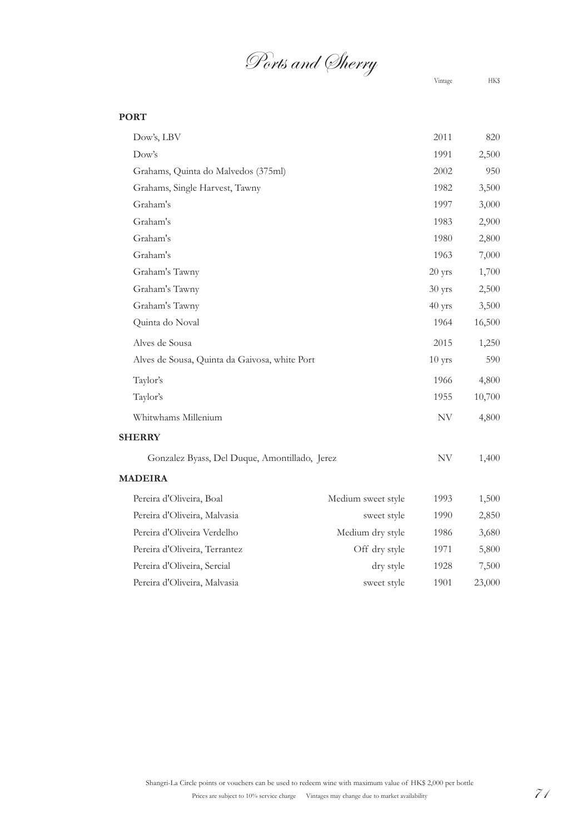# Ports and Sherry

Vintage HK\$

## **PORT**

| Dow's, LBV                                    |                    | 2011      | 820    |
|-----------------------------------------------|--------------------|-----------|--------|
| Dow's                                         |                    | 1991      | 2,500  |
| Grahams, Quinta do Malvedos (375ml)           |                    | 2002      | 950    |
| Grahams, Single Harvest, Tawny                |                    | 1982      | 3,500  |
| Graham's                                      |                    | 1997      | 3,000  |
| Graham's                                      |                    | 1983      | 2,900  |
| Graham's                                      |                    | 1980      | 2,800  |
| Graham's                                      |                    | 1963      | 7,000  |
| Graham's Tawny                                |                    | $20$ yrs  | 1,700  |
| Graham's Tawny                                |                    | 30 yrs    | 2,500  |
| Graham's Tawny                                |                    | 40 yrs    | 3,500  |
| Quinta do Noval                               |                    | 1964      | 16,500 |
| Alves de Sousa                                |                    | 2015      | 1,250  |
| Alves de Sousa, Quinta da Gaivosa, white Port |                    | $10$ yrs  | 590    |
| Taylor's                                      |                    | 1966      | 4,800  |
| Taylor's                                      |                    | 1955      | 10,700 |
| Whitwhams Millenium                           |                    | NV        | 4,800  |
| <b>SHERRY</b>                                 |                    |           |        |
| Gonzalez Byass, Del Duque, Amontillado, Jerez |                    | <b>NV</b> | 1,400  |
| <b>MADEIRA</b>                                |                    |           |        |
| Pereira d'Oliveira, Boal                      | Medium sweet style | 1993      | 1,500  |
| Pereira d'Oliveira, Malvasia                  | sweet style        | 1990      | 2,850  |
| Pereira d'Oliveira Verdelho                   | Medium dry style   | 1986      | 3,680  |
| Pereira d'Oliveira, Terrantez                 | Off dry style      | 1971      | 5,800  |
| Pereira d'Oliveira, Sercial                   | dry style          | 1928      | 7,500  |
| Pereira d'Oliveira, Malvasia                  | sweet style        | 1901      | 23,000 |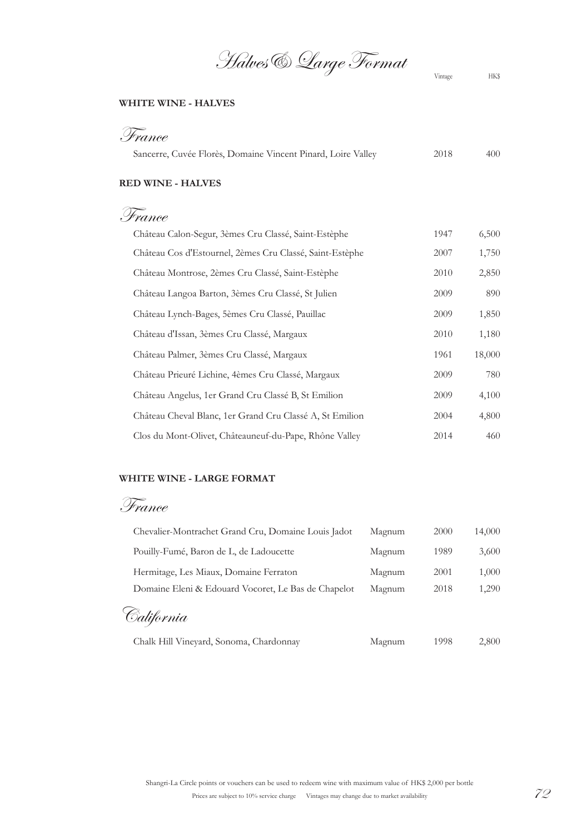Halves & Large Format

### **WHITE WINE - HALVES**

| France                                                       |      |     |
|--------------------------------------------------------------|------|-----|
| Sancerre, Cuvée Florès, Domaine Vincent Pinard, Loire Valley | 2018 | 400 |

### **RED WINE - HALVES**

France

| Château Calon-Segur, 3èmes Cru Classé, Saint-Estèphe     | 1947 | 6,500  |
|----------------------------------------------------------|------|--------|
| Château Cos d'Estournel, 2èmes Cru Classé, Saint-Estèphe | 2007 | 1,750  |
| Château Montrose, 2èmes Cru Classé, Saint-Estèphe        | 2010 | 2,850  |
| Château Langoa Barton, 3èmes Cru Classé, St Julien       | 2009 | 890    |
| Château Lynch-Bages, 5èmes Cru Classé, Pauillac          | 2009 | 1,850  |
| Château d'Issan, 3èmes Cru Classé, Margaux               | 2010 | 1,180  |
| Château Palmer, 3èmes Cru Classé, Margaux                | 1961 | 18,000 |
| Château Prieuré Lichine, 4èmes Cru Classé, Margaux       | 2009 | 780    |
| Château Angelus, 1er Grand Cru Classé B, St Emilion      | 2009 | 4,100  |
| Château Cheval Blanc, 1er Grand Cru Classé A, St Emilion | 2004 | 4,800  |
| Clos du Mont-Olivet, Châteauneuf-du-Pape, Rhône Valley   | 2014 | 460    |

#### **WHITE WINE - LARGE FORMAT**

France

| Chevalier-Montrachet Grand Cru, Domaine Louis Jadot | Magnum | 2000 | 14,000 |
|-----------------------------------------------------|--------|------|--------|
| Pouilly-Fumé, Baron de L, de Ladoucette             | Magnum | 1989 | 3,600  |
| Hermitage, Les Miaux, Domaine Ferraton              | Magnum | 2001 | 1,000  |
| Domaine Eleni & Edouard Vocoret, Le Bas de Chapelot | Magnum | 2018 | 1,290  |
| California                                          |        |      |        |
| Chalk Hill Vineyard, Sonoma, Chardonnay             | Magnum | 1998 | 2,800  |